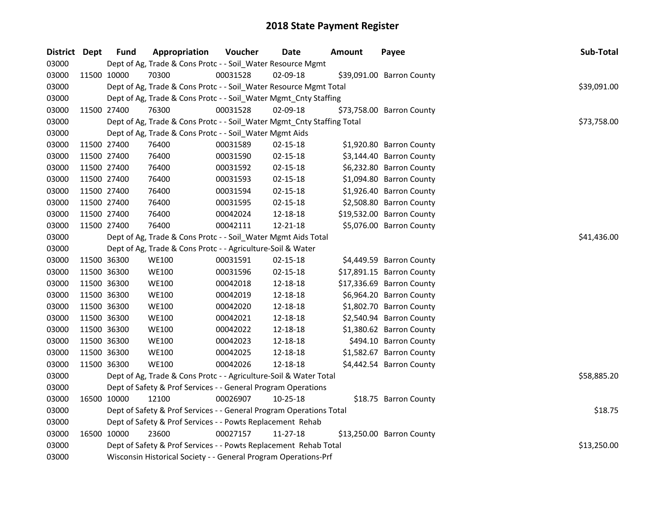| District Dept |             | <b>Fund</b> | Appropriation                                                          | Voucher  | Date           | <b>Amount</b> | Payee                     | Sub-Total   |  |  |  |
|---------------|-------------|-------------|------------------------------------------------------------------------|----------|----------------|---------------|---------------------------|-------------|--|--|--|
| 03000         |             |             | Dept of Ag, Trade & Cons Protc - - Soil_Water Resource Mgmt            |          |                |               |                           |             |  |  |  |
| 03000         |             | 11500 10000 | 70300                                                                  | 00031528 | 02-09-18       |               | \$39,091.00 Barron County |             |  |  |  |
| 03000         |             |             | Dept of Ag, Trade & Cons Protc - - Soil_Water Resource Mgmt Total      |          |                |               |                           | \$39,091.00 |  |  |  |
| 03000         |             |             | Dept of Ag, Trade & Cons Protc - - Soil_Water Mgmt_Cnty Staffing       |          |                |               |                           |             |  |  |  |
| 03000         |             | 11500 27400 | 76300                                                                  | 00031528 | 02-09-18       |               | \$73,758.00 Barron County |             |  |  |  |
| 03000         |             |             | Dept of Ag, Trade & Cons Protc - - Soil_Water Mgmt_Cnty Staffing Total |          |                |               |                           | \$73,758.00 |  |  |  |
| 03000         |             |             | Dept of Ag, Trade & Cons Protc - - Soil_Water Mgmt Aids                |          |                |               |                           |             |  |  |  |
| 03000         |             | 11500 27400 | 76400                                                                  | 00031589 | 02-15-18       |               | \$1,920.80 Barron County  |             |  |  |  |
| 03000         | 11500 27400 |             | 76400                                                                  | 00031590 | 02-15-18       |               | \$3,144.40 Barron County  |             |  |  |  |
| 03000         | 11500 27400 |             | 76400                                                                  | 00031592 | 02-15-18       |               | \$6,232.80 Barron County  |             |  |  |  |
| 03000         | 11500 27400 |             | 76400                                                                  | 00031593 | 02-15-18       |               | \$1,094.80 Barron County  |             |  |  |  |
| 03000         | 11500 27400 |             | 76400                                                                  | 00031594 | 02-15-18       |               | \$1,926.40 Barron County  |             |  |  |  |
| 03000         |             | 11500 27400 | 76400                                                                  | 00031595 | $02 - 15 - 18$ |               | \$2,508.80 Barron County  |             |  |  |  |
| 03000         |             | 11500 27400 | 76400                                                                  | 00042024 | 12-18-18       |               | \$19,532.00 Barron County |             |  |  |  |
| 03000         |             | 11500 27400 | 76400                                                                  | 00042111 | 12-21-18       |               | \$5,076.00 Barron County  |             |  |  |  |
| 03000         |             |             | Dept of Ag, Trade & Cons Protc - - Soil_Water Mgmt Aids Total          |          |                |               |                           | \$41,436.00 |  |  |  |
| 03000         |             |             | Dept of Ag, Trade & Cons Protc - - Agriculture-Soil & Water            |          |                |               |                           |             |  |  |  |
| 03000         |             | 11500 36300 | <b>WE100</b>                                                           | 00031591 | 02-15-18       |               | \$4,449.59 Barron County  |             |  |  |  |
| 03000         | 11500 36300 |             | <b>WE100</b>                                                           | 00031596 | 02-15-18       |               | \$17,891.15 Barron County |             |  |  |  |
| 03000         | 11500 36300 |             | <b>WE100</b>                                                           | 00042018 | 12-18-18       |               | \$17,336.69 Barron County |             |  |  |  |
| 03000         | 11500 36300 |             | <b>WE100</b>                                                           | 00042019 | 12-18-18       |               | \$6,964.20 Barron County  |             |  |  |  |
| 03000         | 11500 36300 |             | <b>WE100</b>                                                           | 00042020 | 12-18-18       |               | \$1,802.70 Barron County  |             |  |  |  |
| 03000         | 11500 36300 |             | <b>WE100</b>                                                           | 00042021 | 12-18-18       |               | \$2,540.94 Barron County  |             |  |  |  |
| 03000         | 11500 36300 |             | <b>WE100</b>                                                           | 00042022 | 12-18-18       |               | \$1,380.62 Barron County  |             |  |  |  |
| 03000         | 11500 36300 |             | <b>WE100</b>                                                           | 00042023 | 12-18-18       |               | \$494.10 Barron County    |             |  |  |  |
| 03000         |             | 11500 36300 | <b>WE100</b>                                                           | 00042025 | 12-18-18       |               | \$1,582.67 Barron County  |             |  |  |  |
| 03000         |             | 11500 36300 | <b>WE100</b>                                                           | 00042026 | 12-18-18       |               | \$4,442.54 Barron County  |             |  |  |  |
| 03000         |             |             | Dept of Ag, Trade & Cons Protc - - Agriculture-Soil & Water Total      |          |                |               |                           | \$58,885.20 |  |  |  |
| 03000         |             |             | Dept of Safety & Prof Services - - General Program Operations          |          |                |               |                           |             |  |  |  |
| 03000         |             | 16500 10000 | 12100                                                                  | 00026907 | $10 - 25 - 18$ |               | \$18.75 Barron County     |             |  |  |  |
| 03000         |             |             | Dept of Safety & Prof Services - - General Program Operations Total    |          |                |               |                           | \$18.75     |  |  |  |
| 03000         |             |             | Dept of Safety & Prof Services - - Powts Replacement Rehab             |          |                |               |                           |             |  |  |  |
| 03000         |             | 16500 10000 | 23600                                                                  | 00027157 | 11-27-18       |               | \$13,250.00 Barron County |             |  |  |  |
| 03000         |             |             | Dept of Safety & Prof Services - - Powts Replacement Rehab Total       |          |                |               |                           |             |  |  |  |
| 03000         |             |             | Wisconsin Historical Society - - General Program Operations-Prf        |          |                |               |                           |             |  |  |  |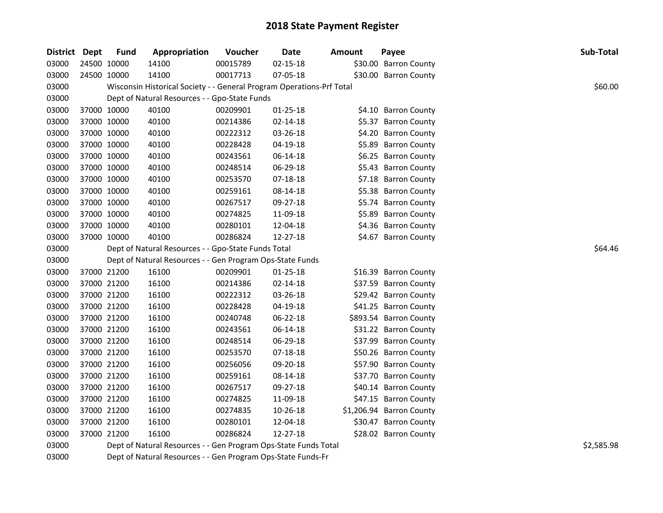| District Dept | <b>Fund</b> | Appropriation                                                         | Voucher  | <b>Date</b>    | <b>Amount</b> | Payee                    | Sub-Total  |
|---------------|-------------|-----------------------------------------------------------------------|----------|----------------|---------------|--------------------------|------------|
| 03000         | 24500 10000 | 14100                                                                 | 00015789 | $02 - 15 - 18$ |               | \$30.00 Barron County    |            |
| 03000         | 24500 10000 | 14100                                                                 | 00017713 | 07-05-18       |               | \$30.00 Barron County    |            |
| 03000         |             | Wisconsin Historical Society - - General Program Operations-Prf Total |          |                |               |                          | \$60.00    |
| 03000         |             | Dept of Natural Resources - - Gpo-State Funds                         |          |                |               |                          |            |
| 03000         | 37000 10000 | 40100                                                                 | 00209901 | $01 - 25 - 18$ |               | \$4.10 Barron County     |            |
| 03000         | 37000 10000 | 40100                                                                 | 00214386 | $02 - 14 - 18$ |               | \$5.37 Barron County     |            |
| 03000         | 37000 10000 | 40100                                                                 | 00222312 | 03-26-18       |               | \$4.20 Barron County     |            |
| 03000         | 37000 10000 | 40100                                                                 | 00228428 | 04-19-18       |               | \$5.89 Barron County     |            |
| 03000         | 37000 10000 | 40100                                                                 | 00243561 | 06-14-18       |               | \$6.25 Barron County     |            |
| 03000         | 37000 10000 | 40100                                                                 | 00248514 | 06-29-18       |               | \$5.43 Barron County     |            |
| 03000         | 37000 10000 | 40100                                                                 | 00253570 | 07-18-18       |               | \$7.18 Barron County     |            |
| 03000         | 37000 10000 | 40100                                                                 | 00259161 | 08-14-18       |               | \$5.38 Barron County     |            |
| 03000         | 37000 10000 | 40100                                                                 | 00267517 | 09-27-18       |               | \$5.74 Barron County     |            |
| 03000         | 37000 10000 | 40100                                                                 | 00274825 | 11-09-18       |               | \$5.89 Barron County     |            |
| 03000         | 37000 10000 | 40100                                                                 | 00280101 | 12-04-18       |               | \$4.36 Barron County     |            |
| 03000         | 37000 10000 | 40100                                                                 | 00286824 | 12-27-18       |               | \$4.67 Barron County     |            |
| 03000         |             | Dept of Natural Resources - - Gpo-State Funds Total                   |          |                |               |                          | \$64.46    |
| 03000         |             | Dept of Natural Resources - - Gen Program Ops-State Funds             |          |                |               |                          |            |
| 03000         | 37000 21200 | 16100                                                                 | 00209901 | $01 - 25 - 18$ |               | \$16.39 Barron County    |            |
| 03000         | 37000 21200 | 16100                                                                 | 00214386 | 02-14-18       |               | \$37.59 Barron County    |            |
| 03000         | 37000 21200 | 16100                                                                 | 00222312 | 03-26-18       |               | \$29.42 Barron County    |            |
| 03000         | 37000 21200 | 16100                                                                 | 00228428 | 04-19-18       |               | \$41.25 Barron County    |            |
| 03000         | 37000 21200 | 16100                                                                 | 00240748 | 06-22-18       |               | \$893.54 Barron County   |            |
| 03000         | 37000 21200 | 16100                                                                 | 00243561 | 06-14-18       |               | \$31.22 Barron County    |            |
| 03000         | 37000 21200 | 16100                                                                 | 00248514 | 06-29-18       |               | \$37.99 Barron County    |            |
| 03000         | 37000 21200 | 16100                                                                 | 00253570 | 07-18-18       |               | \$50.26 Barron County    |            |
| 03000         | 37000 21200 | 16100                                                                 | 00256056 | 09-20-18       |               | \$57.90 Barron County    |            |
| 03000         | 37000 21200 | 16100                                                                 | 00259161 | 08-14-18       |               | \$37.70 Barron County    |            |
| 03000         | 37000 21200 | 16100                                                                 | 00267517 | 09-27-18       |               | \$40.14 Barron County    |            |
| 03000         | 37000 21200 | 16100                                                                 | 00274825 | 11-09-18       |               | \$47.15 Barron County    |            |
| 03000         | 37000 21200 | 16100                                                                 | 00274835 | 10-26-18       |               | \$1,206.94 Barron County |            |
| 03000         | 37000 21200 | 16100                                                                 | 00280101 | 12-04-18       |               | \$30.47 Barron County    |            |
| 03000         | 37000 21200 | 16100                                                                 | 00286824 | 12-27-18       |               | \$28.02 Barron County    |            |
| 03000         |             | Dept of Natural Resources - - Gen Program Ops-State Funds Total       |          |                |               |                          | \$2,585.98 |
| 03000         |             | Dept of Natural Resources - - Gen Program Ops-State Funds-Fr          |          |                |               |                          |            |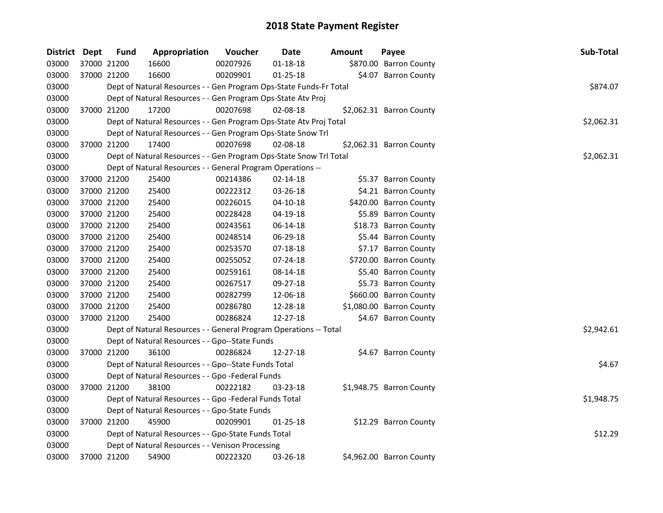| District Dept |             | <b>Fund</b> | Appropriation                                                      | Voucher  | <b>Date</b>    | <b>Amount</b> | Payee                    | Sub-Total  |
|---------------|-------------|-------------|--------------------------------------------------------------------|----------|----------------|---------------|--------------------------|------------|
| 03000         |             | 37000 21200 | 16600                                                              | 00207926 | $01 - 18 - 18$ |               | \$870.00 Barron County   |            |
| 03000         |             | 37000 21200 | 16600                                                              | 00209901 | $01 - 25 - 18$ |               | \$4.07 Barron County     |            |
| 03000         |             |             | Dept of Natural Resources - - Gen Program Ops-State Funds-Fr Total |          |                |               |                          | \$874.07   |
| 03000         |             |             | Dept of Natural Resources - - Gen Program Ops-State Atv Proj       |          |                |               |                          |            |
| 03000         |             | 37000 21200 | 17200                                                              | 00207698 | 02-08-18       |               | \$2,062.31 Barron County |            |
| 03000         |             |             | Dept of Natural Resources - - Gen Program Ops-State Atv Proj Total |          |                |               |                          | \$2,062.31 |
| 03000         |             |             | Dept of Natural Resources - - Gen Program Ops-State Snow Trl       |          |                |               |                          |            |
| 03000         |             | 37000 21200 | 17400                                                              | 00207698 | 02-08-18       |               | \$2,062.31 Barron County |            |
| 03000         |             |             | Dept of Natural Resources - - Gen Program Ops-State Snow Trl Total |          |                |               |                          | \$2,062.31 |
| 03000         |             |             | Dept of Natural Resources - - General Program Operations --        |          |                |               |                          |            |
| 03000         |             | 37000 21200 | 25400                                                              | 00214386 | 02-14-18       |               | \$5.37 Barron County     |            |
| 03000         |             | 37000 21200 | 25400                                                              | 00222312 | 03-26-18       |               | \$4.21 Barron County     |            |
| 03000         |             | 37000 21200 | 25400                                                              | 00226015 | 04-10-18       |               | \$420.00 Barron County   |            |
| 03000         |             | 37000 21200 | 25400                                                              | 00228428 | 04-19-18       |               | \$5.89 Barron County     |            |
| 03000         |             | 37000 21200 | 25400                                                              | 00243561 | 06-14-18       |               | \$18.73 Barron County    |            |
| 03000         |             | 37000 21200 | 25400                                                              | 00248514 | 06-29-18       |               | \$5.44 Barron County     |            |
| 03000         |             | 37000 21200 | 25400                                                              | 00253570 | 07-18-18       |               | \$7.17 Barron County     |            |
| 03000         |             | 37000 21200 | 25400                                                              | 00255052 | $07 - 24 - 18$ |               | \$720.00 Barron County   |            |
| 03000         |             | 37000 21200 | 25400                                                              | 00259161 | 08-14-18       |               | \$5.40 Barron County     |            |
| 03000         |             | 37000 21200 | 25400                                                              | 00267517 | 09-27-18       |               | \$5.73 Barron County     |            |
| 03000         | 37000 21200 |             | 25400                                                              | 00282799 | 12-06-18       |               | \$660.00 Barron County   |            |
| 03000         |             | 37000 21200 | 25400                                                              | 00286780 | 12-28-18       |               | \$1,080.00 Barron County |            |
| 03000         |             | 37000 21200 | 25400                                                              | 00286824 | 12-27-18       |               | \$4.67 Barron County     |            |
| 03000         |             |             | Dept of Natural Resources - - General Program Operations -- Total  |          |                |               |                          | \$2,942.61 |
| 03000         |             |             | Dept of Natural Resources - - Gpo--State Funds                     |          |                |               |                          |            |
| 03000         |             | 37000 21200 | 36100                                                              | 00286824 | 12-27-18       |               | \$4.67 Barron County     |            |
| 03000         |             |             | Dept of Natural Resources - - Gpo--State Funds Total               |          |                |               |                          | \$4.67     |
| 03000         |             |             | Dept of Natural Resources - - Gpo -Federal Funds                   |          |                |               |                          |            |
| 03000         |             | 37000 21200 | 38100                                                              | 00222182 | 03-23-18       |               | \$1,948.75 Barron County |            |
| 03000         |             |             | Dept of Natural Resources - - Gpo -Federal Funds Total             |          |                |               |                          | \$1,948.75 |
| 03000         |             |             | Dept of Natural Resources - - Gpo-State Funds                      |          |                |               |                          |            |
| 03000         |             | 37000 21200 | 45900                                                              | 00209901 | $01 - 25 - 18$ |               | \$12.29 Barron County    |            |
| 03000         |             |             | Dept of Natural Resources - - Gpo-State Funds Total                |          |                |               |                          | \$12.29    |
| 03000         |             |             | Dept of Natural Resources - - Venison Processing                   |          |                |               |                          |            |
| 03000         |             | 37000 21200 | 54900                                                              | 00222320 | 03-26-18       |               | \$4,962.00 Barron County |            |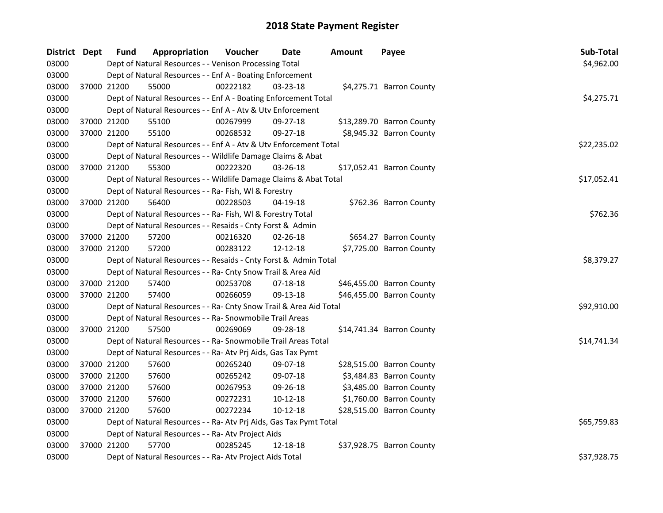| District Dept |             | <b>Fund</b> | Appropriation                                                      | Voucher  | Date           | Amount | Payee                     | Sub-Total   |
|---------------|-------------|-------------|--------------------------------------------------------------------|----------|----------------|--------|---------------------------|-------------|
| 03000         |             |             | Dept of Natural Resources - - Venison Processing Total             |          |                |        |                           | \$4,962.00  |
| 03000         |             |             | Dept of Natural Resources - - Enf A - Boating Enforcement          |          |                |        |                           |             |
| 03000         |             | 37000 21200 | 55000                                                              | 00222182 | $03 - 23 - 18$ |        | \$4,275.71 Barron County  |             |
| 03000         |             |             | Dept of Natural Resources - - Enf A - Boating Enforcement Total    |          |                |        |                           | \$4,275.71  |
| 03000         |             |             | Dept of Natural Resources - - Enf A - Atv & Utv Enforcement        |          |                |        |                           |             |
| 03000         |             | 37000 21200 | 55100                                                              | 00267999 | 09-27-18       |        | \$13,289.70 Barron County |             |
| 03000         | 37000 21200 |             | 55100                                                              | 00268532 | 09-27-18       |        | \$8,945.32 Barron County  |             |
| 03000         |             |             | Dept of Natural Resources - - Enf A - Atv & Utv Enforcement Total  |          |                |        |                           | \$22,235.02 |
| 03000         |             |             | Dept of Natural Resources - - Wildlife Damage Claims & Abat        |          |                |        |                           |             |
| 03000         |             | 37000 21200 | 55300                                                              | 00222320 | 03-26-18       |        | \$17,052.41 Barron County |             |
| 03000         |             |             | Dept of Natural Resources - - Wildlife Damage Claims & Abat Total  |          |                |        |                           | \$17,052.41 |
| 03000         |             |             | Dept of Natural Resources - - Ra- Fish, WI & Forestry              |          |                |        |                           |             |
| 03000         |             | 37000 21200 | 56400                                                              | 00228503 | 04-19-18       |        | \$762.36 Barron County    |             |
| 03000         |             |             | Dept of Natural Resources - - Ra- Fish, WI & Forestry Total        |          |                |        |                           | \$762.36    |
| 03000         |             |             | Dept of Natural Resources - - Resaids - Cnty Forst & Admin         |          |                |        |                           |             |
| 03000         |             | 37000 21200 | 57200                                                              | 00216320 | $02 - 26 - 18$ |        | \$654.27 Barron County    |             |
| 03000         |             | 37000 21200 | 57200                                                              | 00283122 | 12-12-18       |        | \$7,725.00 Barron County  |             |
| 03000         |             |             | Dept of Natural Resources - - Resaids - Cnty Forst & Admin Total   |          |                |        |                           | \$8,379.27  |
| 03000         |             |             | Dept of Natural Resources - - Ra- Cnty Snow Trail & Area Aid       |          |                |        |                           |             |
| 03000         | 37000 21200 |             | 57400                                                              | 00253708 | 07-18-18       |        | \$46,455.00 Barron County |             |
| 03000         | 37000 21200 |             | 57400                                                              | 00266059 | 09-13-18       |        | \$46,455.00 Barron County |             |
| 03000         |             |             | Dept of Natural Resources - - Ra- Cnty Snow Trail & Area Aid Total |          |                |        |                           | \$92,910.00 |
| 03000         |             |             | Dept of Natural Resources - - Ra- Snowmobile Trail Areas           |          |                |        |                           |             |
| 03000         |             | 37000 21200 | 57500                                                              | 00269069 | 09-28-18       |        | \$14,741.34 Barron County |             |
| 03000         |             |             | Dept of Natural Resources - - Ra- Snowmobile Trail Areas Total     |          |                |        |                           | \$14,741.34 |
| 03000         |             |             | Dept of Natural Resources - - Ra- Atv Prj Aids, Gas Tax Pymt       |          |                |        |                           |             |
| 03000         | 37000 21200 |             | 57600                                                              | 00265240 | 09-07-18       |        | \$28,515.00 Barron County |             |
| 03000         | 37000 21200 |             | 57600                                                              | 00265242 | 09-07-18       |        | \$3,484.83 Barron County  |             |
| 03000         | 37000 21200 |             | 57600                                                              | 00267953 | 09-26-18       |        | \$3,485.00 Barron County  |             |
| 03000         | 37000 21200 |             | 57600                                                              | 00272231 | $10-12-18$     |        | \$1,760.00 Barron County  |             |
| 03000         |             | 37000 21200 | 57600                                                              | 00272234 | $10 - 12 - 18$ |        | \$28,515.00 Barron County |             |
| 03000         |             |             | Dept of Natural Resources - - Ra- Atv Prj Aids, Gas Tax Pymt Total |          |                |        |                           | \$65,759.83 |
| 03000         |             |             | Dept of Natural Resources - - Ra- Atv Project Aids                 |          |                |        |                           |             |
| 03000         |             | 37000 21200 | 57700                                                              | 00285245 | 12-18-18       |        | \$37,928.75 Barron County |             |
| 03000         |             |             | Dept of Natural Resources - - Ra- Atv Project Aids Total           |          |                |        |                           | \$37,928.75 |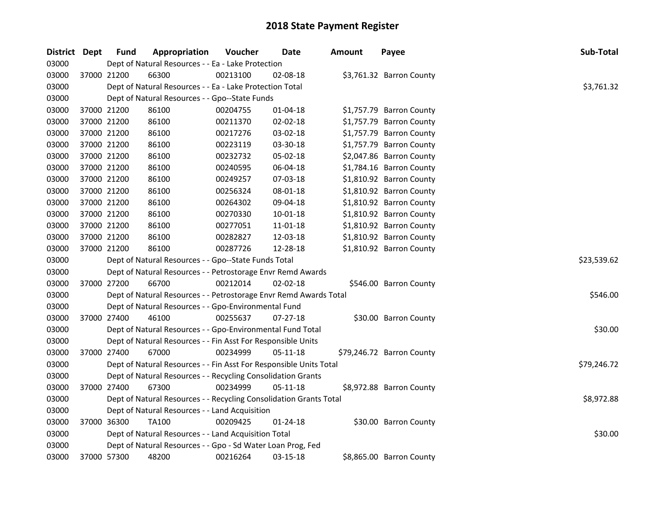| District Dept |             | <b>Fund</b><br>Appropriation                                       | Voucher                                                     | Date           | <b>Amount</b> | Payee                     | Sub-Total   |  |  |  |  |
|---------------|-------------|--------------------------------------------------------------------|-------------------------------------------------------------|----------------|---------------|---------------------------|-------------|--|--|--|--|
| 03000         |             | Dept of Natural Resources - - Ea - Lake Protection                 |                                                             |                |               |                           |             |  |  |  |  |
| 03000         |             | 37000 21200<br>66300                                               | 00213100                                                    | 02-08-18       |               | \$3,761.32 Barron County  |             |  |  |  |  |
| 03000         |             | Dept of Natural Resources - - Ea - Lake Protection Total           |                                                             |                |               |                           | \$3,761.32  |  |  |  |  |
| 03000         |             | Dept of Natural Resources - - Gpo--State Funds                     |                                                             |                |               |                           |             |  |  |  |  |
| 03000         |             | 86100<br>37000 21200                                               | 00204755                                                    | $01 - 04 - 18$ |               | \$1,757.79 Barron County  |             |  |  |  |  |
| 03000         |             | 37000 21200<br>86100                                               | 00211370                                                    | 02-02-18       |               | \$1,757.79 Barron County  |             |  |  |  |  |
| 03000         | 37000 21200 | 86100                                                              | 00217276                                                    | 03-02-18       |               | \$1,757.79 Barron County  |             |  |  |  |  |
| 03000         | 37000 21200 | 86100                                                              | 00223119                                                    | 03-30-18       |               | \$1,757.79 Barron County  |             |  |  |  |  |
| 03000         | 37000 21200 | 86100                                                              | 00232732                                                    | 05-02-18       |               | \$2,047.86 Barron County  |             |  |  |  |  |
| 03000         | 37000 21200 | 86100                                                              | 00240595                                                    | 06-04-18       |               | \$1,784.16 Barron County  |             |  |  |  |  |
| 03000         | 37000 21200 | 86100                                                              | 00249257                                                    | 07-03-18       |               | \$1,810.92 Barron County  |             |  |  |  |  |
| 03000         |             | 37000 21200<br>86100                                               | 00256324                                                    | 08-01-18       |               | \$1,810.92 Barron County  |             |  |  |  |  |
| 03000         | 37000 21200 | 86100                                                              | 00264302                                                    | 09-04-18       |               | \$1,810.92 Barron County  |             |  |  |  |  |
| 03000         | 37000 21200 | 86100                                                              | 00270330                                                    | 10-01-18       |               | \$1,810.92 Barron County  |             |  |  |  |  |
| 03000         | 37000 21200 | 86100                                                              | 00277051                                                    | 11-01-18       |               | \$1,810.92 Barron County  |             |  |  |  |  |
| 03000         | 37000 21200 | 86100                                                              | 00282827                                                    | 12-03-18       |               | \$1,810.92 Barron County  |             |  |  |  |  |
| 03000         |             | 86100<br>37000 21200                                               | 00287726                                                    | 12-28-18       |               | \$1,810.92 Barron County  |             |  |  |  |  |
| 03000         |             | Dept of Natural Resources - - Gpo--State Funds Total               |                                                             |                |               |                           | \$23,539.62 |  |  |  |  |
| 03000         |             | Dept of Natural Resources - - Petrostorage Envr Remd Awards        |                                                             |                |               |                           |             |  |  |  |  |
| 03000         |             | 37000 27200<br>66700                                               | 00212014                                                    | 02-02-18       |               | \$546.00 Barron County    |             |  |  |  |  |
| 03000         |             | Dept of Natural Resources - - Petrostorage Envr Remd Awards Total  |                                                             |                |               |                           | \$546.00    |  |  |  |  |
| 03000         |             | Dept of Natural Resources - - Gpo-Environmental Fund               |                                                             |                |               |                           |             |  |  |  |  |
| 03000         |             | 46100<br>37000 27400                                               | 00255637                                                    | $07-27-18$     |               | \$30.00 Barron County     |             |  |  |  |  |
| 03000         |             | Dept of Natural Resources - - Gpo-Environmental Fund Total         |                                                             |                |               |                           | \$30.00     |  |  |  |  |
| 03000         |             | Dept of Natural Resources - - Fin Asst For Responsible Units       |                                                             |                |               |                           |             |  |  |  |  |
| 03000         |             | 37000 27400<br>67000                                               | 00234999                                                    | 05-11-18       |               | \$79,246.72 Barron County |             |  |  |  |  |
| 03000         |             | Dept of Natural Resources - - Fin Asst For Responsible Units Total |                                                             |                |               |                           | \$79,246.72 |  |  |  |  |
| 03000         |             | Dept of Natural Resources - - Recycling Consolidation Grants       |                                                             |                |               |                           |             |  |  |  |  |
| 03000         |             | 37000 27400<br>67300                                               | 00234999                                                    | $05 - 11 - 18$ |               | \$8,972.88 Barron County  |             |  |  |  |  |
| 03000         |             | Dept of Natural Resources - - Recycling Consolidation Grants Total |                                                             |                |               |                           | \$8,972.88  |  |  |  |  |
| 03000         |             | Dept of Natural Resources - - Land Acquisition                     |                                                             |                |               |                           |             |  |  |  |  |
| 03000         |             | 37000 36300<br>TA100                                               | 00209425                                                    | $01 - 24 - 18$ |               | \$30.00 Barron County     |             |  |  |  |  |
| 03000         |             | Dept of Natural Resources - - Land Acquisition Total               |                                                             |                |               |                           | \$30.00     |  |  |  |  |
| 03000         |             |                                                                    | Dept of Natural Resources - - Gpo - Sd Water Loan Prog, Fed |                |               |                           |             |  |  |  |  |
| 03000         |             | 37000 57300<br>48200                                               | 00216264                                                    | 03-15-18       |               | \$8,865.00 Barron County  |             |  |  |  |  |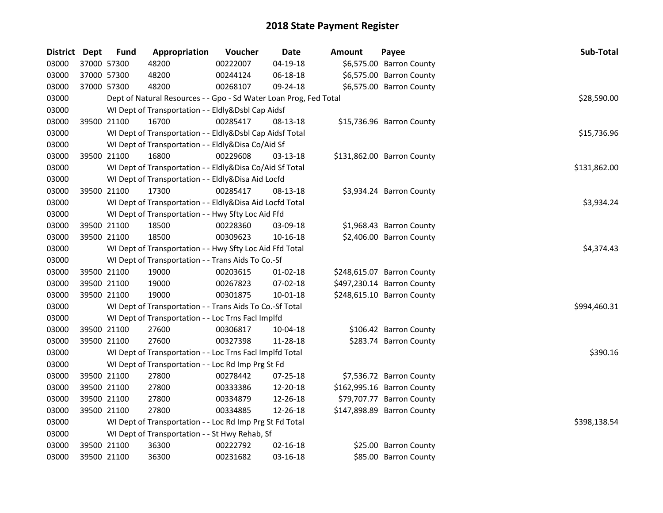| District Dept | <b>Fund</b> | Appropriation                                                     | Voucher  | Date           | <b>Amount</b> | Payee                      | Sub-Total    |
|---------------|-------------|-------------------------------------------------------------------|----------|----------------|---------------|----------------------------|--------------|
| 03000         | 37000 57300 | 48200                                                             | 00222007 | $04 - 19 - 18$ |               | \$6,575.00 Barron County   |              |
| 03000         | 37000 57300 | 48200                                                             | 00244124 | 06-18-18       |               | \$6,575.00 Barron County   |              |
| 03000         | 37000 57300 | 48200                                                             | 00268107 | 09-24-18       |               | \$6,575.00 Barron County   |              |
| 03000         |             | Dept of Natural Resources - - Gpo - Sd Water Loan Prog, Fed Total |          |                |               |                            | \$28,590.00  |
| 03000         |             | WI Dept of Transportation - - Eldly&Dsbl Cap Aidsf                |          |                |               |                            |              |
| 03000         | 39500 21100 | 16700                                                             | 00285417 | 08-13-18       |               | \$15,736.96 Barron County  |              |
| 03000         |             | WI Dept of Transportation - - Eldly&Dsbl Cap Aidsf Total          |          |                |               |                            | \$15,736.96  |
| 03000         |             | WI Dept of Transportation - - Eldly&Disa Co/Aid Sf                |          |                |               |                            |              |
| 03000         | 39500 21100 | 16800                                                             | 00229608 | 03-13-18       |               | \$131,862.00 Barron County |              |
| 03000         |             | WI Dept of Transportation - - Eldly&Disa Co/Aid Sf Total          |          |                |               |                            | \$131,862.00 |
| 03000         |             | WI Dept of Transportation - - Eldly&Disa Aid Locfd                |          |                |               |                            |              |
| 03000         | 39500 21100 | 17300                                                             | 00285417 | 08-13-18       |               | \$3,934.24 Barron County   |              |
| 03000         |             | WI Dept of Transportation - - Eldly&Disa Aid Locfd Total          |          |                |               |                            | \$3,934.24   |
| 03000         |             | WI Dept of Transportation - - Hwy Sfty Loc Aid Ffd                |          |                |               |                            |              |
| 03000         | 39500 21100 | 18500                                                             | 00228360 | 03-09-18       |               | \$1,968.43 Barron County   |              |
| 03000         | 39500 21100 | 18500                                                             | 00309623 | 10-16-18       |               | \$2,406.00 Barron County   |              |
| 03000         |             | WI Dept of Transportation - - Hwy Sfty Loc Aid Ffd Total          |          |                |               |                            | \$4,374.43   |
| 03000         |             | WI Dept of Transportation - - Trans Aids To Co.-Sf                |          |                |               |                            |              |
| 03000         | 39500 21100 | 19000                                                             | 00203615 | $01-02-18$     |               | \$248,615.07 Barron County |              |
| 03000         | 39500 21100 | 19000                                                             | 00267823 | 07-02-18       |               | \$497,230.14 Barron County |              |
| 03000         | 39500 21100 | 19000                                                             | 00301875 | 10-01-18       |               | \$248,615.10 Barron County |              |
| 03000         |             | WI Dept of Transportation - - Trans Aids To Co.-Sf Total          |          |                |               |                            | \$994,460.31 |
| 03000         |             | WI Dept of Transportation - - Loc Trns Facl Implfd                |          |                |               |                            |              |
| 03000         | 39500 21100 | 27600                                                             | 00306817 | 10-04-18       |               | \$106.42 Barron County     |              |
| 03000         | 39500 21100 | 27600                                                             | 00327398 | 11-28-18       |               | \$283.74 Barron County     |              |
| 03000         |             | WI Dept of Transportation - - Loc Trns Facl Implfd Total          |          |                |               |                            | \$390.16     |
| 03000         |             | WI Dept of Transportation - - Loc Rd Imp Prg St Fd                |          |                |               |                            |              |
| 03000         | 39500 21100 | 27800                                                             | 00278442 | 07-25-18       |               | \$7,536.72 Barron County   |              |
| 03000         | 39500 21100 | 27800                                                             | 00333386 | 12-20-18       |               | \$162,995.16 Barron County |              |
| 03000         | 39500 21100 | 27800                                                             | 00334879 | 12-26-18       |               | \$79,707.77 Barron County  |              |
| 03000         | 39500 21100 | 27800                                                             | 00334885 | 12-26-18       |               | \$147,898.89 Barron County |              |
| 03000         |             | WI Dept of Transportation - - Loc Rd Imp Prg St Fd Total          |          |                |               |                            | \$398,138.54 |
| 03000         |             | WI Dept of Transportation - - St Hwy Rehab, Sf                    |          |                |               |                            |              |
| 03000         | 39500 21100 | 36300                                                             | 00222792 | $02 - 16 - 18$ |               | \$25.00 Barron County      |              |
| 03000         | 39500 21100 | 36300                                                             | 00231682 | 03-16-18       |               | \$85.00 Barron County      |              |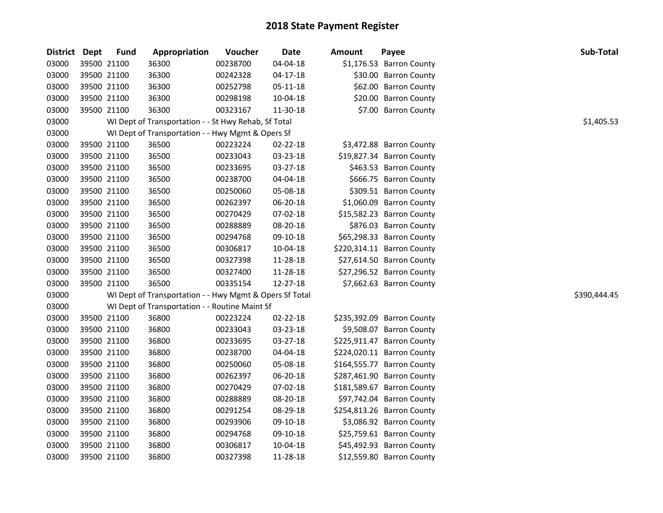| District Dept |             | <b>Fund</b> | Appropriation                                           | Voucher  | Date           | <b>Amount</b> | Payee                      | Sub-Total    |
|---------------|-------------|-------------|---------------------------------------------------------|----------|----------------|---------------|----------------------------|--------------|
| 03000         | 39500 21100 |             | 36300                                                   | 00238700 | 04-04-18       |               | \$1,176.53 Barron County   |              |
| 03000         | 39500 21100 |             | 36300                                                   | 00242328 | $04 - 17 - 18$ |               | \$30.00 Barron County      |              |
| 03000         | 39500 21100 |             | 36300                                                   | 00252798 | 05-11-18       |               | \$62.00 Barron County      |              |
| 03000         | 39500 21100 |             | 36300                                                   | 00298198 | 10-04-18       |               | \$20.00 Barron County      |              |
| 03000         | 39500 21100 |             | 36300                                                   | 00323167 | 11-30-18       |               | \$7.00 Barron County       |              |
| 03000         |             |             | WI Dept of Transportation - - St Hwy Rehab, Sf Total    |          |                |               |                            | \$1,405.53   |
| 03000         |             |             | WI Dept of Transportation - - Hwy Mgmt & Opers Sf       |          |                |               |                            |              |
| 03000         | 39500 21100 |             | 36500                                                   | 00223224 | 02-22-18       |               | \$3,472.88 Barron County   |              |
| 03000         | 39500 21100 |             | 36500                                                   | 00233043 | 03-23-18       |               | \$19,827.34 Barron County  |              |
| 03000         | 39500 21100 |             | 36500                                                   | 00233695 | 03-27-18       |               | \$463.53 Barron County     |              |
| 03000         | 39500 21100 |             | 36500                                                   | 00238700 | 04-04-18       |               | \$666.75 Barron County     |              |
| 03000         | 39500 21100 |             | 36500                                                   | 00250060 | 05-08-18       |               | \$309.51 Barron County     |              |
| 03000         | 39500 21100 |             | 36500                                                   | 00262397 | 06-20-18       |               | \$1,060.09 Barron County   |              |
| 03000         | 39500 21100 |             | 36500                                                   | 00270429 | 07-02-18       |               | \$15,582.23 Barron County  |              |
| 03000         | 39500 21100 |             | 36500                                                   | 00288889 | 08-20-18       |               | \$876.03 Barron County     |              |
| 03000         | 39500 21100 |             | 36500                                                   | 00294768 | 09-10-18       |               | \$65,298.33 Barron County  |              |
| 03000         | 39500 21100 |             | 36500                                                   | 00306817 | 10-04-18       |               | \$220,314.11 Barron County |              |
| 03000         | 39500 21100 |             | 36500                                                   | 00327398 | 11-28-18       |               | \$27,614.50 Barron County  |              |
| 03000         | 39500 21100 |             | 36500                                                   | 00327400 | 11-28-18       |               | \$27,296.52 Barron County  |              |
| 03000         | 39500 21100 |             | 36500                                                   | 00335154 | 12-27-18       |               | \$7,662.63 Barron County   |              |
| 03000         |             |             | WI Dept of Transportation - - Hwy Mgmt & Opers Sf Total |          |                |               |                            | \$390,444.45 |
| 03000         |             |             | WI Dept of Transportation - - Routine Maint Sf          |          |                |               |                            |              |
| 03000         | 39500 21100 |             | 36800                                                   | 00223224 | 02-22-18       |               | \$235,392.09 Barron County |              |
| 03000         | 39500 21100 |             | 36800                                                   | 00233043 | 03-23-18       |               | \$9,508.07 Barron County   |              |
| 03000         | 39500 21100 |             | 36800                                                   | 00233695 | 03-27-18       |               | \$225,911.47 Barron County |              |
| 03000         | 39500 21100 |             | 36800                                                   | 00238700 | 04-04-18       |               | \$224,020.11 Barron County |              |
| 03000         | 39500 21100 |             | 36800                                                   | 00250060 | 05-08-18       |               | \$164,555.77 Barron County |              |
| 03000         | 39500 21100 |             | 36800                                                   | 00262397 | 06-20-18       |               | \$287,461.90 Barron County |              |
| 03000         | 39500 21100 |             | 36800                                                   | 00270429 | 07-02-18       |               | \$181,589.67 Barron County |              |
| 03000         | 39500 21100 |             | 36800                                                   | 00288889 | 08-20-18       |               | \$97,742.04 Barron County  |              |
| 03000         | 39500 21100 |             | 36800                                                   | 00291254 | 08-29-18       |               | \$254,813.26 Barron County |              |
| 03000         | 39500 21100 |             | 36800                                                   | 00293906 | 09-10-18       |               | \$3,086.92 Barron County   |              |
| 03000         | 39500 21100 |             | 36800                                                   | 00294768 | 09-10-18       |               | \$25,759.61 Barron County  |              |
| 03000         | 39500 21100 |             | 36800                                                   | 00306817 | 10-04-18       |               | \$45,492.93 Barron County  |              |
| 03000         | 39500 21100 |             | 36800                                                   | 00327398 | 11-28-18       |               | \$12,559.80 Barron County  |              |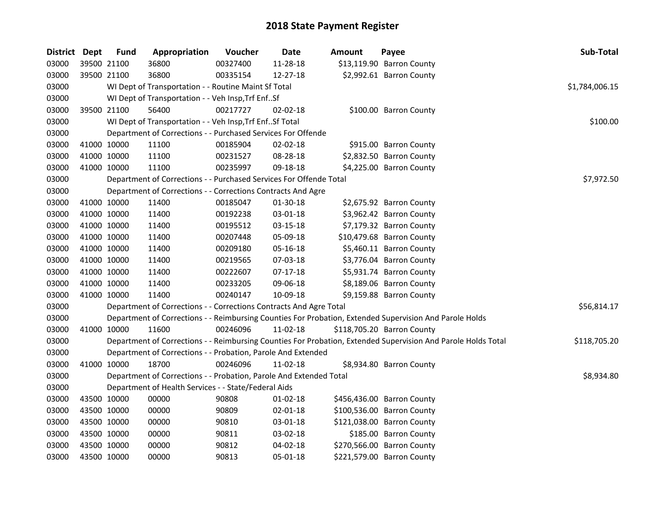| District Dept |             | <b>Fund</b> | Appropriation                                                      | Voucher  | Date           | Amount | Payee                                                                                                         | Sub-Total      |
|---------------|-------------|-------------|--------------------------------------------------------------------|----------|----------------|--------|---------------------------------------------------------------------------------------------------------------|----------------|
| 03000         |             | 39500 21100 | 36800                                                              | 00327400 | 11-28-18       |        | \$13,119.90 Barron County                                                                                     |                |
| 03000         |             | 39500 21100 | 36800                                                              | 00335154 | 12-27-18       |        | \$2,992.61 Barron County                                                                                      |                |
| 03000         |             |             | WI Dept of Transportation - - Routine Maint Sf Total               |          |                |        |                                                                                                               | \$1,784,006.15 |
| 03000         |             |             | WI Dept of Transportation - - Veh Insp, Trf EnfSf                  |          |                |        |                                                                                                               |                |
| 03000         |             | 39500 21100 | 56400                                                              | 00217727 | $02 - 02 - 18$ |        | \$100.00 Barron County                                                                                        |                |
| 03000         |             |             | WI Dept of Transportation - - Veh Insp, Trf EnfSf Total            |          |                |        |                                                                                                               | \$100.00       |
| 03000         |             |             | Department of Corrections - - Purchased Services For Offende       |          |                |        |                                                                                                               |                |
| 03000         |             | 41000 10000 | 11100                                                              | 00185904 | 02-02-18       |        | \$915.00 Barron County                                                                                        |                |
| 03000         | 41000 10000 |             | 11100                                                              | 00231527 | 08-28-18       |        | \$2,832.50 Barron County                                                                                      |                |
| 03000         |             | 41000 10000 | 11100                                                              | 00235997 | 09-18-18       |        | \$4,225.00 Barron County                                                                                      |                |
| 03000         |             |             | Department of Corrections - - Purchased Services For Offende Total |          |                |        |                                                                                                               | \$7,972.50     |
| 03000         |             |             | Department of Corrections - - Corrections Contracts And Agre       |          |                |        |                                                                                                               |                |
| 03000         | 41000 10000 |             | 11400                                                              | 00185047 | 01-30-18       |        | \$2,675.92 Barron County                                                                                      |                |
| 03000         | 41000 10000 |             | 11400                                                              | 00192238 | 03-01-18       |        | \$3,962.42 Barron County                                                                                      |                |
| 03000         | 41000 10000 |             | 11400                                                              | 00195512 | 03-15-18       |        | \$7,179.32 Barron County                                                                                      |                |
| 03000         | 41000 10000 |             | 11400                                                              | 00207448 | 05-09-18       |        | \$10,479.68 Barron County                                                                                     |                |
| 03000         | 41000 10000 |             | 11400                                                              | 00209180 | 05-16-18       |        | \$5,460.11 Barron County                                                                                      |                |
| 03000         | 41000 10000 |             | 11400                                                              | 00219565 | 07-03-18       |        | \$3,776.04 Barron County                                                                                      |                |
| 03000         | 41000 10000 |             | 11400                                                              | 00222607 | $07-17-18$     |        | \$5,931.74 Barron County                                                                                      |                |
| 03000         | 41000 10000 |             | 11400                                                              | 00233205 | 09-06-18       |        | \$8,189.06 Barron County                                                                                      |                |
| 03000         |             | 41000 10000 | 11400                                                              | 00240147 | 10-09-18       |        | \$9,159.88 Barron County                                                                                      |                |
| 03000         |             |             | Department of Corrections - - Corrections Contracts And Agre Total |          |                |        |                                                                                                               | \$56,814.17    |
| 03000         |             |             |                                                                    |          |                |        | Department of Corrections - - Reimbursing Counties For Probation, Extended Supervision And Parole Holds       |                |
| 03000         |             | 41000 10000 | 11600                                                              | 00246096 | 11-02-18       |        | \$118,705.20 Barron County                                                                                    |                |
| 03000         |             |             |                                                                    |          |                |        | Department of Corrections - - Reimbursing Counties For Probation, Extended Supervision And Parole Holds Total | \$118,705.20   |
| 03000         |             |             | Department of Corrections - - Probation, Parole And Extended       |          |                |        |                                                                                                               |                |
| 03000         |             | 41000 10000 | 18700                                                              | 00246096 | 11-02-18       |        | \$8,934.80 Barron County                                                                                      |                |
| 03000         |             |             | Department of Corrections - - Probation, Parole And Extended Total |          |                |        |                                                                                                               | \$8,934.80     |
| 03000         |             |             | Department of Health Services - - State/Federal Aids               |          |                |        |                                                                                                               |                |
| 03000         |             | 43500 10000 | 00000                                                              | 90808    | 01-02-18       |        | \$456,436.00 Barron County                                                                                    |                |
| 03000         |             | 43500 10000 | 00000                                                              | 90809    | 02-01-18       |        | \$100,536.00 Barron County                                                                                    |                |
| 03000         | 43500 10000 |             | 00000                                                              | 90810    | 03-01-18       |        | \$121,038.00 Barron County                                                                                    |                |
| 03000         | 43500 10000 |             | 00000                                                              | 90811    | 03-02-18       |        | \$185.00 Barron County                                                                                        |                |
| 03000         | 43500 10000 |             | 00000                                                              | 90812    | 04-02-18       |        | \$270,566.00 Barron County                                                                                    |                |
| 03000         | 43500 10000 |             | 00000                                                              | 90813    | 05-01-18       |        | \$221,579.00 Barron County                                                                                    |                |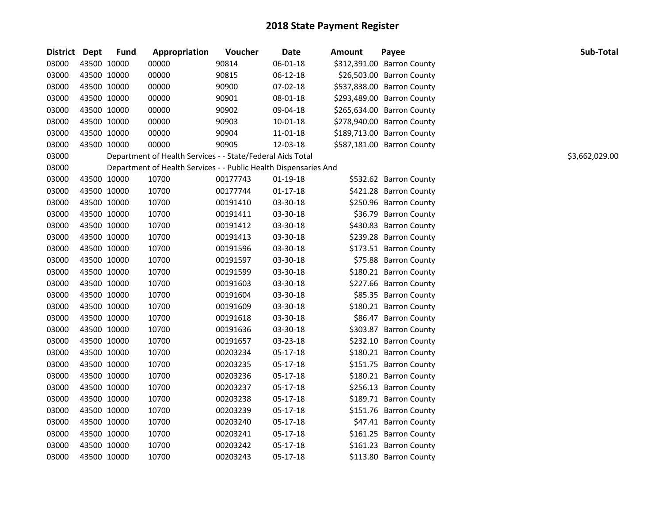| District Dept |             | <b>Fund</b> | Appropriation                                                    | Voucher  | <b>Date</b> | <b>Amount</b> | Payee                      | Sub-Total      |
|---------------|-------------|-------------|------------------------------------------------------------------|----------|-------------|---------------|----------------------------|----------------|
| 03000         | 43500 10000 |             | 00000                                                            | 90814    | 06-01-18    |               | \$312,391.00 Barron County |                |
| 03000         | 43500 10000 |             | 00000                                                            | 90815    | 06-12-18    |               | \$26,503.00 Barron County  |                |
| 03000         | 43500 10000 |             | 00000                                                            | 90900    | 07-02-18    |               | \$537,838.00 Barron County |                |
| 03000         | 43500 10000 |             | 00000                                                            | 90901    | 08-01-18    |               | \$293,489.00 Barron County |                |
| 03000         | 43500 10000 |             | 00000                                                            | 90902    | 09-04-18    |               | \$265,634.00 Barron County |                |
| 03000         | 43500 10000 |             | 00000                                                            | 90903    | 10-01-18    |               | \$278,940.00 Barron County |                |
| 03000         | 43500 10000 |             | 00000                                                            | 90904    | 11-01-18    |               | \$189,713.00 Barron County |                |
| 03000         | 43500 10000 |             | 00000                                                            | 90905    | 12-03-18    |               | \$587,181.00 Barron County |                |
| 03000         |             |             | Department of Health Services - - State/Federal Aids Total       |          |             |               |                            | \$3,662,029.00 |
| 03000         |             |             | Department of Health Services - - Public Health Dispensaries And |          |             |               |                            |                |
| 03000         | 43500 10000 |             | 10700                                                            | 00177743 | $01-19-18$  |               | \$532.62 Barron County     |                |
| 03000         | 43500 10000 |             | 10700                                                            | 00177744 | $01-17-18$  |               | \$421.28 Barron County     |                |
| 03000         | 43500 10000 |             | 10700                                                            | 00191410 | 03-30-18    |               | \$250.96 Barron County     |                |
| 03000         | 43500 10000 |             | 10700                                                            | 00191411 | 03-30-18    |               | \$36.79 Barron County      |                |
| 03000         | 43500 10000 |             | 10700                                                            | 00191412 | 03-30-18    |               | \$430.83 Barron County     |                |
| 03000         | 43500 10000 |             | 10700                                                            | 00191413 | 03-30-18    |               | \$239.28 Barron County     |                |
| 03000         | 43500 10000 |             | 10700                                                            | 00191596 | 03-30-18    |               | \$173.51 Barron County     |                |
| 03000         | 43500 10000 |             | 10700                                                            | 00191597 | 03-30-18    |               | \$75.88 Barron County      |                |
| 03000         | 43500 10000 |             | 10700                                                            | 00191599 | 03-30-18    |               | \$180.21 Barron County     |                |
| 03000         | 43500 10000 |             | 10700                                                            | 00191603 | 03-30-18    |               | \$227.66 Barron County     |                |
| 03000         | 43500 10000 |             | 10700                                                            | 00191604 | 03-30-18    |               | \$85.35 Barron County      |                |
| 03000         | 43500 10000 |             | 10700                                                            | 00191609 | 03-30-18    |               | \$180.21 Barron County     |                |
| 03000         | 43500 10000 |             | 10700                                                            | 00191618 | 03-30-18    |               | \$86.47 Barron County      |                |
| 03000         | 43500 10000 |             | 10700                                                            | 00191636 | 03-30-18    |               | \$303.87 Barron County     |                |
| 03000         | 43500 10000 |             | 10700                                                            | 00191657 | 03-23-18    |               | \$232.10 Barron County     |                |
| 03000         | 43500 10000 |             | 10700                                                            | 00203234 | 05-17-18    |               | \$180.21 Barron County     |                |
| 03000         | 43500 10000 |             | 10700                                                            | 00203235 | 05-17-18    |               | \$151.75 Barron County     |                |
| 03000         | 43500 10000 |             | 10700                                                            | 00203236 | 05-17-18    |               | \$180.21 Barron County     |                |
| 03000         | 43500 10000 |             | 10700                                                            | 00203237 | 05-17-18    |               | \$256.13 Barron County     |                |
| 03000         | 43500 10000 |             | 10700                                                            | 00203238 | 05-17-18    |               | \$189.71 Barron County     |                |
| 03000         | 43500 10000 |             | 10700                                                            | 00203239 | 05-17-18    |               | \$151.76 Barron County     |                |
| 03000         | 43500 10000 |             | 10700                                                            | 00203240 | 05-17-18    |               | \$47.41 Barron County      |                |
| 03000         | 43500 10000 |             | 10700                                                            | 00203241 | 05-17-18    |               | \$161.25 Barron County     |                |
| 03000         | 43500 10000 |             | 10700                                                            | 00203242 | 05-17-18    |               | \$161.23 Barron County     |                |
| 03000         | 43500 10000 |             | 10700                                                            | 00203243 | 05-17-18    |               | \$113.80 Barron County     |                |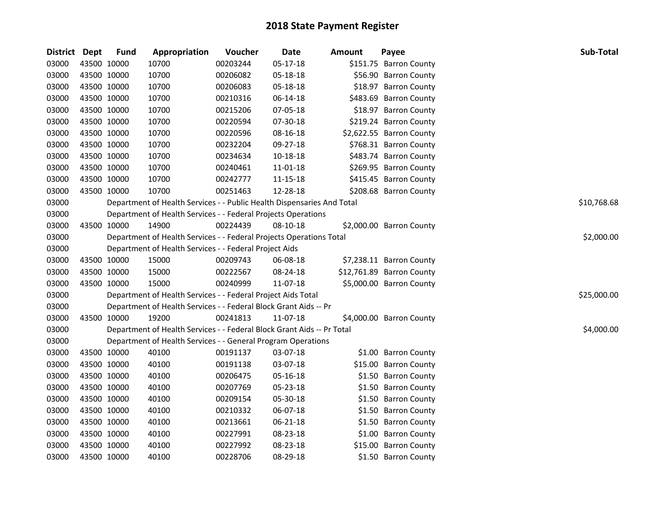| District Dept |             | <b>Fund</b> | Appropriation                                                          | Voucher  | Date     | <b>Amount</b> | Payee                     | Sub-Total   |
|---------------|-------------|-------------|------------------------------------------------------------------------|----------|----------|---------------|---------------------------|-------------|
| 03000         | 43500 10000 |             | 10700                                                                  | 00203244 | 05-17-18 |               | \$151.75 Barron County    |             |
| 03000         | 43500 10000 |             | 10700                                                                  | 00206082 | 05-18-18 |               | \$56.90 Barron County     |             |
| 03000         | 43500 10000 |             | 10700                                                                  | 00206083 | 05-18-18 |               | \$18.97 Barron County     |             |
| 03000         | 43500 10000 |             | 10700                                                                  | 00210316 | 06-14-18 |               | \$483.69 Barron County    |             |
| 03000         | 43500 10000 |             | 10700                                                                  | 00215206 | 07-05-18 |               | \$18.97 Barron County     |             |
| 03000         | 43500 10000 |             | 10700                                                                  | 00220594 | 07-30-18 |               | \$219.24 Barron County    |             |
| 03000         | 43500 10000 |             | 10700                                                                  | 00220596 | 08-16-18 |               | \$2,622.55 Barron County  |             |
| 03000         | 43500 10000 |             | 10700                                                                  | 00232204 | 09-27-18 |               | \$768.31 Barron County    |             |
| 03000         | 43500 10000 |             | 10700                                                                  | 00234634 | 10-18-18 |               | \$483.74 Barron County    |             |
| 03000         | 43500 10000 |             | 10700                                                                  | 00240461 | 11-01-18 |               | \$269.95 Barron County    |             |
| 03000         | 43500 10000 |             | 10700                                                                  | 00242777 | 11-15-18 |               | \$415.45 Barron County    |             |
| 03000         | 43500 10000 |             | 10700                                                                  | 00251463 | 12-28-18 |               | \$208.68 Barron County    |             |
| 03000         |             |             | Department of Health Services - - Public Health Dispensaries And Total |          |          |               |                           | \$10,768.68 |
| 03000         |             |             | Department of Health Services - - Federal Projects Operations          |          |          |               |                           |             |
| 03000         | 43500 10000 |             | 14900                                                                  | 00224439 | 08-10-18 |               | \$2,000.00 Barron County  |             |
| 03000         |             |             | Department of Health Services - - Federal Projects Operations Total    |          |          |               |                           | \$2,000.00  |
| 03000         |             |             | Department of Health Services - - Federal Project Aids                 |          |          |               |                           |             |
| 03000         | 43500 10000 |             | 15000                                                                  | 00209743 | 06-08-18 |               | \$7,238.11 Barron County  |             |
| 03000         | 43500 10000 |             | 15000                                                                  | 00222567 | 08-24-18 |               | \$12,761.89 Barron County |             |
| 03000         | 43500 10000 |             | 15000                                                                  | 00240999 | 11-07-18 |               | \$5,000.00 Barron County  |             |
| 03000         |             |             | Department of Health Services - - Federal Project Aids Total           |          |          |               |                           | \$25,000.00 |
| 03000         |             |             | Department of Health Services - - Federal Block Grant Aids -- Pr       |          |          |               |                           |             |
| 03000         | 43500 10000 |             | 19200                                                                  | 00241813 | 11-07-18 |               | \$4,000.00 Barron County  |             |
| 03000         |             |             | Department of Health Services - - Federal Block Grant Aids -- Pr Total |          |          |               |                           | \$4,000.00  |
| 03000         |             |             | Department of Health Services - - General Program Operations           |          |          |               |                           |             |
| 03000         | 43500 10000 |             | 40100                                                                  | 00191137 | 03-07-18 |               | \$1.00 Barron County      |             |
| 03000         | 43500 10000 |             | 40100                                                                  | 00191138 | 03-07-18 |               | \$15.00 Barron County     |             |
| 03000         | 43500 10000 |             | 40100                                                                  | 00206475 | 05-16-18 |               | \$1.50 Barron County      |             |
| 03000         | 43500 10000 |             | 40100                                                                  | 00207769 | 05-23-18 |               | \$1.50 Barron County      |             |
| 03000         | 43500 10000 |             | 40100                                                                  | 00209154 | 05-30-18 |               | \$1.50 Barron County      |             |
| 03000         | 43500 10000 |             | 40100                                                                  | 00210332 | 06-07-18 |               | \$1.50 Barron County      |             |
| 03000         | 43500 10000 |             | 40100                                                                  | 00213661 | 06-21-18 |               | \$1.50 Barron County      |             |
| 03000         | 43500 10000 |             | 40100                                                                  | 00227991 | 08-23-18 |               | \$1.00 Barron County      |             |
| 03000         | 43500 10000 |             | 40100                                                                  | 00227992 | 08-23-18 |               | \$15.00 Barron County     |             |
| 03000         | 43500 10000 |             | 40100                                                                  | 00228706 | 08-29-18 |               | \$1.50 Barron County      |             |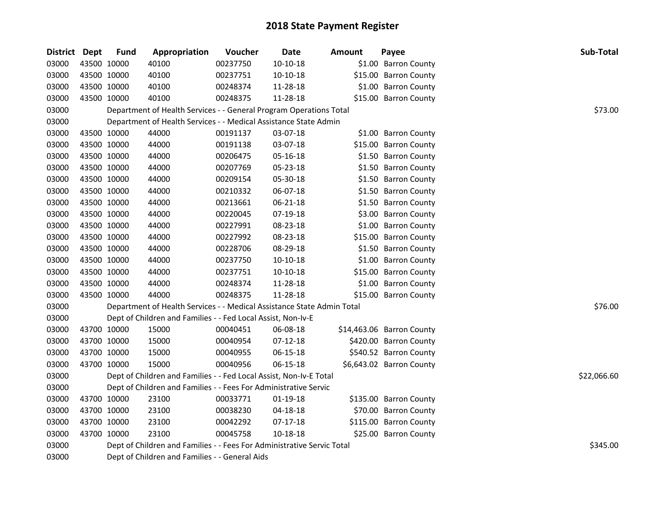| District Dept |             | <b>Fund</b> | Appropriation                                                          | Voucher  | Date       | <b>Amount</b> | Payee                     | Sub-Total   |
|---------------|-------------|-------------|------------------------------------------------------------------------|----------|------------|---------------|---------------------------|-------------|
| 03000         | 43500 10000 |             | 40100                                                                  | 00237750 | $10-10-18$ |               | \$1.00 Barron County      |             |
| 03000         |             | 43500 10000 | 40100                                                                  | 00237751 | 10-10-18   |               | \$15.00 Barron County     |             |
| 03000         |             | 43500 10000 | 40100                                                                  | 00248374 | 11-28-18   |               | \$1.00 Barron County      |             |
| 03000         | 43500 10000 |             | 40100                                                                  | 00248375 | 11-28-18   |               | \$15.00 Barron County     |             |
| 03000         |             |             | Department of Health Services - - General Program Operations Total     |          |            |               |                           | \$73.00     |
| 03000         |             |             | Department of Health Services - - Medical Assistance State Admin       |          |            |               |                           |             |
| 03000         | 43500 10000 |             | 44000                                                                  | 00191137 | 03-07-18   |               | \$1.00 Barron County      |             |
| 03000         | 43500 10000 |             | 44000                                                                  | 00191138 | 03-07-18   |               | \$15.00 Barron County     |             |
| 03000         | 43500 10000 |             | 44000                                                                  | 00206475 | 05-16-18   |               | \$1.50 Barron County      |             |
| 03000         | 43500 10000 |             | 44000                                                                  | 00207769 | 05-23-18   |               | \$1.50 Barron County      |             |
| 03000         | 43500 10000 |             | 44000                                                                  | 00209154 | 05-30-18   |               | \$1.50 Barron County      |             |
| 03000         | 43500 10000 |             | 44000                                                                  | 00210332 | 06-07-18   |               | \$1.50 Barron County      |             |
| 03000         |             | 43500 10000 | 44000                                                                  | 00213661 | 06-21-18   |               | \$1.50 Barron County      |             |
| 03000         | 43500 10000 |             | 44000                                                                  | 00220045 | 07-19-18   |               | \$3.00 Barron County      |             |
| 03000         | 43500 10000 |             | 44000                                                                  | 00227991 | 08-23-18   |               | \$1.00 Barron County      |             |
| 03000         | 43500 10000 |             | 44000                                                                  | 00227992 | 08-23-18   |               | \$15.00 Barron County     |             |
| 03000         |             | 43500 10000 | 44000                                                                  | 00228706 | 08-29-18   |               | \$1.50 Barron County      |             |
| 03000         |             | 43500 10000 | 44000                                                                  | 00237750 | $10-10-18$ |               | \$1.00 Barron County      |             |
| 03000         |             | 43500 10000 | 44000                                                                  | 00237751 | 10-10-18   |               | \$15.00 Barron County     |             |
| 03000         | 43500 10000 |             | 44000                                                                  | 00248374 | 11-28-18   |               | \$1.00 Barron County      |             |
| 03000         | 43500 10000 |             | 44000                                                                  | 00248375 | 11-28-18   |               | \$15.00 Barron County     |             |
| 03000         |             |             | Department of Health Services - - Medical Assistance State Admin Total |          |            |               |                           | \$76.00     |
| 03000         |             |             | Dept of Children and Families - - Fed Local Assist, Non-Iv-E           |          |            |               |                           |             |
| 03000         |             | 43700 10000 | 15000                                                                  | 00040451 | 06-08-18   |               | \$14,463.06 Barron County |             |
| 03000         |             | 43700 10000 | 15000                                                                  | 00040954 | 07-12-18   |               | \$420.00 Barron County    |             |
| 03000         | 43700 10000 |             | 15000                                                                  | 00040955 | 06-15-18   |               | \$540.52 Barron County    |             |
| 03000         |             | 43700 10000 | 15000                                                                  | 00040956 | 06-15-18   |               | \$6,643.02 Barron County  |             |
| 03000         |             |             | Dept of Children and Families - - Fed Local Assist, Non-Iv-E Total     |          |            |               |                           | \$22,066.60 |
| 03000         |             |             | Dept of Children and Families - - Fees For Administrative Servic       |          |            |               |                           |             |
| 03000         | 43700 10000 |             | 23100                                                                  | 00033771 | 01-19-18   |               | \$135.00 Barron County    |             |
| 03000         |             | 43700 10000 | 23100                                                                  | 00038230 | 04-18-18   |               | \$70.00 Barron County     |             |
| 03000         | 43700 10000 |             | 23100                                                                  | 00042292 | 07-17-18   |               | \$115.00 Barron County    |             |
| 03000         | 43700 10000 |             | 23100                                                                  | 00045758 | 10-18-18   |               | \$25.00 Barron County     |             |
| 03000         |             |             | Dept of Children and Families - - Fees For Administrative Servic Total |          |            |               |                           | \$345.00    |
| 03000         |             |             | Dept of Children and Families - - General Aids                         |          |            |               |                           |             |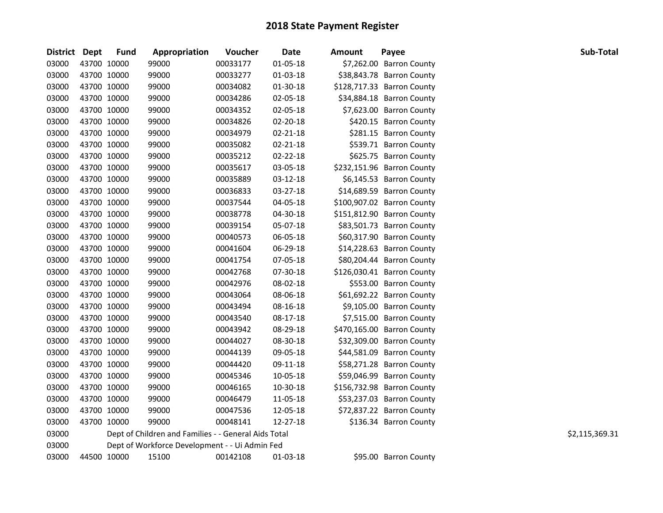| District Dept |             | <b>Fund</b> | Appropriation                                        | Voucher  | Date           | <b>Amount</b> | Payee                      | Sub-Total      |
|---------------|-------------|-------------|------------------------------------------------------|----------|----------------|---------------|----------------------------|----------------|
| 03000         | 43700 10000 |             | 99000                                                | 00033177 | $01 - 05 - 18$ |               | \$7,262.00 Barron County   |                |
| 03000         | 43700 10000 |             | 99000                                                | 00033277 | 01-03-18       |               | \$38,843.78 Barron County  |                |
| 03000         | 43700 10000 |             | 99000                                                | 00034082 | 01-30-18       |               | \$128,717.33 Barron County |                |
| 03000         | 43700 10000 |             | 99000                                                | 00034286 | 02-05-18       |               | \$34,884.18 Barron County  |                |
| 03000         |             | 43700 10000 | 99000                                                | 00034352 | 02-05-18       |               | \$7,623.00 Barron County   |                |
| 03000         |             | 43700 10000 | 99000                                                | 00034826 | 02-20-18       |               | \$420.15 Barron County     |                |
| 03000         |             | 43700 10000 | 99000                                                | 00034979 | 02-21-18       |               | \$281.15 Barron County     |                |
| 03000         |             | 43700 10000 | 99000                                                | 00035082 | $02 - 21 - 18$ |               | \$539.71 Barron County     |                |
| 03000         |             | 43700 10000 | 99000                                                | 00035212 | 02-22-18       |               | \$625.75 Barron County     |                |
| 03000         | 43700 10000 |             | 99000                                                | 00035617 | 03-05-18       |               | \$232,151.96 Barron County |                |
| 03000         | 43700 10000 |             | 99000                                                | 00035889 | 03-12-18       |               | \$6,145.53 Barron County   |                |
| 03000         | 43700 10000 |             | 99000                                                | 00036833 | 03-27-18       |               | \$14,689.59 Barron County  |                |
| 03000         | 43700 10000 |             | 99000                                                | 00037544 | 04-05-18       |               | \$100,907.02 Barron County |                |
| 03000         | 43700 10000 |             | 99000                                                | 00038778 | 04-30-18       |               | \$151,812.90 Barron County |                |
| 03000         | 43700 10000 |             | 99000                                                | 00039154 | 05-07-18       |               | \$83,501.73 Barron County  |                |
| 03000         |             | 43700 10000 | 99000                                                | 00040573 | 06-05-18       |               | \$60,317.90 Barron County  |                |
| 03000         |             | 43700 10000 | 99000                                                | 00041604 | 06-29-18       |               | \$14,228.63 Barron County  |                |
| 03000         |             | 43700 10000 | 99000                                                | 00041754 | 07-05-18       |               | \$80,204.44 Barron County  |                |
| 03000         |             | 43700 10000 | 99000                                                | 00042768 | 07-30-18       |               | \$126,030.41 Barron County |                |
| 03000         | 43700 10000 |             | 99000                                                | 00042976 | 08-02-18       |               | \$553.00 Barron County     |                |
| 03000         | 43700 10000 |             | 99000                                                | 00043064 | 08-06-18       |               | \$61,692.22 Barron County  |                |
| 03000         | 43700 10000 |             | 99000                                                | 00043494 | 08-16-18       |               | \$9,105.00 Barron County   |                |
| 03000         | 43700 10000 |             | 99000                                                | 00043540 | 08-17-18       |               | \$7,515.00 Barron County   |                |
| 03000         | 43700 10000 |             | 99000                                                | 00043942 | 08-29-18       |               | \$470,165.00 Barron County |                |
| 03000         | 43700 10000 |             | 99000                                                | 00044027 | 08-30-18       |               | \$32,309.00 Barron County  |                |
| 03000         | 43700 10000 |             | 99000                                                | 00044139 | 09-05-18       |               | \$44,581.09 Barron County  |                |
| 03000         |             | 43700 10000 | 99000                                                | 00044420 | 09-11-18       |               | \$58,271.28 Barron County  |                |
| 03000         |             | 43700 10000 | 99000                                                | 00045346 | 10-05-18       |               | \$59,046.99 Barron County  |                |
| 03000         |             | 43700 10000 | 99000                                                | 00046165 | 10-30-18       |               | \$156,732.98 Barron County |                |
| 03000         |             | 43700 10000 | 99000                                                | 00046479 | 11-05-18       |               | \$53,237.03 Barron County  |                |
| 03000         |             | 43700 10000 | 99000                                                | 00047536 | 12-05-18       |               | \$72,837.22 Barron County  |                |
| 03000         | 43700 10000 |             | 99000                                                | 00048141 | 12-27-18       |               | \$136.34 Barron County     |                |
| 03000         |             |             | Dept of Children and Families - - General Aids Total |          |                |               |                            | \$2,115,369.31 |
| 03000         |             |             | Dept of Workforce Development - - Ui Admin Fed       |          |                |               |                            |                |
| 03000         |             | 44500 10000 | 15100                                                | 00142108 | 01-03-18       |               | \$95.00 Barron County      |                |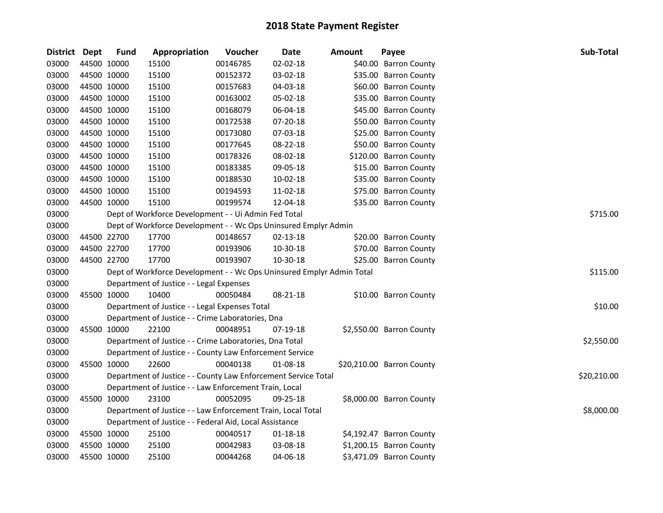| <b>District</b> | <b>Dept</b> | <b>Fund</b> | Appropriation                                                         | Voucher  | <b>Date</b>    | <b>Amount</b> | Payee                     | Sub-Total   |
|-----------------|-------------|-------------|-----------------------------------------------------------------------|----------|----------------|---------------|---------------------------|-------------|
| 03000           |             | 44500 10000 | 15100                                                                 | 00146785 | $02 - 02 - 18$ |               | \$40.00 Barron County     |             |
| 03000           | 44500 10000 |             | 15100                                                                 | 00152372 | 03-02-18       |               | \$35.00 Barron County     |             |
| 03000           |             | 44500 10000 | 15100                                                                 | 00157683 | 04-03-18       |               | \$60.00 Barron County     |             |
| 03000           |             | 44500 10000 | 15100                                                                 | 00163002 | 05-02-18       |               | \$35.00 Barron County     |             |
| 03000           |             | 44500 10000 | 15100                                                                 | 00168079 | 06-04-18       |               | \$45.00 Barron County     |             |
| 03000           | 44500 10000 |             | 15100                                                                 | 00172538 | 07-20-18       |               | \$50.00 Barron County     |             |
| 03000           |             | 44500 10000 | 15100                                                                 | 00173080 | 07-03-18       |               | \$25.00 Barron County     |             |
| 03000           | 44500 10000 |             | 15100                                                                 | 00177645 | 08-22-18       |               | \$50.00 Barron County     |             |
| 03000           |             | 44500 10000 | 15100                                                                 | 00178326 | 08-02-18       |               | \$120.00 Barron County    |             |
| 03000           |             | 44500 10000 | 15100                                                                 | 00183385 | 09-05-18       |               | \$15.00 Barron County     |             |
| 03000           |             | 44500 10000 | 15100                                                                 | 00188530 | 10-02-18       |               | \$35.00 Barron County     |             |
| 03000           |             | 44500 10000 | 15100                                                                 | 00194593 | 11-02-18       |               | \$75.00 Barron County     |             |
| 03000           |             | 44500 10000 | 15100                                                                 | 00199574 | 12-04-18       |               | \$35.00 Barron County     |             |
| 03000           |             |             | Dept of Workforce Development - - Ui Admin Fed Total                  |          |                |               |                           | \$715.00    |
| 03000           |             |             | Dept of Workforce Development - - Wc Ops Uninsured Emplyr Admin       |          |                |               |                           |             |
| 03000           |             | 44500 22700 | 17700                                                                 | 00148657 | 02-13-18       |               | \$20.00 Barron County     |             |
| 03000           |             | 44500 22700 | 17700                                                                 | 00193906 | 10-30-18       |               | \$70.00 Barron County     |             |
| 03000           |             | 44500 22700 | 17700                                                                 | 00193907 | 10-30-18       |               | \$25.00 Barron County     |             |
| 03000           |             |             | Dept of Workforce Development - - Wc Ops Uninsured Emplyr Admin Total |          |                |               |                           | \$115.00    |
| 03000           |             |             | Department of Justice - - Legal Expenses                              |          |                |               |                           |             |
| 03000           | 45500 10000 |             | 10400                                                                 | 00050484 | 08-21-18       |               | \$10.00 Barron County     |             |
| 03000           |             |             | Department of Justice - - Legal Expenses Total                        |          |                |               |                           | \$10.00     |
| 03000           |             |             | Department of Justice - - Crime Laboratories, Dna                     |          |                |               |                           |             |
| 03000           |             | 45500 10000 | 22100                                                                 | 00048951 | 07-19-18       |               | \$2,550.00 Barron County  |             |
| 03000           |             |             | Department of Justice - - Crime Laboratories, Dna Total               |          |                |               |                           | \$2,550.00  |
| 03000           |             |             | Department of Justice - - County Law Enforcement Service              |          |                |               |                           |             |
| 03000           |             | 45500 10000 | 22600                                                                 | 00040138 | 01-08-18       |               | \$20,210.00 Barron County |             |
| 03000           |             |             | Department of Justice - - County Law Enforcement Service Total        |          |                |               |                           | \$20,210.00 |
| 03000           |             |             | Department of Justice - - Law Enforcement Train, Local                |          |                |               |                           |             |
| 03000           |             | 45500 10000 | 23100                                                                 | 00052095 | 09-25-18       |               | \$8,000.00 Barron County  |             |
| 03000           |             |             | Department of Justice - - Law Enforcement Train, Local Total          |          |                |               |                           | \$8,000.00  |
| 03000           |             |             | Department of Justice - - Federal Aid, Local Assistance               |          |                |               |                           |             |
| 03000           |             | 45500 10000 | 25100                                                                 | 00040517 | 01-18-18       |               | \$4,192.47 Barron County  |             |
| 03000           | 45500 10000 |             | 25100                                                                 | 00042983 | 03-08-18       |               | \$1,200.15 Barron County  |             |
| 03000           |             | 45500 10000 | 25100                                                                 | 00044268 | 04-06-18       |               | \$3,471.09 Barron County  |             |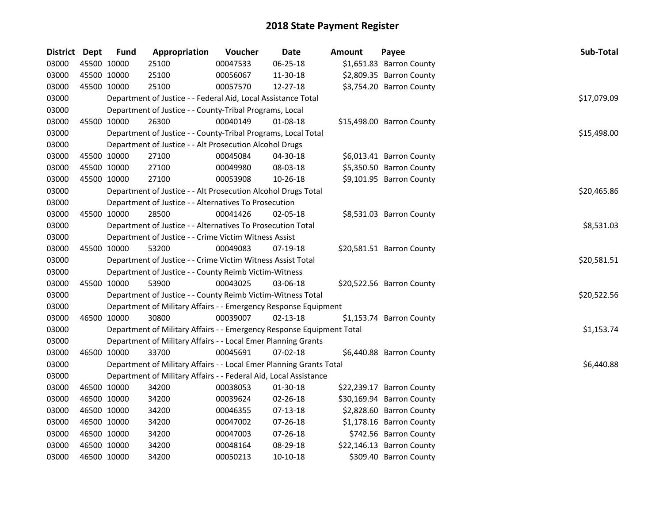| District Dept |             | Fund        | Appropriation                                                         | Voucher  | <b>Date</b>    | <b>Amount</b> | Payee                     | Sub-Total   |
|---------------|-------------|-------------|-----------------------------------------------------------------------|----------|----------------|---------------|---------------------------|-------------|
| 03000         | 45500 10000 |             | 25100                                                                 | 00047533 | 06-25-18       |               | \$1,651.83 Barron County  |             |
| 03000         | 45500 10000 |             | 25100                                                                 | 00056067 | 11-30-18       |               | \$2,809.35 Barron County  |             |
| 03000         | 45500 10000 |             | 25100                                                                 | 00057570 | 12-27-18       |               | \$3,754.20 Barron County  |             |
| 03000         |             |             | Department of Justice - - Federal Aid, Local Assistance Total         |          |                |               |                           | \$17,079.09 |
| 03000         |             |             | Department of Justice - - County-Tribal Programs, Local               |          |                |               |                           |             |
| 03000         | 45500 10000 |             | 26300                                                                 | 00040149 | 01-08-18       |               | \$15,498.00 Barron County |             |
| 03000         |             |             | Department of Justice - - County-Tribal Programs, Local Total         |          |                |               |                           | \$15,498.00 |
| 03000         |             |             | Department of Justice - - Alt Prosecution Alcohol Drugs               |          |                |               |                           |             |
| 03000         | 45500 10000 |             | 27100                                                                 | 00045084 | 04-30-18       |               | \$6,013.41 Barron County  |             |
| 03000         | 45500 10000 |             | 27100                                                                 | 00049980 | 08-03-18       |               | \$5,350.50 Barron County  |             |
| 03000         |             | 45500 10000 | 27100                                                                 | 00053908 | 10-26-18       |               | \$9,101.95 Barron County  |             |
| 03000         |             |             | Department of Justice - - Alt Prosecution Alcohol Drugs Total         |          |                |               |                           | \$20,465.86 |
| 03000         |             |             | Department of Justice - - Alternatives To Prosecution                 |          |                |               |                           |             |
| 03000         | 45500 10000 |             | 28500                                                                 | 00041426 | $02 - 05 - 18$ |               | \$8,531.03 Barron County  |             |
| 03000         |             |             | Department of Justice - - Alternatives To Prosecution Total           |          |                |               |                           | \$8,531.03  |
| 03000         |             |             | Department of Justice - - Crime Victim Witness Assist                 |          |                |               |                           |             |
| 03000         |             | 45500 10000 | 53200                                                                 | 00049083 | 07-19-18       |               | \$20,581.51 Barron County |             |
| 03000         |             |             | Department of Justice - - Crime Victim Witness Assist Total           |          |                |               |                           | \$20,581.51 |
| 03000         |             |             | Department of Justice - - County Reimb Victim-Witness                 |          |                |               |                           |             |
| 03000         | 45500 10000 |             | 53900                                                                 | 00043025 | 03-06-18       |               | \$20,522.56 Barron County |             |
| 03000         |             |             | Department of Justice - - County Reimb Victim-Witness Total           |          |                |               |                           | \$20,522.56 |
| 03000         |             |             | Department of Military Affairs - - Emergency Response Equipment       |          |                |               |                           |             |
| 03000         |             | 46500 10000 | 30800                                                                 | 00039007 | $02 - 13 - 18$ |               | \$1,153.74 Barron County  |             |
| 03000         |             |             | Department of Military Affairs - - Emergency Response Equipment Total |          |                |               |                           | \$1,153.74  |
| 03000         |             |             | Department of Military Affairs - - Local Emer Planning Grants         |          |                |               |                           |             |
| 03000         |             | 46500 10000 | 33700                                                                 | 00045691 | $07-02-18$     |               | \$6,440.88 Barron County  |             |
| 03000         |             |             | Department of Military Affairs - - Local Emer Planning Grants Total   |          |                |               |                           | \$6,440.88  |
| 03000         |             |             | Department of Military Affairs - - Federal Aid, Local Assistance      |          |                |               |                           |             |
| 03000         | 46500 10000 |             | 34200                                                                 | 00038053 | 01-30-18       |               | \$22,239.17 Barron County |             |
| 03000         | 46500 10000 |             | 34200                                                                 | 00039624 | 02-26-18       |               | \$30,169.94 Barron County |             |
| 03000         | 46500 10000 |             | 34200                                                                 | 00046355 | $07-13-18$     |               | \$2,828.60 Barron County  |             |
| 03000         | 46500 10000 |             | 34200                                                                 | 00047002 | 07-26-18       |               | \$1,178.16 Barron County  |             |
| 03000         | 46500 10000 |             | 34200                                                                 | 00047003 | 07-26-18       |               | \$742.56 Barron County    |             |
| 03000         | 46500 10000 |             | 34200                                                                 | 00048164 | 08-29-18       |               | \$22,146.13 Barron County |             |
| 03000         | 46500 10000 |             | 34200                                                                 | 00050213 | 10-10-18       |               | \$309.40 Barron County    |             |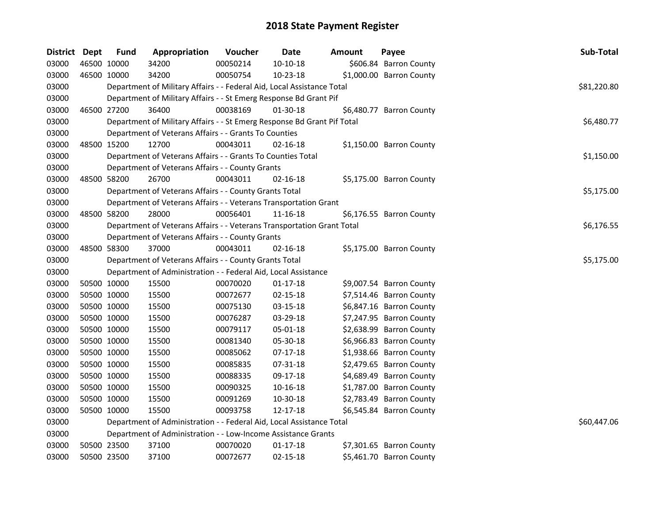| District Dept |             | <b>Fund</b> | Appropriation                                                           | Voucher    | Date           | <b>Amount</b> | Payee                    | Sub-Total   |
|---------------|-------------|-------------|-------------------------------------------------------------------------|------------|----------------|---------------|--------------------------|-------------|
| 03000         |             | 46500 10000 | 34200                                                                   | 00050214   | 10-10-18       |               | \$606.84 Barron County   |             |
| 03000         | 46500 10000 |             | 34200                                                                   | 00050754   | 10-23-18       |               | \$1,000.00 Barron County |             |
| 03000         |             |             | Department of Military Affairs - - Federal Aid, Local Assistance Total  |            |                |               |                          | \$81,220.80 |
| 03000         |             |             | Department of Military Affairs - - St Emerg Response Bd Grant Pif       |            |                |               |                          |             |
| 03000         |             | 46500 27200 | 36400                                                                   | 00038169   | $01 - 30 - 18$ |               | \$6,480.77 Barron County |             |
| 03000         |             |             | Department of Military Affairs - - St Emerg Response Bd Grant Pif Total |            |                |               |                          | \$6,480.77  |
| 03000         |             |             | Department of Veterans Affairs - - Grants To Counties                   |            |                |               |                          |             |
| 03000         |             | 48500 15200 | 12700                                                                   | 00043011   | $02 - 16 - 18$ |               | \$1,150.00 Barron County |             |
| 03000         |             |             | Department of Veterans Affairs - - Grants To Counties Total             |            |                |               |                          | \$1,150.00  |
| 03000         |             |             | Department of Veterans Affairs - - County Grants                        |            |                |               |                          |             |
| 03000         |             | 48500 58200 | 26700                                                                   | 00043011   | 02-16-18       |               | \$5,175.00 Barron County |             |
| 03000         |             |             | Department of Veterans Affairs - - County Grants Total                  |            |                |               |                          | \$5,175.00  |
| 03000         |             |             | Department of Veterans Affairs - - Veterans Transportation Grant        |            |                |               |                          |             |
| 03000         |             | 48500 58200 | 28000                                                                   | 00056401   | 11-16-18       |               | \$6,176.55 Barron County |             |
| 03000         |             |             | Department of Veterans Affairs - - Veterans Transportation Grant Total  |            |                |               |                          | \$6,176.55  |
| 03000         |             |             | Department of Veterans Affairs - - County Grants                        |            |                |               |                          |             |
| 03000         |             | 48500 58300 | 37000                                                                   | 00043011   | 02-16-18       |               | \$5,175.00 Barron County |             |
| 03000         |             |             | Department of Veterans Affairs - - County Grants Total                  | \$5,175.00 |                |               |                          |             |
| 03000         |             |             | Department of Administration - - Federal Aid, Local Assistance          |            |                |               |                          |             |
| 03000         |             | 50500 10000 | 15500                                                                   | 00070020   | $01 - 17 - 18$ |               | \$9,007.54 Barron County |             |
| 03000         |             | 50500 10000 | 15500                                                                   | 00072677   | 02-15-18       |               | \$7,514.46 Barron County |             |
| 03000         | 50500 10000 |             | 15500                                                                   | 00075130   | 03-15-18       |               | \$6,847.16 Barron County |             |
| 03000         |             | 50500 10000 | 15500                                                                   | 00076287   | 03-29-18       |               | \$7,247.95 Barron County |             |
| 03000         |             | 50500 10000 | 15500                                                                   | 00079117   | 05-01-18       |               | \$2,638.99 Barron County |             |
| 03000         |             | 50500 10000 | 15500                                                                   | 00081340   | 05-30-18       |               | \$6,966.83 Barron County |             |
| 03000         |             | 50500 10000 | 15500                                                                   | 00085062   | $07-17-18$     |               | \$1,938.66 Barron County |             |
| 03000         |             | 50500 10000 | 15500                                                                   | 00085835   | 07-31-18       |               | \$2,479.65 Barron County |             |
| 03000         |             | 50500 10000 | 15500                                                                   | 00088335   | 09-17-18       |               | \$4,689.49 Barron County |             |
| 03000         | 50500 10000 |             | 15500                                                                   | 00090325   | 10-16-18       |               | \$1,787.00 Barron County |             |
| 03000         | 50500 10000 |             | 15500                                                                   | 00091269   | 10-30-18       |               | \$2,783.49 Barron County |             |
| 03000         | 50500 10000 |             | 15500                                                                   | 00093758   | 12-17-18       |               | \$6,545.84 Barron County |             |
| 03000         |             |             | Department of Administration - - Federal Aid, Local Assistance Total    |            |                |               |                          | \$60,447.06 |
| 03000         |             |             | Department of Administration - - Low-Income Assistance Grants           |            |                |               |                          |             |
| 03000         |             | 50500 23500 | 37100                                                                   | 00070020   | $01-17-18$     |               | \$7,301.65 Barron County |             |
| 03000         | 50500 23500 |             | 37100                                                                   | 00072677   | $02 - 15 - 18$ |               | \$5,461.70 Barron County |             |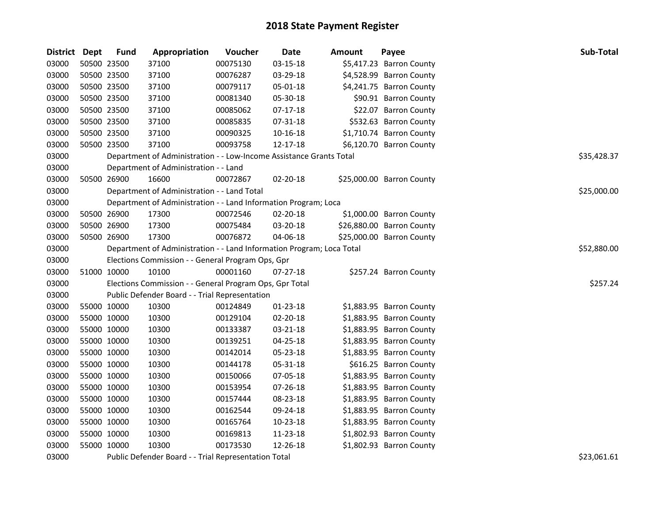| District Dept |             | <b>Fund</b> | Appropriation                                                         | Voucher     | <b>Date</b> | Amount | Payee                     | Sub-Total   |
|---------------|-------------|-------------|-----------------------------------------------------------------------|-------------|-------------|--------|---------------------------|-------------|
| 03000         | 50500 23500 |             | 37100                                                                 | 00075130    | 03-15-18    |        | \$5,417.23 Barron County  |             |
| 03000         | 50500 23500 |             | 37100                                                                 | 00076287    | 03-29-18    |        | \$4,528.99 Barron County  |             |
| 03000         | 50500 23500 |             | 37100                                                                 | 00079117    | 05-01-18    |        | \$4,241.75 Barron County  |             |
| 03000         | 50500 23500 |             | 37100                                                                 | 00081340    | 05-30-18    |        | \$90.91 Barron County     |             |
| 03000         | 50500 23500 |             | 37100                                                                 | 00085062    | 07-17-18    |        | \$22.07 Barron County     |             |
| 03000         | 50500 23500 |             | 37100                                                                 | 00085835    | 07-31-18    |        | \$532.63 Barron County    |             |
| 03000         | 50500 23500 |             | 37100                                                                 | 00090325    | 10-16-18    |        | \$1,710.74 Barron County  |             |
| 03000         | 50500 23500 |             | 37100                                                                 | 00093758    | 12-17-18    |        | \$6,120.70 Barron County  |             |
| 03000         |             |             | Department of Administration - - Low-Income Assistance Grants Total   |             |             |        |                           | \$35,428.37 |
| 03000         |             |             | Department of Administration - - Land                                 |             |             |        |                           |             |
| 03000         |             | 50500 26900 | 16600                                                                 | 00072867    | 02-20-18    |        | \$25,000.00 Barron County |             |
| 03000         |             |             | Department of Administration - - Land Total                           |             |             |        |                           | \$25,000.00 |
| 03000         |             |             | Department of Administration - - Land Information Program; Loca       |             |             |        |                           |             |
| 03000         |             | 50500 26900 | 17300                                                                 | 00072546    | 02-20-18    |        | \$1,000.00 Barron County  |             |
| 03000         | 50500 26900 |             | 17300                                                                 | 00075484    | 03-20-18    |        | \$26,880.00 Barron County |             |
| 03000         | 50500 26900 |             | 17300                                                                 | 00076872    | 04-06-18    |        | \$25,000.00 Barron County |             |
| 03000         |             |             | Department of Administration - - Land Information Program; Loca Total | \$52,880.00 |             |        |                           |             |
| 03000         |             |             | Elections Commission - - General Program Ops, Gpr                     |             |             |        |                           |             |
| 03000         | 51000 10000 |             | 10100                                                                 | 00001160    | 07-27-18    |        | \$257.24 Barron County    |             |
| 03000         |             |             | Elections Commission - - General Program Ops, Gpr Total               |             |             |        |                           | \$257.24    |
| 03000         |             |             | Public Defender Board - - Trial Representation                        |             |             |        |                           |             |
| 03000         | 55000 10000 |             | 10300                                                                 | 00124849    | 01-23-18    |        | \$1,883.95 Barron County  |             |
| 03000         | 55000 10000 |             | 10300                                                                 | 00129104    | 02-20-18    |        | \$1,883.95 Barron County  |             |
| 03000         | 55000 10000 |             | 10300                                                                 | 00133387    | 03-21-18    |        | \$1,883.95 Barron County  |             |
| 03000         | 55000 10000 |             | 10300                                                                 | 00139251    | 04-25-18    |        | \$1,883.95 Barron County  |             |
| 03000         | 55000 10000 |             | 10300                                                                 | 00142014    | 05-23-18    |        | \$1,883.95 Barron County  |             |
| 03000         | 55000 10000 |             | 10300                                                                 | 00144178    | 05-31-18    |        | \$616.25 Barron County    |             |
| 03000         | 55000 10000 |             | 10300                                                                 | 00150066    | 07-05-18    |        | \$1,883.95 Barron County  |             |
| 03000         | 55000 10000 |             | 10300                                                                 | 00153954    | 07-26-18    |        | \$1,883.95 Barron County  |             |
| 03000         | 55000 10000 |             | 10300                                                                 | 00157444    | 08-23-18    |        | \$1,883.95 Barron County  |             |
| 03000         | 55000 10000 |             | 10300                                                                 | 00162544    | 09-24-18    |        | \$1,883.95 Barron County  |             |
| 03000         | 55000 10000 |             | 10300                                                                 | 00165764    | 10-23-18    |        | \$1,883.95 Barron County  |             |
| 03000         | 55000 10000 |             | 10300                                                                 | 00169813    | 11-23-18    |        | \$1,802.93 Barron County  |             |
| 03000         | 55000 10000 |             | 10300                                                                 | 00173530    | 12-26-18    |        | \$1,802.93 Barron County  |             |
| 03000         |             |             | Public Defender Board - - Trial Representation Total                  |             |             |        |                           | \$23,061.61 |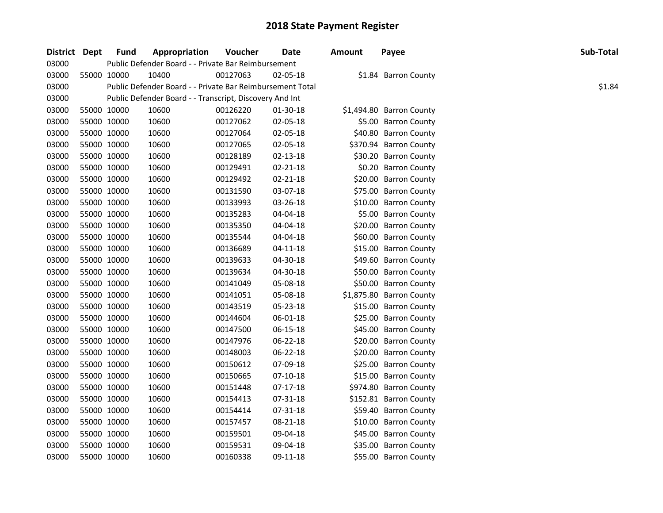| District Dept | <b>Fund</b> | Appropriation                                             | Voucher  | Date           | Amount | Payee                    | Sub-Total |
|---------------|-------------|-----------------------------------------------------------|----------|----------------|--------|--------------------------|-----------|
| 03000         |             | Public Defender Board - - Private Bar Reimbursement       |          |                |        |                          |           |
| 03000         | 55000 10000 | 10400                                                     | 00127063 | 02-05-18       |        | \$1.84 Barron County     |           |
| 03000         |             | Public Defender Board - - Private Bar Reimbursement Total |          |                |        |                          | \$1.84    |
| 03000         |             | Public Defender Board - - Transcript, Discovery And Int   |          |                |        |                          |           |
| 03000         | 55000 10000 | 10600                                                     | 00126220 | 01-30-18       |        | \$1,494.80 Barron County |           |
| 03000         | 55000 10000 | 10600                                                     | 00127062 | 02-05-18       |        | \$5.00 Barron County     |           |
| 03000         | 55000 10000 | 10600                                                     | 00127064 | 02-05-18       |        | \$40.80 Barron County    |           |
| 03000         | 55000 10000 | 10600                                                     | 00127065 | 02-05-18       |        | \$370.94 Barron County   |           |
| 03000         | 55000 10000 | 10600                                                     | 00128189 | $02 - 13 - 18$ |        | \$30.20 Barron County    |           |
| 03000         | 55000 10000 | 10600                                                     | 00129491 | $02 - 21 - 18$ |        | \$0.20 Barron County     |           |
| 03000         | 55000 10000 | 10600                                                     | 00129492 | 02-21-18       |        | \$20.00 Barron County    |           |
| 03000         | 55000 10000 | 10600                                                     | 00131590 | 03-07-18       |        | \$75.00 Barron County    |           |
| 03000         | 55000 10000 | 10600                                                     | 00133993 | 03-26-18       |        | \$10.00 Barron County    |           |
| 03000         | 55000 10000 | 10600                                                     | 00135283 | 04-04-18       |        | \$5.00 Barron County     |           |
| 03000         | 55000 10000 | 10600                                                     | 00135350 | 04-04-18       |        | \$20.00 Barron County    |           |
| 03000         | 55000 10000 | 10600                                                     | 00135544 | 04-04-18       |        | \$60.00 Barron County    |           |
| 03000         | 55000 10000 | 10600                                                     | 00136689 | $04 - 11 - 18$ |        | \$15.00 Barron County    |           |
| 03000         | 55000 10000 | 10600                                                     | 00139633 | 04-30-18       |        | \$49.60 Barron County    |           |
| 03000         | 55000 10000 | 10600                                                     | 00139634 | 04-30-18       |        | \$50.00 Barron County    |           |
| 03000         | 55000 10000 | 10600                                                     | 00141049 | 05-08-18       |        | \$50.00 Barron County    |           |
| 03000         | 55000 10000 | 10600                                                     | 00141051 | 05-08-18       |        | \$1,875.80 Barron County |           |
| 03000         | 55000 10000 | 10600                                                     | 00143519 | 05-23-18       |        | \$15.00 Barron County    |           |
| 03000         | 55000 10000 | 10600                                                     | 00144604 | 06-01-18       |        | \$25.00 Barron County    |           |
| 03000         | 55000 10000 | 10600                                                     | 00147500 | 06-15-18       |        | \$45.00 Barron County    |           |
| 03000         | 55000 10000 | 10600                                                     | 00147976 | 06-22-18       |        | \$20.00 Barron County    |           |
| 03000         | 55000 10000 | 10600                                                     | 00148003 | 06-22-18       |        | \$20.00 Barron County    |           |
| 03000         | 55000 10000 | 10600                                                     | 00150612 | 07-09-18       |        | \$25.00 Barron County    |           |
| 03000         | 55000 10000 | 10600                                                     | 00150665 | $07-10-18$     |        | \$15.00 Barron County    |           |
| 03000         | 55000 10000 | 10600                                                     | 00151448 | $07-17-18$     |        | \$974.80 Barron County   |           |
| 03000         | 55000 10000 | 10600                                                     | 00154413 | 07-31-18       |        | \$152.81 Barron County   |           |
| 03000         | 55000 10000 | 10600                                                     | 00154414 | 07-31-18       |        | \$59.40 Barron County    |           |
| 03000         | 55000 10000 | 10600                                                     | 00157457 | 08-21-18       |        | \$10.00 Barron County    |           |
| 03000         | 55000 10000 | 10600                                                     | 00159501 | 09-04-18       |        | \$45.00 Barron County    |           |
| 03000         | 55000 10000 | 10600                                                     | 00159531 | 09-04-18       |        | \$35.00 Barron County    |           |
| 03000         | 55000 10000 | 10600                                                     | 00160338 | 09-11-18       |        | \$55.00 Barron County    |           |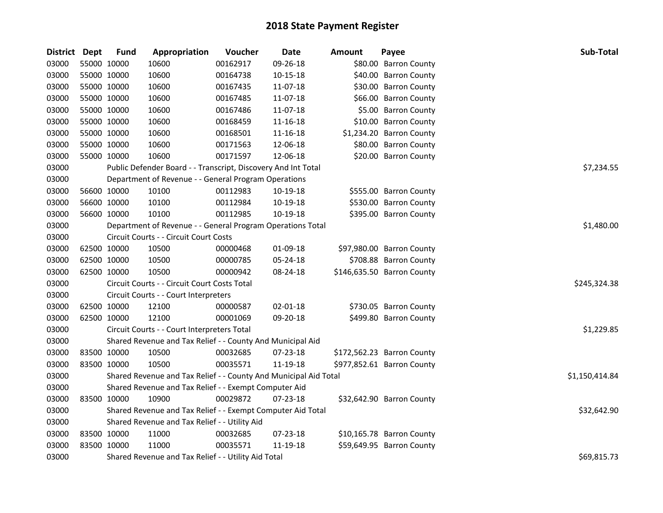| District Dept | <b>Fund</b>                                   | Appropriation                                                    | Voucher    | <b>Date</b>    | <b>Amount</b> | Payee                      | Sub-Total      |
|---------------|-----------------------------------------------|------------------------------------------------------------------|------------|----------------|---------------|----------------------------|----------------|
| 03000         | 55000 10000                                   | 10600                                                            | 00162917   | 09-26-18       |               | \$80.00 Barron County      |                |
| 03000         | 55000 10000                                   | 10600                                                            | 00164738   | $10 - 15 - 18$ |               | \$40.00 Barron County      |                |
| 03000         | 55000 10000                                   | 10600                                                            | 00167435   | 11-07-18       |               | \$30.00 Barron County      |                |
| 03000         | 55000 10000                                   | 10600                                                            | 00167485   | 11-07-18       |               | \$66.00 Barron County      |                |
| 03000         | 55000 10000                                   | 10600                                                            | 00167486   | 11-07-18       |               | \$5.00 Barron County       |                |
| 03000         | 55000 10000                                   | 10600                                                            | 00168459   | 11-16-18       |               | \$10.00 Barron County      |                |
| 03000         | 55000 10000                                   | 10600                                                            | 00168501   | 11-16-18       |               | \$1,234.20 Barron County   |                |
| 03000         | 55000 10000                                   | 10600                                                            | 00171563   | 12-06-18       |               | \$80.00 Barron County      |                |
| 03000         | 55000 10000                                   | 10600                                                            | 00171597   | 12-06-18       |               | \$20.00 Barron County      |                |
| 03000         |                                               | Public Defender Board - - Transcript, Discovery And Int Total    |            |                |               |                            | \$7,234.55     |
| 03000         |                                               | Department of Revenue - - General Program Operations             |            |                |               |                            |                |
| 03000         | 56600 10000                                   | 10100                                                            | 00112983   | 10-19-18       |               | \$555.00 Barron County     |                |
| 03000         | 56600 10000                                   | 10100                                                            | 00112984   | 10-19-18       |               | \$530.00 Barron County     |                |
| 03000         | 56600 10000                                   | 10100                                                            | 00112985   | 10-19-18       |               | \$395.00 Barron County     |                |
| 03000         |                                               | Department of Revenue - - General Program Operations Total       | \$1,480.00 |                |               |                            |                |
| 03000         |                                               | Circuit Courts - - Circuit Court Costs                           |            |                |               |                            |                |
| 03000         | 62500 10000                                   | 10500                                                            | 00000468   | 01-09-18       |               | \$97,980.00 Barron County  |                |
| 03000         | 62500 10000                                   | 10500                                                            | 00000785   | 05-24-18       |               | \$708.88 Barron County     |                |
| 03000         | 62500 10000                                   | 10500                                                            | 00000942   | 08-24-18       |               | \$146,635.50 Barron County |                |
| 03000         |                                               | Circuit Courts - - Circuit Court Costs Total                     |            |                |               |                            | \$245,324.38   |
| 03000         |                                               | Circuit Courts - - Court Interpreters                            |            |                |               |                            |                |
| 03000         | 62500 10000                                   | 12100                                                            | 00000587   | 02-01-18       |               | \$730.05 Barron County     |                |
| 03000         | 62500 10000                                   | 12100                                                            | 00001069   | 09-20-18       |               | \$499.80 Barron County     |                |
| 03000         |                                               | Circuit Courts - - Court Interpreters Total                      |            |                |               |                            | \$1,229.85     |
| 03000         |                                               | Shared Revenue and Tax Relief - - County And Municipal Aid       |            |                |               |                            |                |
| 03000         | 83500 10000                                   | 10500                                                            | 00032685   | 07-23-18       |               | \$172,562.23 Barron County |                |
| 03000         | 83500 10000                                   | 10500                                                            | 00035571   | 11-19-18       |               | \$977,852.61 Barron County |                |
| 03000         |                                               | Shared Revenue and Tax Relief - - County And Municipal Aid Total |            |                |               |                            | \$1,150,414.84 |
| 03000         |                                               | Shared Revenue and Tax Relief - - Exempt Computer Aid            |            |                |               |                            |                |
| 03000         | 83500 10000                                   | 10900                                                            | 00029872   | 07-23-18       |               | \$32,642.90 Barron County  |                |
| 03000         |                                               | Shared Revenue and Tax Relief - - Exempt Computer Aid Total      |            |                |               |                            | \$32,642.90    |
| 03000         | Shared Revenue and Tax Relief - - Utility Aid |                                                                  |            |                |               |                            |                |
| 03000         | 83500 10000                                   | 11000                                                            | 00032685   | 07-23-18       |               | \$10,165.78 Barron County  |                |
| 03000         | 83500 10000                                   | 11000                                                            | 00035571   | 11-19-18       |               | \$59,649.95 Barron County  |                |
| 03000         |                                               | Shared Revenue and Tax Relief - - Utility Aid Total              |            |                |               |                            | \$69,815.73    |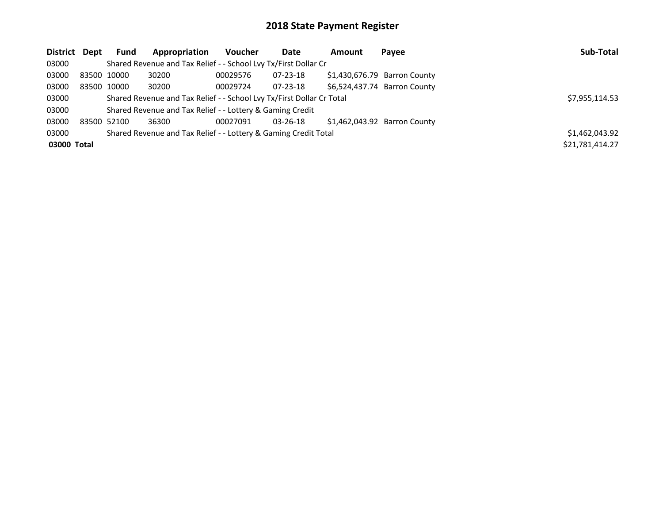| District Dept |             | <b>Fund</b> | Appropriation                                                         | Voucher  | Date           | Amount | Payee                        | Sub-Total       |
|---------------|-------------|-------------|-----------------------------------------------------------------------|----------|----------------|--------|------------------------------|-----------------|
| 03000         |             |             | Shared Revenue and Tax Relief - - School Lvy Tx/First Dollar Cr       |          |                |        |                              |                 |
| 03000         | 83500 10000 |             | 30200                                                                 | 00029576 | 07-23-18       |        | \$1,430,676.79 Barron County |                 |
| 03000         |             | 83500 10000 | 30200                                                                 | 00029724 | 07-23-18       |        | \$6,524,437.74 Barron County |                 |
| 03000         |             |             | Shared Revenue and Tax Relief - - School Lvy Tx/First Dollar Cr Total |          |                |        |                              | \$7,955,114.53  |
| 03000         |             |             | Shared Revenue and Tax Relief - - Lottery & Gaming Credit             |          |                |        |                              |                 |
| 03000         |             | 83500 52100 | 36300                                                                 | 00027091 | $03 - 26 - 18$ |        | \$1.462.043.92 Barron County |                 |
| 03000         |             |             | Shared Revenue and Tax Relief - - Lottery & Gaming Credit Total       |          |                |        |                              | \$1,462,043.92  |
| 03000 Total   |             |             |                                                                       |          |                |        |                              | \$21,781,414.27 |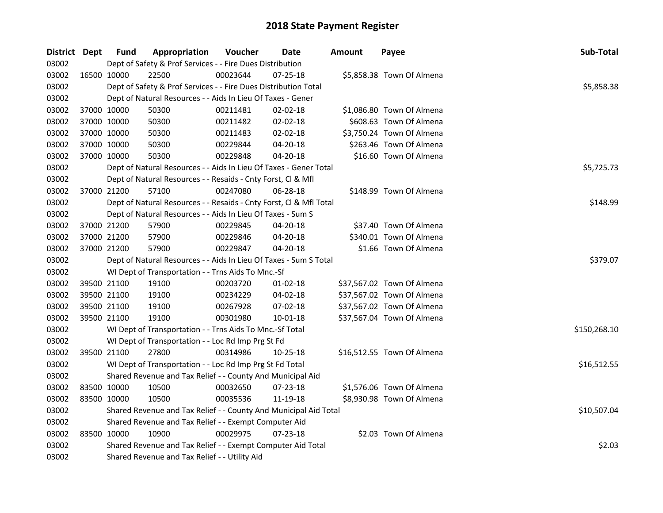| District Dept | <b>Fund</b> | Appropriation                                                      | Voucher    | Date           | <b>Amount</b> | Payee                      | Sub-Total    |
|---------------|-------------|--------------------------------------------------------------------|------------|----------------|---------------|----------------------------|--------------|
| 03002         |             | Dept of Safety & Prof Services - - Fire Dues Distribution          |            |                |               |                            |              |
| 03002         | 16500 10000 | 22500                                                              | 00023644   | $07 - 25 - 18$ |               | \$5,858.38 Town Of Almena  |              |
| 03002         |             | Dept of Safety & Prof Services - - Fire Dues Distribution Total    |            |                |               |                            | \$5,858.38   |
| 03002         |             | Dept of Natural Resources - - Aids In Lieu Of Taxes - Gener        |            |                |               |                            |              |
| 03002         | 37000 10000 | 50300                                                              | 00211481   | 02-02-18       |               | \$1,086.80 Town Of Almena  |              |
| 03002         | 37000 10000 | 50300                                                              | 00211482   | 02-02-18       |               | \$608.63 Town Of Almena    |              |
| 03002         | 37000 10000 | 50300                                                              | 00211483   | 02-02-18       |               | \$3,750.24 Town Of Almena  |              |
| 03002         | 37000 10000 | 50300                                                              | 00229844   | 04-20-18       |               | \$263.46 Town Of Almena    |              |
| 03002         | 37000 10000 | 50300                                                              | 00229848   | 04-20-18       |               | \$16.60 Town Of Almena     |              |
| 03002         |             | Dept of Natural Resources - - Aids In Lieu Of Taxes - Gener Total  | \$5,725.73 |                |               |                            |              |
| 03002         |             | Dept of Natural Resources - - Resaids - Cnty Forst, Cl & Mfl       |            |                |               |                            |              |
| 03002         | 37000 21200 | 57100                                                              | 00247080   | 06-28-18       |               | \$148.99 Town Of Almena    |              |
| 03002         |             | Dept of Natural Resources - - Resaids - Cnty Forst, CI & Mfl Total |            |                |               |                            | \$148.99     |
| 03002         |             | Dept of Natural Resources - - Aids In Lieu Of Taxes - Sum S        |            |                |               |                            |              |
| 03002         | 37000 21200 | 57900                                                              | 00229845   | 04-20-18       |               | \$37.40 Town Of Almena     |              |
| 03002         | 37000 21200 | 57900                                                              | 00229846   | 04-20-18       |               | \$340.01 Town Of Almena    |              |
| 03002         | 37000 21200 | 57900                                                              | 00229847   | 04-20-18       |               | \$1.66 Town Of Almena      |              |
| 03002         |             | Dept of Natural Resources - - Aids In Lieu Of Taxes - Sum S Total  | \$379.07   |                |               |                            |              |
| 03002         |             | WI Dept of Transportation - - Trns Aids To Mnc.-Sf                 |            |                |               |                            |              |
| 03002         | 39500 21100 | 19100                                                              | 00203720   | $01-02-18$     |               | \$37,567.02 Town Of Almena |              |
| 03002         | 39500 21100 | 19100                                                              | 00234229   | 04-02-18       |               | \$37,567.02 Town Of Almena |              |
| 03002         | 39500 21100 | 19100                                                              | 00267928   | 07-02-18       |               | \$37,567.02 Town Of Almena |              |
| 03002         | 39500 21100 | 19100                                                              | 00301980   | 10-01-18       |               | \$37,567.04 Town Of Almena |              |
| 03002         |             | WI Dept of Transportation - - Trns Aids To Mnc.-Sf Total           |            |                |               |                            | \$150,268.10 |
| 03002         |             | WI Dept of Transportation - - Loc Rd Imp Prg St Fd                 |            |                |               |                            |              |
| 03002         | 39500 21100 | 27800                                                              | 00314986   | 10-25-18       |               | \$16,512.55 Town Of Almena |              |
| 03002         |             | WI Dept of Transportation - - Loc Rd Imp Prg St Fd Total           |            |                |               |                            | \$16,512.55  |
| 03002         |             | Shared Revenue and Tax Relief - - County And Municipal Aid         |            |                |               |                            |              |
| 03002         | 83500 10000 | 10500                                                              | 00032650   | 07-23-18       |               | \$1,576.06 Town Of Almena  |              |
| 03002         | 83500 10000 | 10500                                                              | 00035536   | 11-19-18       |               | \$8,930.98 Town Of Almena  |              |
| 03002         |             | Shared Revenue and Tax Relief - - County And Municipal Aid Total   |            |                |               |                            | \$10,507.04  |
| 03002         |             | Shared Revenue and Tax Relief - - Exempt Computer Aid              |            |                |               |                            |              |
| 03002         | 83500 10000 | 10900                                                              | 00029975   | 07-23-18       |               | \$2.03 Town Of Almena      |              |
| 03002         |             | Shared Revenue and Tax Relief - - Exempt Computer Aid Total        |            |                |               |                            | \$2.03       |
| 03002         |             | Shared Revenue and Tax Relief - - Utility Aid                      |            |                |               |                            |              |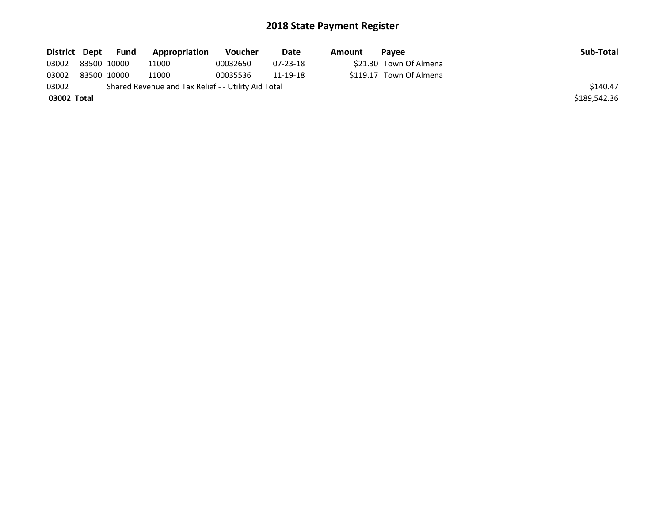| District Dept | Fund        | Appropriation                                       | Voucher  | Date           | Amount | <b>Pavee</b>            | Sub-Total    |
|---------------|-------------|-----------------------------------------------------|----------|----------------|--------|-------------------------|--------------|
| 03002         | 83500 10000 | 11000                                               | 00032650 | $07 - 23 - 18$ |        | \$21.30 Town Of Almena  |              |
| 03002         | 83500 10000 | 11000                                               | 00035536 | 11-19-18       |        | \$119.17 Town Of Almena |              |
| 03002         |             | Shared Revenue and Tax Relief - - Utility Aid Total |          |                |        |                         | \$140.47     |
| 03002 Total   |             |                                                     |          |                |        |                         | \$189,542.36 |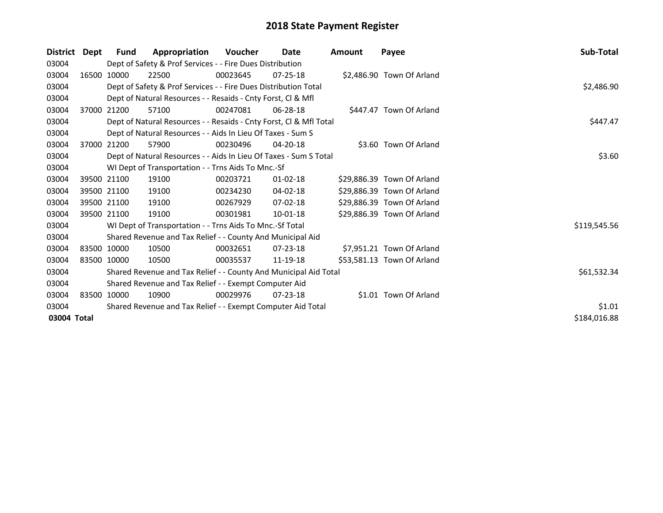| <b>District</b> | Dept | Fund                                                        | Appropriation                                                      | <b>Voucher</b> | Date           | <b>Amount</b> | Payee                      | Sub-Total    |  |  |  |
|-----------------|------|-------------------------------------------------------------|--------------------------------------------------------------------|----------------|----------------|---------------|----------------------------|--------------|--|--|--|
| 03004           |      |                                                             | Dept of Safety & Prof Services - - Fire Dues Distribution          |                |                |               |                            |              |  |  |  |
| 03004           |      | 16500 10000                                                 | 22500                                                              | 00023645       | $07 - 25 - 18$ |               | \$2,486.90 Town Of Arland  |              |  |  |  |
| 03004           |      |                                                             | Dept of Safety & Prof Services - - Fire Dues Distribution Total    |                |                |               |                            | \$2,486.90   |  |  |  |
| 03004           |      |                                                             | Dept of Natural Resources - - Resaids - Cnty Forst, CI & Mfl       |                |                |               |                            |              |  |  |  |
| 03004           |      | 37000 21200                                                 | 57100                                                              | 00247081       | 06-28-18       |               | \$447.47 Town Of Arland    |              |  |  |  |
| 03004           |      |                                                             | Dept of Natural Resources - - Resaids - Cnty Forst, Cl & Mfl Total |                |                |               |                            | \$447.47     |  |  |  |
| 03004           |      |                                                             | Dept of Natural Resources - - Aids In Lieu Of Taxes - Sum S        |                |                |               |                            |              |  |  |  |
| 03004           |      | 37000 21200                                                 | 57900                                                              | 00230496       | $04 - 20 - 18$ |               | \$3.60 Town Of Arland      |              |  |  |  |
| 03004           |      |                                                             | Dept of Natural Resources - - Aids In Lieu Of Taxes - Sum S Total  |                |                |               |                            | \$3.60       |  |  |  |
| 03004           |      |                                                             | WI Dept of Transportation - - Trns Aids To Mnc.-Sf                 |                |                |               |                            |              |  |  |  |
| 03004           |      | 39500 21100                                                 | 19100                                                              | 00203721       | $01 - 02 - 18$ |               | \$29,886.39 Town Of Arland |              |  |  |  |
| 03004           |      | 39500 21100                                                 | 19100                                                              | 00234230       | 04-02-18       |               | \$29,886.39 Town Of Arland |              |  |  |  |
| 03004           |      | 39500 21100                                                 | 19100                                                              | 00267929       | $07 - 02 - 18$ |               | \$29.886.39 Town Of Arland |              |  |  |  |
| 03004           |      | 39500 21100                                                 | 19100                                                              | 00301981       | 10-01-18       |               | \$29,886.39 Town Of Arland |              |  |  |  |
| 03004           |      |                                                             | WI Dept of Transportation - - Trns Aids To Mnc.-Sf Total           |                |                |               |                            | \$119,545.56 |  |  |  |
| 03004           |      |                                                             | Shared Revenue and Tax Relief - - County And Municipal Aid         |                |                |               |                            |              |  |  |  |
| 03004           |      | 83500 10000                                                 | 10500                                                              | 00032651       | $07 - 23 - 18$ |               | \$7,951.21 Town Of Arland  |              |  |  |  |
| 03004           |      | 83500 10000                                                 | 10500                                                              | 00035537       | 11-19-18       |               | \$53,581.13 Town Of Arland |              |  |  |  |
| 03004           |      |                                                             | Shared Revenue and Tax Relief - - County And Municipal Aid Total   |                |                |               |                            | \$61,532.34  |  |  |  |
| 03004           |      |                                                             | Shared Revenue and Tax Relief - - Exempt Computer Aid              |                |                |               |                            |              |  |  |  |
| 03004           |      | 83500 10000                                                 | 10900                                                              | 00029976       | $07 - 23 - 18$ |               | \$1.01 Town Of Arland      |              |  |  |  |
| 03004           |      | Shared Revenue and Tax Relief - - Exempt Computer Aid Total | \$1.01                                                             |                |                |               |                            |              |  |  |  |
| 03004 Total     |      |                                                             |                                                                    |                |                |               |                            | \$184,016.88 |  |  |  |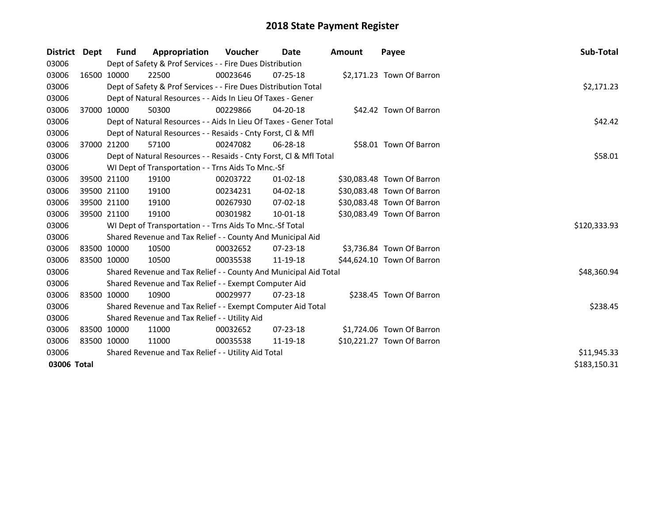| District Dept |             | <b>Fund</b> | Appropriation                                                      | <b>Voucher</b> | Date           | <b>Amount</b> | Payee                      | Sub-Total    |
|---------------|-------------|-------------|--------------------------------------------------------------------|----------------|----------------|---------------|----------------------------|--------------|
| 03006         |             |             | Dept of Safety & Prof Services - - Fire Dues Distribution          |                |                |               |                            |              |
| 03006         |             | 16500 10000 | 22500                                                              | 00023646       | $07 - 25 - 18$ |               | \$2,171.23 Town Of Barron  |              |
| 03006         |             |             | Dept of Safety & Prof Services - - Fire Dues Distribution Total    |                |                |               |                            | \$2,171.23   |
| 03006         |             |             | Dept of Natural Resources - - Aids In Lieu Of Taxes - Gener        |                |                |               |                            |              |
| 03006         |             | 37000 10000 | 50300                                                              | 00229866       | $04 - 20 - 18$ |               | \$42.42 Town Of Barron     |              |
| 03006         |             |             | Dept of Natural Resources - - Aids In Lieu Of Taxes - Gener Total  | \$42.42        |                |               |                            |              |
| 03006         |             |             | Dept of Natural Resources - - Resaids - Cnty Forst, Cl & Mfl       |                |                |               |                            |              |
| 03006         |             | 37000 21200 | 57100                                                              | 00247082       | 06-28-18       |               | \$58.01 Town Of Barron     |              |
| 03006         |             |             | Dept of Natural Resources - - Resaids - Cnty Forst, CI & Mfl Total |                |                |               |                            | \$58.01      |
| 03006         |             |             | WI Dept of Transportation - - Trns Aids To Mnc.-Sf                 |                |                |               |                            |              |
| 03006         |             | 39500 21100 | 19100                                                              | 00203722       | $01 - 02 - 18$ |               | \$30,083.48 Town Of Barron |              |
| 03006         |             | 39500 21100 | 19100                                                              | 00234231       | $04 - 02 - 18$ |               | \$30,083.48 Town Of Barron |              |
| 03006         |             | 39500 21100 | 19100                                                              | 00267930       | 07-02-18       |               | \$30,083.48 Town Of Barron |              |
| 03006         |             | 39500 21100 | 19100                                                              | 00301982       | $10 - 01 - 18$ |               | \$30,083.49 Town Of Barron |              |
| 03006         |             |             | WI Dept of Transportation - - Trns Aids To Mnc.-Sf Total           |                |                |               |                            | \$120,333.93 |
| 03006         |             |             | Shared Revenue and Tax Relief - - County And Municipal Aid         |                |                |               |                            |              |
| 03006         |             | 83500 10000 | 10500                                                              | 00032652       | 07-23-18       |               | \$3,736.84 Town Of Barron  |              |
| 03006         | 83500 10000 |             | 10500                                                              | 00035538       | 11-19-18       |               | \$44,624.10 Town Of Barron |              |
| 03006         |             |             | Shared Revenue and Tax Relief - - County And Municipal Aid Total   |                |                |               |                            | \$48,360.94  |
| 03006         |             |             | Shared Revenue and Tax Relief - - Exempt Computer Aid              |                |                |               |                            |              |
| 03006         |             | 83500 10000 | 10900                                                              | 00029977       | 07-23-18       |               | \$238.45 Town Of Barron    |              |
| 03006         |             |             | Shared Revenue and Tax Relief - - Exempt Computer Aid Total        |                |                |               |                            | \$238.45     |
| 03006         |             |             | Shared Revenue and Tax Relief - - Utility Aid                      |                |                |               |                            |              |
| 03006         |             | 83500 10000 | 11000                                                              | 00032652       | $07 - 23 - 18$ |               | \$1,724.06 Town Of Barron  |              |
| 03006         |             | 83500 10000 | 11000                                                              | 00035538       | 11-19-18       |               | \$10,221.27 Town Of Barron |              |
| 03006         |             |             | Shared Revenue and Tax Relief - - Utility Aid Total                |                |                |               |                            | \$11,945.33  |
| 03006 Total   |             |             |                                                                    |                |                |               |                            | \$183,150.31 |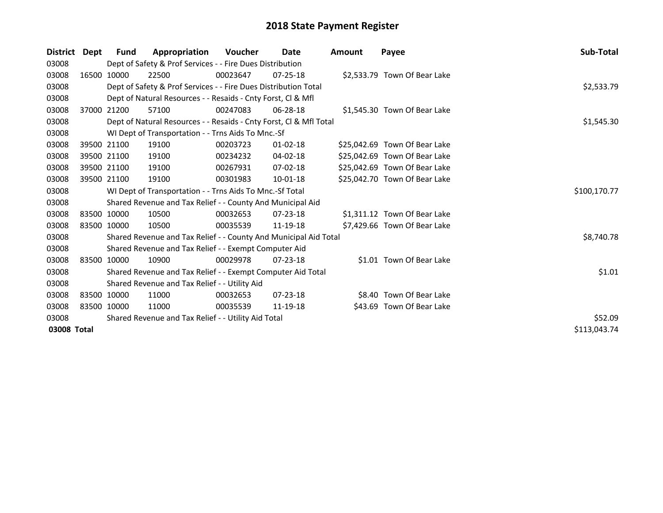| <b>District</b> | Dept | Fund        | Appropriation                                                      | <b>Voucher</b> | Date           | <b>Amount</b> | Payee                         | Sub-Total    |
|-----------------|------|-------------|--------------------------------------------------------------------|----------------|----------------|---------------|-------------------------------|--------------|
| 03008           |      |             | Dept of Safety & Prof Services - - Fire Dues Distribution          |                |                |               |                               |              |
| 03008           |      | 16500 10000 | 22500                                                              | 00023647       | $07 - 25 - 18$ |               | \$2,533.79 Town Of Bear Lake  |              |
| 03008           |      |             | Dept of Safety & Prof Services - - Fire Dues Distribution Total    |                |                |               |                               | \$2,533.79   |
| 03008           |      |             | Dept of Natural Resources - - Resaids - Cnty Forst, Cl & Mfl       |                |                |               |                               |              |
| 03008           |      | 37000 21200 | 57100                                                              | 00247083       | $06 - 28 - 18$ |               | \$1,545.30 Town Of Bear Lake  |              |
| 03008           |      |             | Dept of Natural Resources - - Resaids - Cnty Forst, Cl & Mfl Total |                |                |               |                               | \$1,545.30   |
| 03008           |      |             | WI Dept of Transportation - - Trns Aids To Mnc.-Sf                 |                |                |               |                               |              |
| 03008           |      | 39500 21100 | 19100                                                              | 00203723       | $01 - 02 - 18$ |               | \$25,042.69 Town Of Bear Lake |              |
| 03008           |      | 39500 21100 | 19100                                                              | 00234232       | 04-02-18       |               | \$25,042.69 Town Of Bear Lake |              |
| 03008           |      | 39500 21100 | 19100                                                              | 00267931       | $07 - 02 - 18$ |               | \$25,042.69 Town Of Bear Lake |              |
| 03008           |      | 39500 21100 | 19100                                                              | 00301983       | $10 - 01 - 18$ |               | \$25,042.70 Town Of Bear Lake |              |
| 03008           |      |             | WI Dept of Transportation - - Trns Aids To Mnc.-Sf Total           | \$100,170.77   |                |               |                               |              |
| 03008           |      |             | Shared Revenue and Tax Relief - - County And Municipal Aid         |                |                |               |                               |              |
| 03008           |      | 83500 10000 | 10500                                                              | 00032653       | $07 - 23 - 18$ |               | \$1,311.12 Town Of Bear Lake  |              |
| 03008           |      | 83500 10000 | 10500                                                              | 00035539       | 11-19-18       |               | \$7,429.66 Town Of Bear Lake  |              |
| 03008           |      |             | Shared Revenue and Tax Relief - - County And Municipal Aid Total   |                |                |               |                               | \$8,740.78   |
| 03008           |      |             | Shared Revenue and Tax Relief - - Exempt Computer Aid              |                |                |               |                               |              |
| 03008           |      | 83500 10000 | 10900                                                              | 00029978       | $07 - 23 - 18$ |               | \$1.01 Town Of Bear Lake      |              |
| 03008           |      |             | Shared Revenue and Tax Relief - - Exempt Computer Aid Total        |                |                |               |                               | \$1.01       |
| 03008           |      |             | Shared Revenue and Tax Relief - - Utility Aid                      |                |                |               |                               |              |
| 03008           |      | 83500 10000 | 11000                                                              | 00032653       | $07 - 23 - 18$ |               | \$8.40 Town Of Bear Lake      |              |
| 03008           |      | 83500 10000 | 11000                                                              | 00035539       | 11-19-18       |               | \$43.69 Town Of Bear Lake     |              |
| 03008           |      |             | Shared Revenue and Tax Relief - - Utility Aid Total                |                |                |               |                               | \$52.09      |
| 03008 Total     |      |             |                                                                    |                |                |               |                               | \$113,043.74 |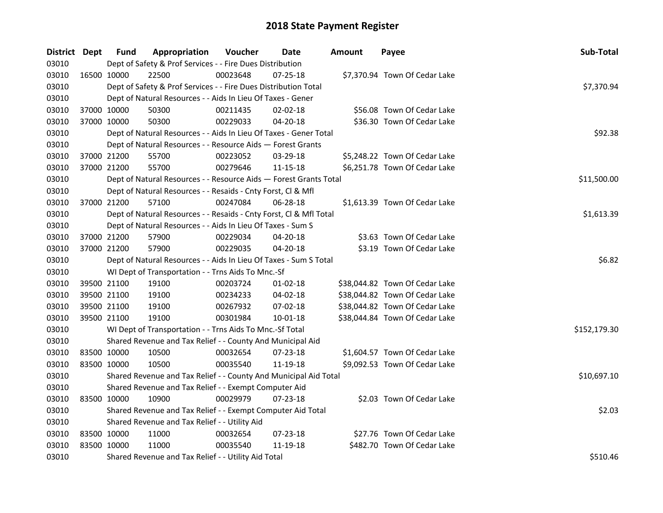| District Dept |             | <b>Fund</b> | Appropriation                                                      | Voucher  | Date           | Amount | Payee                          | Sub-Total    |
|---------------|-------------|-------------|--------------------------------------------------------------------|----------|----------------|--------|--------------------------------|--------------|
| 03010         |             |             | Dept of Safety & Prof Services - - Fire Dues Distribution          |          |                |        |                                |              |
| 03010         | 16500 10000 |             | 22500                                                              | 00023648 | 07-25-18       |        | \$7,370.94 Town Of Cedar Lake  |              |
| 03010         |             |             | Dept of Safety & Prof Services - - Fire Dues Distribution Total    |          |                |        |                                | \$7,370.94   |
| 03010         |             |             | Dept of Natural Resources - - Aids In Lieu Of Taxes - Gener        |          |                |        |                                |              |
| 03010         | 37000 10000 |             | 50300                                                              | 00211435 | 02-02-18       |        | \$56.08 Town Of Cedar Lake     |              |
| 03010         | 37000 10000 |             | 50300                                                              | 00229033 | $04 - 20 - 18$ |        | \$36.30 Town Of Cedar Lake     |              |
| 03010         |             |             | Dept of Natural Resources - - Aids In Lieu Of Taxes - Gener Total  |          |                |        |                                | \$92.38      |
| 03010         |             |             | Dept of Natural Resources - - Resource Aids - Forest Grants        |          |                |        |                                |              |
| 03010         | 37000 21200 |             | 55700                                                              | 00223052 | 03-29-18       |        | \$5,248.22 Town Of Cedar Lake  |              |
| 03010         | 37000 21200 |             | 55700                                                              | 00279646 | 11-15-18       |        | \$6,251.78 Town Of Cedar Lake  |              |
| 03010         |             |             | Dept of Natural Resources - - Resource Aids - Forest Grants Total  |          |                |        |                                | \$11,500.00  |
| 03010         |             |             | Dept of Natural Resources - - Resaids - Cnty Forst, Cl & Mfl       |          |                |        |                                |              |
| 03010         | 37000 21200 |             | 57100                                                              | 00247084 | 06-28-18       |        | \$1,613.39 Town Of Cedar Lake  |              |
| 03010         |             |             | Dept of Natural Resources - - Resaids - Cnty Forst, Cl & Mfl Total |          |                |        |                                | \$1,613.39   |
| 03010         |             |             | Dept of Natural Resources - - Aids In Lieu Of Taxes - Sum S        |          |                |        |                                |              |
| 03010         | 37000 21200 |             | 57900                                                              | 00229034 | 04-20-18       |        | \$3.63 Town Of Cedar Lake      |              |
| 03010         | 37000 21200 |             | 57900                                                              | 00229035 | 04-20-18       |        | \$3.19 Town Of Cedar Lake      |              |
| 03010         |             |             | Dept of Natural Resources - - Aids In Lieu Of Taxes - Sum S Total  | \$6.82   |                |        |                                |              |
| 03010         |             |             | WI Dept of Transportation - - Trns Aids To Mnc.-Sf                 |          |                |        |                                |              |
| 03010         | 39500 21100 |             | 19100                                                              | 00203724 | $01 - 02 - 18$ |        | \$38,044.82 Town Of Cedar Lake |              |
| 03010         | 39500 21100 |             | 19100                                                              | 00234233 | 04-02-18       |        | \$38,044.82 Town Of Cedar Lake |              |
| 03010         | 39500 21100 |             | 19100                                                              | 00267932 | 07-02-18       |        | \$38,044.82 Town Of Cedar Lake |              |
| 03010         | 39500 21100 |             | 19100                                                              | 00301984 | $10 - 01 - 18$ |        | \$38,044.84 Town Of Cedar Lake |              |
| 03010         |             |             | WI Dept of Transportation - - Trns Aids To Mnc.-Sf Total           |          |                |        |                                | \$152,179.30 |
| 03010         |             |             | Shared Revenue and Tax Relief - - County And Municipal Aid         |          |                |        |                                |              |
| 03010         | 83500 10000 |             | 10500                                                              | 00032654 | 07-23-18       |        | \$1,604.57 Town Of Cedar Lake  |              |
| 03010         | 83500 10000 |             | 10500                                                              | 00035540 | 11-19-18       |        | \$9,092.53 Town Of Cedar Lake  |              |
| 03010         |             |             | Shared Revenue and Tax Relief - - County And Municipal Aid Total   |          |                |        |                                | \$10,697.10  |
| 03010         |             |             | Shared Revenue and Tax Relief - - Exempt Computer Aid              |          |                |        |                                |              |
| 03010         | 83500 10000 |             | 10900                                                              | 00029979 | 07-23-18       |        | \$2.03 Town Of Cedar Lake      |              |
| 03010         |             |             | Shared Revenue and Tax Relief - - Exempt Computer Aid Total        | \$2.03   |                |        |                                |              |
| 03010         |             |             | Shared Revenue and Tax Relief - - Utility Aid                      |          |                |        |                                |              |
| 03010         | 83500 10000 |             | 11000                                                              | 00032654 | 07-23-18       |        | \$27.76 Town Of Cedar Lake     |              |
| 03010         | 83500 10000 |             | 11000                                                              | 00035540 | 11-19-18       |        | \$482.70 Town Of Cedar Lake    |              |
| 03010         |             |             | Shared Revenue and Tax Relief - - Utility Aid Total                | \$510.46 |                |        |                                |              |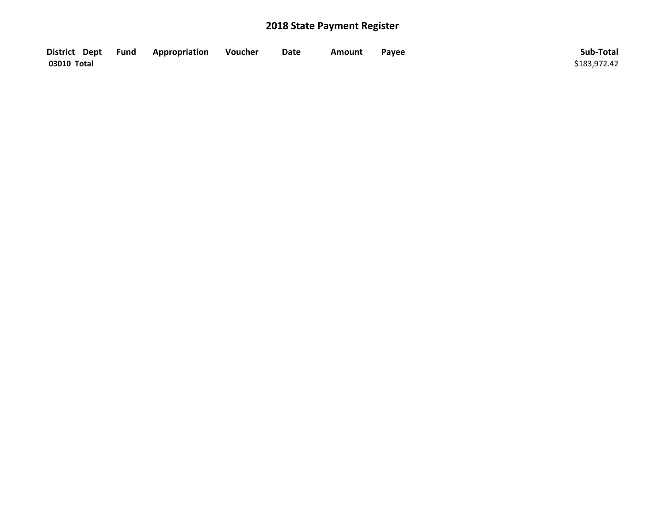| District Dept Fund | Appropriation | Voucher | Date | Amount | Payee | Sub-Total    |
|--------------------|---------------|---------|------|--------|-------|--------------|
| 03010 Total        |               |         |      |        |       | \$183,972.42 |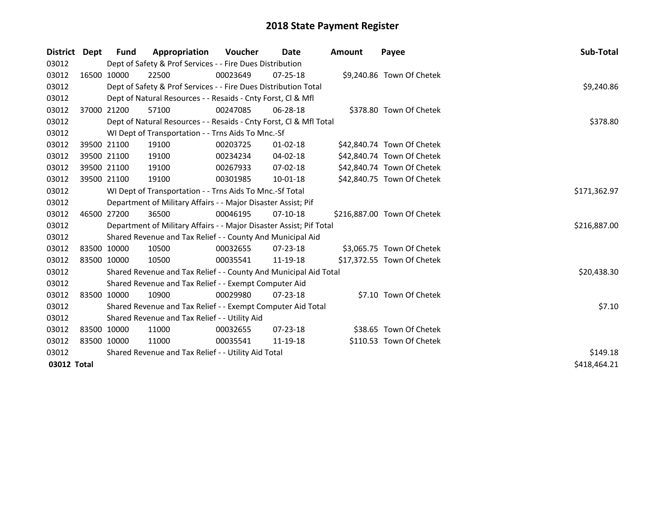| District Dept | Fund        | Appropriation                                                       | Voucher  | Date           | Amount | Payee                       | <b>Sub-Total</b> |
|---------------|-------------|---------------------------------------------------------------------|----------|----------------|--------|-----------------------------|------------------|
| 03012         |             | Dept of Safety & Prof Services - - Fire Dues Distribution           |          |                |        |                             |                  |
| 03012         | 16500 10000 | 22500                                                               | 00023649 | $07 - 25 - 18$ |        | \$9,240.86 Town Of Chetek   |                  |
| 03012         |             | Dept of Safety & Prof Services - - Fire Dues Distribution Total     |          |                |        |                             | \$9,240.86       |
| 03012         |             | Dept of Natural Resources - - Resaids - Cnty Forst, Cl & Mfl        |          |                |        |                             |                  |
| 03012         | 37000 21200 | 57100                                                               | 00247085 | 06-28-18       |        | \$378.80 Town Of Chetek     |                  |
| 03012         |             | Dept of Natural Resources - - Resaids - Cnty Forst, Cl & Mfl Total  |          |                |        |                             | \$378.80         |
| 03012         |             | WI Dept of Transportation - - Trns Aids To Mnc.-Sf                  |          |                |        |                             |                  |
| 03012         | 39500 21100 | 19100                                                               | 00203725 | $01 - 02 - 18$ |        | \$42,840.74 Town Of Chetek  |                  |
| 03012         | 39500 21100 | 19100                                                               | 00234234 | 04-02-18       |        | \$42,840.74 Town Of Chetek  |                  |
| 03012         | 39500 21100 | 19100                                                               | 00267933 | 07-02-18       |        | \$42,840.74 Town Of Chetek  |                  |
| 03012         | 39500 21100 | 19100                                                               | 00301985 | $10 - 01 - 18$ |        | \$42,840.75 Town Of Chetek  |                  |
| 03012         |             | WI Dept of Transportation - - Trns Aids To Mnc.-Sf Total            |          |                |        |                             | \$171,362.97     |
| 03012         |             | Department of Military Affairs - - Major Disaster Assist; Pif       |          |                |        |                             |                  |
| 03012         | 46500 27200 | 36500                                                               | 00046195 | $07-10-18$     |        | \$216,887.00 Town Of Chetek |                  |
| 03012         |             | Department of Military Affairs - - Major Disaster Assist; Pif Total |          |                |        |                             | \$216,887.00     |
| 03012         |             | Shared Revenue and Tax Relief - - County And Municipal Aid          |          |                |        |                             |                  |
| 03012         | 83500 10000 | 10500                                                               | 00032655 | $07 - 23 - 18$ |        | \$3,065.75 Town Of Chetek   |                  |
| 03012         | 83500 10000 | 10500                                                               | 00035541 | 11-19-18       |        | \$17,372.55 Town Of Chetek  |                  |
| 03012         |             | Shared Revenue and Tax Relief - - County And Municipal Aid Total    |          |                |        |                             | \$20,438.30      |
| 03012         |             | Shared Revenue and Tax Relief - - Exempt Computer Aid               |          |                |        |                             |                  |
| 03012         | 83500 10000 | 10900                                                               | 00029980 | $07 - 23 - 18$ |        | \$7.10 Town Of Chetek       |                  |
| 03012         |             | Shared Revenue and Tax Relief - - Exempt Computer Aid Total         |          |                |        |                             | \$7.10           |
| 03012         |             | Shared Revenue and Tax Relief - - Utility Aid                       |          |                |        |                             |                  |
| 03012         | 83500 10000 | 11000                                                               | 00032655 | $07 - 23 - 18$ |        | \$38.65 Town Of Chetek      |                  |
| 03012         | 83500 10000 | 11000                                                               | 00035541 | 11-19-18       |        | \$110.53 Town Of Chetek     |                  |
| 03012         |             | Shared Revenue and Tax Relief - - Utility Aid Total                 | \$149.18 |                |        |                             |                  |
| 03012 Total   |             |                                                                     |          |                |        |                             | \$418,464.21     |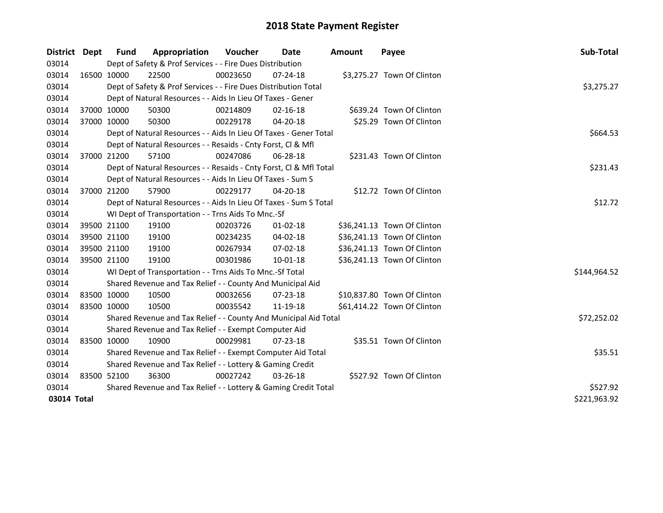| District    | <b>Dept</b> | Fund        | Appropriation                                                      | <b>Voucher</b> | Date           | <b>Amount</b> | Payee                       | Sub-Total    |
|-------------|-------------|-------------|--------------------------------------------------------------------|----------------|----------------|---------------|-----------------------------|--------------|
| 03014       |             |             | Dept of Safety & Prof Services - - Fire Dues Distribution          |                |                |               |                             |              |
| 03014       |             | 16500 10000 | 22500                                                              | 00023650       | 07-24-18       |               | \$3,275.27 Town Of Clinton  |              |
| 03014       |             |             | Dept of Safety & Prof Services - - Fire Dues Distribution Total    |                |                |               |                             | \$3,275.27   |
| 03014       |             |             | Dept of Natural Resources - - Aids In Lieu Of Taxes - Gener        |                |                |               |                             |              |
| 03014       |             | 37000 10000 | 50300                                                              | 00214809       | $02 - 16 - 18$ |               | \$639.24 Town Of Clinton    |              |
| 03014       |             | 37000 10000 | 50300                                                              | 00229178       | 04-20-18       |               | \$25.29 Town Of Clinton     |              |
| 03014       |             |             | Dept of Natural Resources - - Aids In Lieu Of Taxes - Gener Total  |                |                |               |                             | \$664.53     |
| 03014       |             |             | Dept of Natural Resources - - Resaids - Cnty Forst, Cl & Mfl       |                |                |               |                             |              |
| 03014       |             | 37000 21200 | 57100                                                              | 00247086       | 06-28-18       |               | \$231.43 Town Of Clinton    |              |
| 03014       |             |             | Dept of Natural Resources - - Resaids - Cnty Forst, Cl & Mfl Total |                |                |               |                             | \$231.43     |
| 03014       |             |             | Dept of Natural Resources - - Aids In Lieu Of Taxes - Sum S        |                |                |               |                             |              |
| 03014       |             | 37000 21200 | 57900                                                              | 00229177       | 04-20-18       |               | \$12.72 Town Of Clinton     |              |
| 03014       |             |             | Dept of Natural Resources - - Aids In Lieu Of Taxes - Sum S Total  |                |                |               |                             | \$12.72      |
| 03014       |             |             | WI Dept of Transportation - - Trns Aids To Mnc.-Sf                 |                |                |               |                             |              |
| 03014       |             | 39500 21100 | 19100                                                              | 00203726       | 01-02-18       |               | \$36,241.13 Town Of Clinton |              |
| 03014       |             | 39500 21100 | 19100                                                              | 00234235       | 04-02-18       |               | \$36,241.13 Town Of Clinton |              |
| 03014       |             | 39500 21100 | 19100                                                              | 00267934       | 07-02-18       |               | \$36,241.13 Town Of Clinton |              |
| 03014       |             | 39500 21100 | 19100                                                              | 00301986       | 10-01-18       |               | \$36,241.13 Town Of Clinton |              |
| 03014       |             |             | WI Dept of Transportation - - Trns Aids To Mnc.-Sf Total           |                |                |               |                             | \$144,964.52 |
| 03014       |             |             | Shared Revenue and Tax Relief - - County And Municipal Aid         |                |                |               |                             |              |
| 03014       |             | 83500 10000 | 10500                                                              | 00032656       | 07-23-18       |               | \$10,837.80 Town Of Clinton |              |
| 03014       |             | 83500 10000 | 10500                                                              | 00035542       | 11-19-18       |               | \$61,414.22 Town Of Clinton |              |
| 03014       |             |             | Shared Revenue and Tax Relief - - County And Municipal Aid Total   |                |                |               |                             | \$72,252.02  |
| 03014       |             |             | Shared Revenue and Tax Relief - - Exempt Computer Aid              |                |                |               |                             |              |
| 03014       |             | 83500 10000 | 10900                                                              | 00029981       | $07 - 23 - 18$ |               | \$35.51 Town Of Clinton     |              |
| 03014       |             |             | Shared Revenue and Tax Relief - - Exempt Computer Aid Total        |                |                |               |                             | \$35.51      |
| 03014       |             |             | Shared Revenue and Tax Relief - - Lottery & Gaming Credit          |                |                |               |                             |              |
| 03014       |             | 83500 52100 | 36300                                                              | 00027242       | 03-26-18       |               | \$527.92 Town Of Clinton    |              |
| 03014       |             |             | Shared Revenue and Tax Relief - - Lottery & Gaming Credit Total    |                |                |               |                             | \$527.92     |
| 03014 Total |             |             |                                                                    |                |                |               |                             | \$221,963.92 |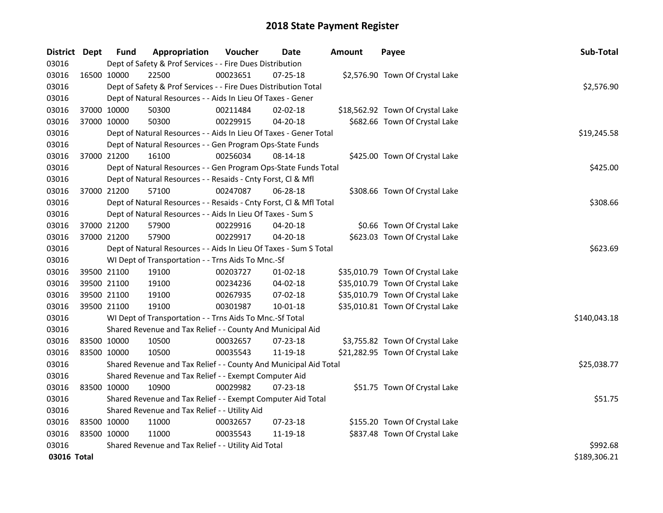| District Dept |             | <b>Fund</b> | Appropriation                                                      | Voucher  | <b>Date</b>    | <b>Amount</b> | Payee                            | Sub-Total    |
|---------------|-------------|-------------|--------------------------------------------------------------------|----------|----------------|---------------|----------------------------------|--------------|
| 03016         |             |             | Dept of Safety & Prof Services - - Fire Dues Distribution          |          |                |               |                                  |              |
| 03016         |             | 16500 10000 | 22500                                                              | 00023651 | 07-25-18       |               | \$2,576.90 Town Of Crystal Lake  |              |
| 03016         |             |             | Dept of Safety & Prof Services - - Fire Dues Distribution Total    |          |                |               |                                  | \$2,576.90   |
| 03016         |             |             | Dept of Natural Resources - - Aids In Lieu Of Taxes - Gener        |          |                |               |                                  |              |
| 03016         |             | 37000 10000 | 50300                                                              | 00211484 | 02-02-18       |               | \$18,562.92 Town Of Crystal Lake |              |
| 03016         |             | 37000 10000 | 50300                                                              | 00229915 | $04 - 20 - 18$ |               | \$682.66 Town Of Crystal Lake    |              |
| 03016         |             |             | Dept of Natural Resources - - Aids In Lieu Of Taxes - Gener Total  |          | \$19,245.58    |               |                                  |              |
| 03016         |             |             | Dept of Natural Resources - - Gen Program Ops-State Funds          |          |                |               |                                  |              |
| 03016         |             | 37000 21200 | 16100                                                              | 00256034 | $08-14-18$     |               | \$425.00 Town Of Crystal Lake    |              |
| 03016         |             |             | Dept of Natural Resources - - Gen Program Ops-State Funds Total    |          |                |               |                                  | \$425.00     |
| 03016         |             |             | Dept of Natural Resources - - Resaids - Cnty Forst, Cl & Mfl       |          |                |               |                                  |              |
| 03016         |             | 37000 21200 | 57100                                                              | 00247087 | 06-28-18       |               | \$308.66 Town Of Crystal Lake    |              |
| 03016         |             |             | Dept of Natural Resources - - Resaids - Cnty Forst, Cl & Mfl Total |          |                |               |                                  | \$308.66     |
| 03016         |             |             | Dept of Natural Resources - - Aids In Lieu Of Taxes - Sum S        |          |                |               |                                  |              |
| 03016         |             | 37000 21200 | 57900                                                              | 00229916 | 04-20-18       |               | \$0.66 Town Of Crystal Lake      |              |
| 03016         |             | 37000 21200 | 57900                                                              | 00229917 | $04 - 20 - 18$ |               | \$623.03 Town Of Crystal Lake    |              |
| 03016         |             |             | Dept of Natural Resources - - Aids In Lieu Of Taxes - Sum S Total  | \$623.69 |                |               |                                  |              |
| 03016         |             |             | WI Dept of Transportation - - Trns Aids To Mnc.-Sf                 |          |                |               |                                  |              |
| 03016         |             | 39500 21100 | 19100                                                              | 00203727 | $01-02-18$     |               | \$35,010.79 Town Of Crystal Lake |              |
| 03016         |             | 39500 21100 | 19100                                                              | 00234236 | $04 - 02 - 18$ |               | \$35,010.79 Town Of Crystal Lake |              |
| 03016         |             | 39500 21100 | 19100                                                              | 00267935 | 07-02-18       |               | \$35,010.79 Town Of Crystal Lake |              |
| 03016         |             | 39500 21100 | 19100                                                              | 00301987 | $10 - 01 - 18$ |               | \$35,010.81 Town Of Crystal Lake |              |
| 03016         |             |             | WI Dept of Transportation - - Trns Aids To Mnc.-Sf Total           |          |                |               |                                  | \$140,043.18 |
| 03016         |             |             | Shared Revenue and Tax Relief - - County And Municipal Aid         |          |                |               |                                  |              |
| 03016         |             | 83500 10000 | 10500                                                              | 00032657 | 07-23-18       |               | \$3,755.82 Town Of Crystal Lake  |              |
| 03016         |             | 83500 10000 | 10500                                                              | 00035543 | 11-19-18       |               | \$21,282.95 Town Of Crystal Lake |              |
| 03016         |             |             | Shared Revenue and Tax Relief - - County And Municipal Aid Total   |          |                |               |                                  | \$25,038.77  |
| 03016         |             |             | Shared Revenue and Tax Relief - - Exempt Computer Aid              |          |                |               |                                  |              |
| 03016         |             | 83500 10000 | 10900                                                              | 00029982 | 07-23-18       |               | \$51.75 Town Of Crystal Lake     |              |
| 03016         |             |             | Shared Revenue and Tax Relief - - Exempt Computer Aid Total        |          |                |               |                                  | \$51.75      |
| 03016         |             |             | Shared Revenue and Tax Relief - - Utility Aid                      |          |                |               |                                  |              |
| 03016         |             | 83500 10000 | 11000                                                              | 00032657 | $07 - 23 - 18$ |               | \$155.20 Town Of Crystal Lake    |              |
| 03016         | 83500 10000 |             | 11000                                                              | 00035543 | 11-19-18       |               | \$837.48 Town Of Crystal Lake    |              |
| 03016         |             |             | Shared Revenue and Tax Relief - - Utility Aid Total                |          |                |               |                                  | \$992.68     |
| 03016 Total   |             |             |                                                                    |          |                |               |                                  | \$189,306.21 |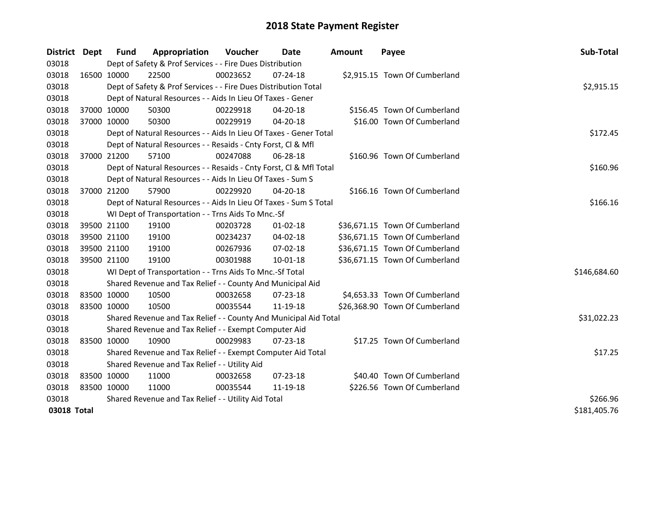| District    | <b>Dept</b> | <b>Fund</b>                                         | Appropriation                                                      | Voucher  | Date           | <b>Amount</b> | Payee                          | Sub-Total    |
|-------------|-------------|-----------------------------------------------------|--------------------------------------------------------------------|----------|----------------|---------------|--------------------------------|--------------|
| 03018       |             |                                                     | Dept of Safety & Prof Services - - Fire Dues Distribution          |          |                |               |                                |              |
| 03018       | 16500 10000 |                                                     | 22500                                                              | 00023652 | $07 - 24 - 18$ |               | \$2,915.15 Town Of Cumberland  |              |
| 03018       |             |                                                     | Dept of Safety & Prof Services - - Fire Dues Distribution Total    |          |                |               |                                | \$2,915.15   |
| 03018       |             |                                                     | Dept of Natural Resources - - Aids In Lieu Of Taxes - Gener        |          |                |               |                                |              |
| 03018       | 37000 10000 |                                                     | 50300                                                              | 00229918 | 04-20-18       |               | \$156.45 Town Of Cumberland    |              |
| 03018       | 37000 10000 |                                                     | 50300                                                              | 00229919 | 04-20-18       |               | \$16.00 Town Of Cumberland     |              |
| 03018       |             |                                                     | Dept of Natural Resources - - Aids In Lieu Of Taxes - Gener Total  |          |                |               |                                | \$172.45     |
| 03018       |             |                                                     | Dept of Natural Resources - - Resaids - Cnty Forst, Cl & Mfl       |          |                |               |                                |              |
| 03018       |             | 37000 21200                                         | 57100                                                              | 00247088 | 06-28-18       |               | \$160.96 Town Of Cumberland    |              |
| 03018       |             |                                                     | Dept of Natural Resources - - Resaids - Cnty Forst, Cl & Mfl Total |          |                |               |                                | \$160.96     |
| 03018       |             |                                                     | Dept of Natural Resources - - Aids In Lieu Of Taxes - Sum S        |          |                |               |                                |              |
| 03018       | 37000 21200 |                                                     | 57900                                                              | 00229920 | 04-20-18       |               | \$166.16 Town Of Cumberland    |              |
| 03018       |             |                                                     | Dept of Natural Resources - - Aids In Lieu Of Taxes - Sum S Total  |          |                |               |                                | \$166.16     |
| 03018       |             |                                                     | WI Dept of Transportation - - Trns Aids To Mnc.-Sf                 |          |                |               |                                |              |
| 03018       |             | 39500 21100                                         | 19100                                                              | 00203728 | $01-02-18$     |               | \$36,671.15 Town Of Cumberland |              |
| 03018       |             | 39500 21100                                         | 19100                                                              | 00234237 | 04-02-18       |               | \$36,671.15 Town Of Cumberland |              |
| 03018       |             | 39500 21100                                         | 19100                                                              | 00267936 | 07-02-18       |               | \$36,671.15 Town Of Cumberland |              |
| 03018       | 39500 21100 |                                                     | 19100                                                              | 00301988 | 10-01-18       |               | \$36,671.15 Town Of Cumberland |              |
| 03018       |             |                                                     | WI Dept of Transportation - - Trns Aids To Mnc.-Sf Total           |          |                |               |                                | \$146,684.60 |
| 03018       |             |                                                     | Shared Revenue and Tax Relief - - County And Municipal Aid         |          |                |               |                                |              |
| 03018       | 83500 10000 |                                                     | 10500                                                              | 00032658 | 07-23-18       |               | \$4,653.33 Town Of Cumberland  |              |
| 03018       | 83500 10000 |                                                     | 10500                                                              | 00035544 | 11-19-18       |               | \$26,368.90 Town Of Cumberland |              |
| 03018       |             |                                                     | Shared Revenue and Tax Relief - - County And Municipal Aid Total   |          |                |               |                                | \$31,022.23  |
| 03018       |             |                                                     | Shared Revenue and Tax Relief - - Exempt Computer Aid              |          |                |               |                                |              |
| 03018       |             | 83500 10000                                         | 10900                                                              | 00029983 | 07-23-18       |               | \$17.25 Town Of Cumberland     |              |
| 03018       |             |                                                     | Shared Revenue and Tax Relief - - Exempt Computer Aid Total        |          |                |               |                                | \$17.25      |
| 03018       |             | Shared Revenue and Tax Relief - - Utility Aid       |                                                                    |          |                |               |                                |              |
| 03018       |             | 83500 10000                                         | 11000                                                              | 00032658 | 07-23-18       |               | \$40.40 Town Of Cumberland     |              |
| 03018       | 83500 10000 |                                                     | 11000                                                              | 00035544 | 11-19-18       |               | \$226.56 Town Of Cumberland    |              |
| 03018       |             | Shared Revenue and Tax Relief - - Utility Aid Total | \$266.96                                                           |          |                |               |                                |              |
| 03018 Total |             |                                                     |                                                                    |          |                |               |                                | \$181,405.76 |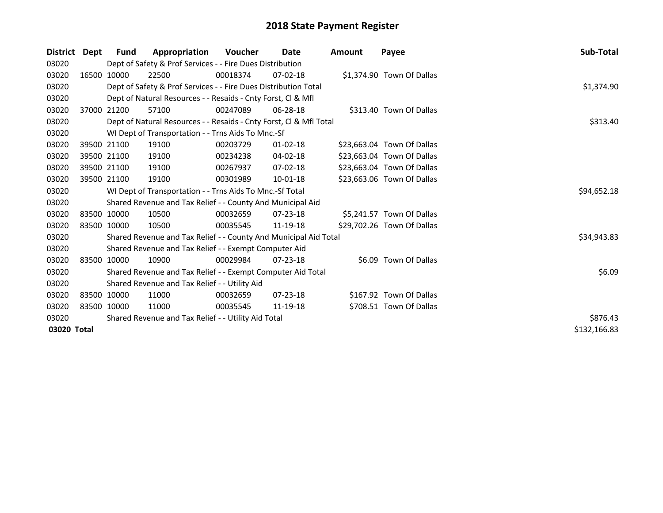| <b>District</b> | Dept        | Fund        | Appropriation                                                      | <b>Voucher</b> | Date           | <b>Amount</b> | Payee                      | Sub-Total    |
|-----------------|-------------|-------------|--------------------------------------------------------------------|----------------|----------------|---------------|----------------------------|--------------|
| 03020           |             |             | Dept of Safety & Prof Services - - Fire Dues Distribution          |                |                |               |                            |              |
| 03020           |             | 16500 10000 | 22500                                                              | 00018374       | $07-02-18$     |               | \$1,374.90 Town Of Dallas  |              |
| 03020           |             |             | Dept of Safety & Prof Services - - Fire Dues Distribution Total    |                |                |               |                            | \$1,374.90   |
| 03020           |             |             | Dept of Natural Resources - - Resaids - Cnty Forst, CI & Mfl       |                |                |               |                            |              |
| 03020           |             | 37000 21200 | 57100                                                              | 00247089       | 06-28-18       |               | \$313.40 Town Of Dallas    |              |
| 03020           |             |             | Dept of Natural Resources - - Resaids - Cnty Forst, Cl & Mfl Total |                |                |               |                            | \$313.40     |
| 03020           |             |             | WI Dept of Transportation - - Trns Aids To Mnc.-Sf                 |                |                |               |                            |              |
| 03020           |             | 39500 21100 | 19100                                                              | 00203729       | $01 - 02 - 18$ |               | \$23,663.04 Town Of Dallas |              |
| 03020           |             | 39500 21100 | 19100                                                              | 00234238       | 04-02-18       |               | \$23,663.04 Town Of Dallas |              |
| 03020           |             | 39500 21100 | 19100                                                              | 00267937       | 07-02-18       |               | \$23,663.04 Town Of Dallas |              |
| 03020           | 39500 21100 |             | 19100                                                              | 00301989       | $10-01-18$     |               | \$23,663.06 Town Of Dallas |              |
| 03020           |             |             | WI Dept of Transportation - - Trns Aids To Mnc.-Sf Total           |                |                |               |                            | \$94,652.18  |
| 03020           |             |             | Shared Revenue and Tax Relief - - County And Municipal Aid         |                |                |               |                            |              |
| 03020           |             | 83500 10000 | 10500                                                              | 00032659       | $07 - 23 - 18$ |               | \$5,241.57 Town Of Dallas  |              |
| 03020           | 83500 10000 |             | 10500                                                              | 00035545       | 11-19-18       |               | \$29,702.26 Town Of Dallas |              |
| 03020           |             |             | Shared Revenue and Tax Relief - - County And Municipal Aid Total   |                |                |               |                            | \$34,943.83  |
| 03020           |             |             | Shared Revenue and Tax Relief - - Exempt Computer Aid              |                |                |               |                            |              |
| 03020           |             | 83500 10000 | 10900                                                              | 00029984       | $07 - 23 - 18$ |               | \$6.09 Town Of Dallas      |              |
| 03020           |             |             | Shared Revenue and Tax Relief - - Exempt Computer Aid Total        |                |                |               |                            | \$6.09       |
| 03020           |             |             | Shared Revenue and Tax Relief - - Utility Aid                      |                |                |               |                            |              |
| 03020           |             | 83500 10000 | 11000                                                              | 00032659       | $07 - 23 - 18$ |               | \$167.92 Town Of Dallas    |              |
| 03020           |             | 83500 10000 | 11000                                                              | 00035545       | 11-19-18       |               | \$708.51 Town Of Dallas    |              |
| 03020           |             |             | Shared Revenue and Tax Relief - - Utility Aid Total                | \$876.43       |                |               |                            |              |
| 03020 Total     |             |             |                                                                    |                |                |               |                            | \$132,166.83 |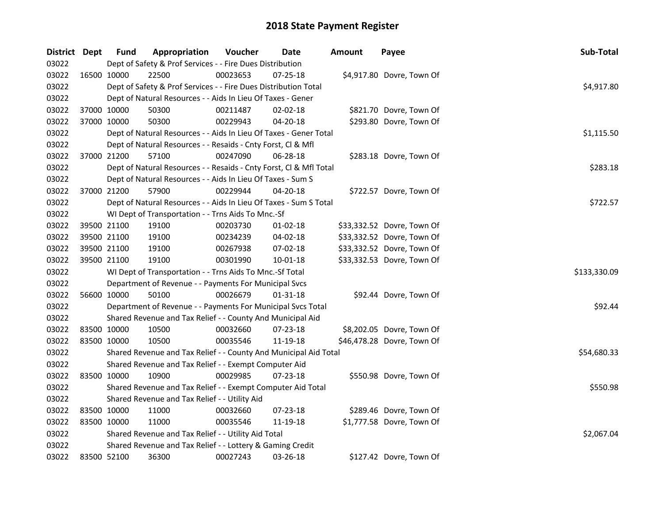| District Dept |             | <b>Fund</b> | Appropriation                                                      | Voucher  | Date           | <b>Amount</b> | Payee                      | Sub-Total    |
|---------------|-------------|-------------|--------------------------------------------------------------------|----------|----------------|---------------|----------------------------|--------------|
| 03022         |             |             | Dept of Safety & Prof Services - - Fire Dues Distribution          |          |                |               |                            |              |
| 03022         |             | 16500 10000 | 22500                                                              | 00023653 | 07-25-18       |               | \$4,917.80 Dovre, Town Of  |              |
| 03022         |             |             | Dept of Safety & Prof Services - - Fire Dues Distribution Total    |          |                |               |                            | \$4,917.80   |
| 03022         |             |             | Dept of Natural Resources - - Aids In Lieu Of Taxes - Gener        |          |                |               |                            |              |
| 03022         |             | 37000 10000 | 50300                                                              | 00211487 | 02-02-18       |               | \$821.70 Dovre, Town Of    |              |
| 03022         | 37000 10000 |             | 50300                                                              | 00229943 | 04-20-18       |               | \$293.80 Dovre, Town Of    |              |
| 03022         |             |             | Dept of Natural Resources - - Aids In Lieu Of Taxes - Gener Total  |          |                |               |                            | \$1,115.50   |
| 03022         |             |             | Dept of Natural Resources - - Resaids - Cnty Forst, Cl & Mfl       |          |                |               |                            |              |
| 03022         |             | 37000 21200 | 57100                                                              | 00247090 | 06-28-18       |               | \$283.18 Dovre, Town Of    |              |
| 03022         |             |             | Dept of Natural Resources - - Resaids - Cnty Forst, Cl & Mfl Total |          |                |               |                            | \$283.18     |
| 03022         |             |             | Dept of Natural Resources - - Aids In Lieu Of Taxes - Sum S        |          |                |               |                            |              |
| 03022         |             | 37000 21200 | 57900                                                              | 00229944 | 04-20-18       |               | \$722.57 Dovre, Town Of    |              |
| 03022         |             |             | Dept of Natural Resources - - Aids In Lieu Of Taxes - Sum S Total  |          |                |               |                            | \$722.57     |
| 03022         |             |             | WI Dept of Transportation - - Trns Aids To Mnc.-Sf                 |          |                |               |                            |              |
| 03022         |             | 39500 21100 | 19100                                                              | 00203730 | $01 - 02 - 18$ |               | \$33,332.52 Dovre, Town Of |              |
| 03022         |             | 39500 21100 | 19100                                                              | 00234239 | $04 - 02 - 18$ |               | \$33,332.52 Dovre, Town Of |              |
| 03022         |             | 39500 21100 | 19100                                                              | 00267938 | 07-02-18       |               | \$33,332.52 Dovre, Town Of |              |
| 03022         |             | 39500 21100 | 19100                                                              | 00301990 | $10 - 01 - 18$ |               | \$33,332.53 Dovre, Town Of |              |
| 03022         |             |             | WI Dept of Transportation - - Trns Aids To Mnc.-Sf Total           |          |                |               |                            | \$133,330.09 |
| 03022         |             |             | Department of Revenue - - Payments For Municipal Svcs              |          |                |               |                            |              |
| 03022         |             | 56600 10000 | 50100                                                              | 00026679 | $01 - 31 - 18$ |               | \$92.44 Dovre, Town Of     |              |
| 03022         |             |             | Department of Revenue - - Payments For Municipal Svcs Total        |          |                |               |                            | \$92.44      |
| 03022         |             |             | Shared Revenue and Tax Relief - - County And Municipal Aid         |          |                |               |                            |              |
| 03022         | 83500 10000 |             | 10500                                                              | 00032660 | 07-23-18       |               | \$8,202.05 Dovre, Town Of  |              |
| 03022         | 83500 10000 |             | 10500                                                              | 00035546 | 11-19-18       |               | \$46,478.28 Dovre, Town Of |              |
| 03022         |             |             | Shared Revenue and Tax Relief - - County And Municipal Aid Total   |          |                |               |                            | \$54,680.33  |
| 03022         |             |             | Shared Revenue and Tax Relief - - Exempt Computer Aid              |          |                |               |                            |              |
| 03022         | 83500 10000 |             | 10900                                                              | 00029985 | 07-23-18       |               | \$550.98 Dovre, Town Of    |              |
| 03022         |             |             | Shared Revenue and Tax Relief - - Exempt Computer Aid Total        |          |                |               |                            | \$550.98     |
| 03022         |             |             | Shared Revenue and Tax Relief - - Utility Aid                      |          |                |               |                            |              |
| 03022         | 83500 10000 |             | 11000                                                              | 00032660 | 07-23-18       |               | \$289.46 Dovre, Town Of    |              |
| 03022         | 83500 10000 |             | 11000                                                              | 00035546 | 11-19-18       |               | \$1,777.58 Dovre, Town Of  |              |
| 03022         |             |             | Shared Revenue and Tax Relief - - Utility Aid Total                |          |                |               |                            | \$2,067.04   |
| 03022         |             |             | Shared Revenue and Tax Relief - - Lottery & Gaming Credit          |          |                |               |                            |              |
| 03022         | 83500 52100 |             | 36300                                                              | 00027243 | 03-26-18       |               | \$127.42 Dovre, Town Of    |              |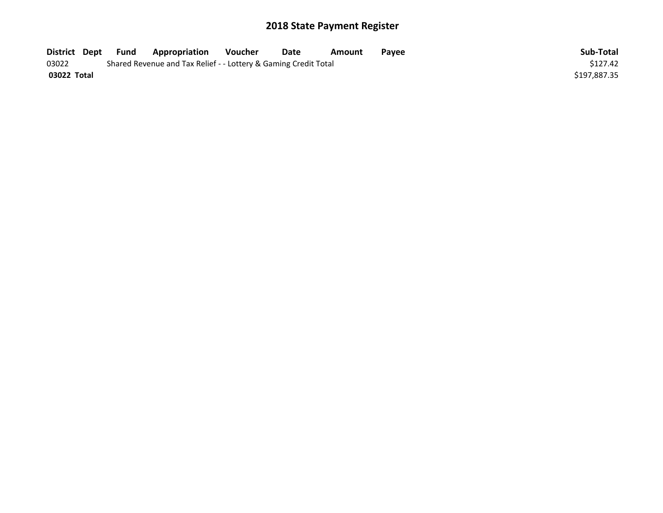| District Dept | Fund | <b>Appropriation</b>                                            | Voucher | Date | Amount | Payee | Sub-Total    |
|---------------|------|-----------------------------------------------------------------|---------|------|--------|-------|--------------|
| 03022         |      | Shared Revenue and Tax Relief - - Lottery & Gaming Credit Total |         |      |        |       | \$127.42     |
| 03022 Total   |      |                                                                 |         |      |        |       | \$197,887.35 |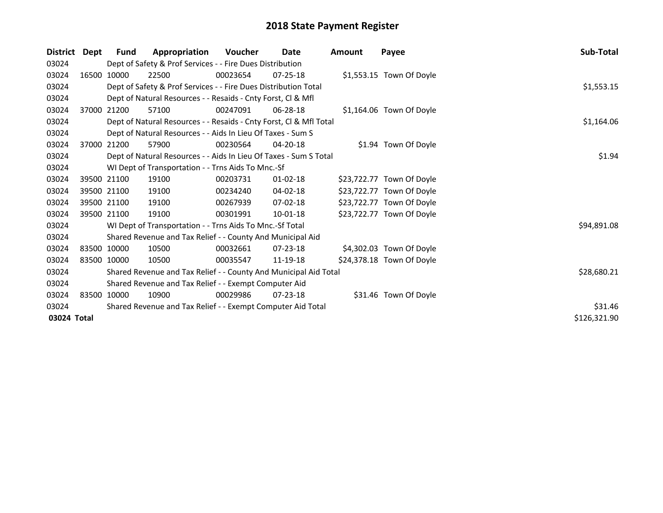| <b>District</b> | Dept | <b>Fund</b> | Appropriation                                                      | <b>Voucher</b> | <b>Date</b>    | Amount | Payee                     | Sub-Total    |
|-----------------|------|-------------|--------------------------------------------------------------------|----------------|----------------|--------|---------------------------|--------------|
| 03024           |      |             | Dept of Safety & Prof Services - - Fire Dues Distribution          |                |                |        |                           |              |
| 03024           |      | 16500 10000 | 22500                                                              | 00023654       | $07 - 25 - 18$ |        | \$1,553.15 Town Of Doyle  |              |
| 03024           |      |             | Dept of Safety & Prof Services - - Fire Dues Distribution Total    |                |                |        |                           | \$1,553.15   |
| 03024           |      |             | Dept of Natural Resources - - Resaids - Cnty Forst, CI & Mfl       |                |                |        |                           |              |
| 03024           |      | 37000 21200 | 57100                                                              | 00247091       | 06-28-18       |        | \$1,164.06 Town Of Doyle  |              |
| 03024           |      |             | Dept of Natural Resources - - Resaids - Cnty Forst, CI & Mfl Total |                |                |        |                           | \$1,164.06   |
| 03024           |      |             | Dept of Natural Resources - - Aids In Lieu Of Taxes - Sum S        |                |                |        |                           |              |
| 03024           |      | 37000 21200 | 57900                                                              | 00230564       | 04-20-18       |        | \$1.94 Town Of Doyle      |              |
| 03024           |      |             | Dept of Natural Resources - - Aids In Lieu Of Taxes - Sum S Total  |                |                |        |                           | \$1.94       |
| 03024           |      |             | WI Dept of Transportation - - Trns Aids To Mnc.-Sf                 |                |                |        |                           |              |
| 03024           |      | 39500 21100 | 19100                                                              | 00203731       | $01 - 02 - 18$ |        | \$23,722.77 Town Of Doyle |              |
| 03024           |      | 39500 21100 | 19100                                                              | 00234240       | 04-02-18       |        | \$23,722.77 Town Of Doyle |              |
| 03024           |      | 39500 21100 | 19100                                                              | 00267939       | 07-02-18       |        | \$23,722.77 Town Of Doyle |              |
| 03024           |      | 39500 21100 | 19100                                                              | 00301991       | $10-01-18$     |        | \$23,722.77 Town Of Doyle |              |
| 03024           |      |             | WI Dept of Transportation - - Trns Aids To Mnc.-Sf Total           |                |                |        |                           | \$94,891.08  |
| 03024           |      |             | Shared Revenue and Tax Relief - - County And Municipal Aid         |                |                |        |                           |              |
| 03024           |      | 83500 10000 | 10500                                                              | 00032661       | $07 - 23 - 18$ |        | \$4,302.03 Town Of Doyle  |              |
| 03024           |      | 83500 10000 | 10500                                                              | 00035547       | 11-19-18       |        | \$24,378.18 Town Of Doyle |              |
| 03024           |      |             | Shared Revenue and Tax Relief - - County And Municipal Aid Total   |                |                |        |                           | \$28,680.21  |
| 03024           |      |             | Shared Revenue and Tax Relief - - Exempt Computer Aid              |                |                |        |                           |              |
| 03024           |      | 83500 10000 | 10900                                                              | 00029986       | $07 - 23 - 18$ |        | \$31.46 Town Of Doyle     |              |
| 03024           |      |             | Shared Revenue and Tax Relief - - Exempt Computer Aid Total        |                |                |        |                           | \$31.46      |
| 03024 Total     |      |             |                                                                    |                |                |        |                           | \$126,321.90 |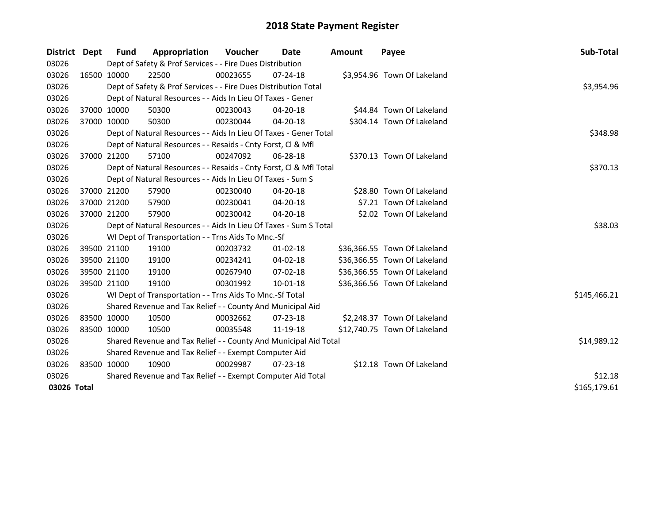| District    | Dept        | <b>Fund</b> | Appropriation                                                      | <b>Voucher</b> | Date           | Amount | Payee                        | Sub-Total    |
|-------------|-------------|-------------|--------------------------------------------------------------------|----------------|----------------|--------|------------------------------|--------------|
| 03026       |             |             | Dept of Safety & Prof Services - - Fire Dues Distribution          |                |                |        |                              |              |
| 03026       | 16500 10000 |             | 22500                                                              | 00023655       | 07-24-18       |        | \$3,954.96 Town Of Lakeland  |              |
| 03026       |             |             | Dept of Safety & Prof Services - - Fire Dues Distribution Total    |                |                |        |                              | \$3,954.96   |
| 03026       |             |             | Dept of Natural Resources - - Aids In Lieu Of Taxes - Gener        |                |                |        |                              |              |
| 03026       |             | 37000 10000 | 50300                                                              | 00230043       | 04-20-18       |        | \$44.84 Town Of Lakeland     |              |
| 03026       | 37000 10000 |             | 50300                                                              | 00230044       | 04-20-18       |        | \$304.14 Town Of Lakeland    |              |
| 03026       |             |             | Dept of Natural Resources - - Aids In Lieu Of Taxes - Gener Total  |                |                |        |                              | \$348.98     |
| 03026       |             |             | Dept of Natural Resources - - Resaids - Cnty Forst, Cl & Mfl       |                |                |        |                              |              |
| 03026       |             | 37000 21200 | 57100                                                              | 00247092       | $06 - 28 - 18$ |        | \$370.13 Town Of Lakeland    |              |
| 03026       |             |             | Dept of Natural Resources - - Resaids - Cnty Forst, Cl & Mfl Total |                |                |        |                              | \$370.13     |
| 03026       |             |             | Dept of Natural Resources - - Aids In Lieu Of Taxes - Sum S        |                |                |        |                              |              |
| 03026       |             | 37000 21200 | 57900                                                              | 00230040       | 04-20-18       |        | \$28.80 Town Of Lakeland     |              |
| 03026       |             | 37000 21200 | 57900                                                              | 00230041       | 04-20-18       |        | \$7.21 Town Of Lakeland      |              |
| 03026       | 37000 21200 |             | 57900                                                              | 00230042       | 04-20-18       |        | \$2.02 Town Of Lakeland      |              |
| 03026       |             |             | Dept of Natural Resources - - Aids In Lieu Of Taxes - Sum S Total  |                |                |        |                              | \$38.03      |
| 03026       |             |             | WI Dept of Transportation - - Trns Aids To Mnc.-Sf                 |                |                |        |                              |              |
| 03026       |             | 39500 21100 | 19100                                                              | 00203732       | $01 - 02 - 18$ |        | \$36,366.55 Town Of Lakeland |              |
| 03026       |             | 39500 21100 | 19100                                                              | 00234241       | 04-02-18       |        | \$36,366.55 Town Of Lakeland |              |
| 03026       |             | 39500 21100 | 19100                                                              | 00267940       | 07-02-18       |        | \$36,366.55 Town Of Lakeland |              |
| 03026       | 39500 21100 |             | 19100                                                              | 00301992       | 10-01-18       |        | \$36,366.56 Town Of Lakeland |              |
| 03026       |             |             | WI Dept of Transportation - - Trns Aids To Mnc.-Sf Total           |                |                |        |                              | \$145,466.21 |
| 03026       |             |             | Shared Revenue and Tax Relief - - County And Municipal Aid         |                |                |        |                              |              |
| 03026       | 83500 10000 |             | 10500                                                              | 00032662       | 07-23-18       |        | \$2,248.37 Town Of Lakeland  |              |
| 03026       | 83500 10000 |             | 10500                                                              | 00035548       | 11-19-18       |        | \$12,740.75 Town Of Lakeland |              |
| 03026       |             |             | Shared Revenue and Tax Relief - - County And Municipal Aid Total   |                |                |        |                              | \$14,989.12  |
| 03026       |             |             | Shared Revenue and Tax Relief - - Exempt Computer Aid              |                |                |        |                              |              |
| 03026       | 83500 10000 |             | 10900                                                              | 00029987       | $07 - 23 - 18$ |        | \$12.18 Town Of Lakeland     |              |
| 03026       |             |             | Shared Revenue and Tax Relief - - Exempt Computer Aid Total        | \$12.18        |                |        |                              |              |
| 03026 Total |             |             |                                                                    |                |                |        |                              | \$165,179.61 |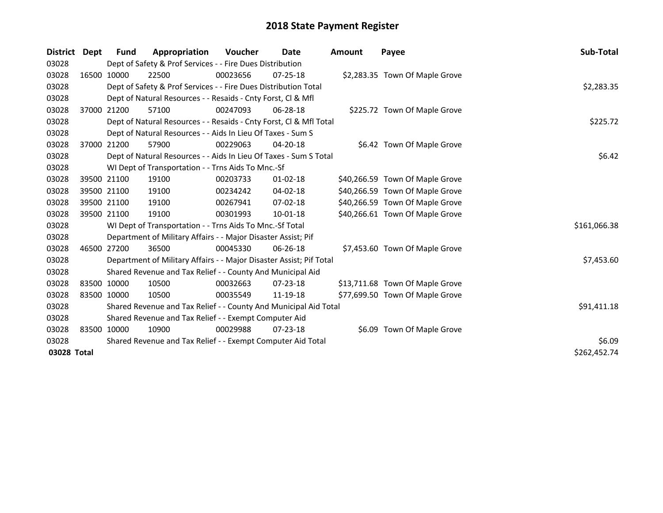| <b>District</b> | Dept        | <b>Fund</b> | Appropriation                                                       | <b>Voucher</b> | Date           | Amount | Payee                           | Sub-Total    |
|-----------------|-------------|-------------|---------------------------------------------------------------------|----------------|----------------|--------|---------------------------------|--------------|
| 03028           |             |             | Dept of Safety & Prof Services - - Fire Dues Distribution           |                |                |        |                                 |              |
| 03028           |             | 16500 10000 | 22500                                                               | 00023656       | $07 - 25 - 18$ |        | \$2,283.35 Town Of Maple Grove  |              |
| 03028           |             |             | Dept of Safety & Prof Services - - Fire Dues Distribution Total     |                |                |        |                                 | \$2,283.35   |
| 03028           |             |             | Dept of Natural Resources - - Resaids - Cnty Forst, Cl & Mfl        |                |                |        |                                 |              |
| 03028           | 37000 21200 |             | 57100                                                               | 00247093       | $06 - 28 - 18$ |        | \$225.72 Town Of Maple Grove    |              |
| 03028           |             |             | Dept of Natural Resources - - Resaids - Cnty Forst, Cl & Mfl Total  |                |                |        |                                 | \$225.72     |
| 03028           |             |             | Dept of Natural Resources - - Aids In Lieu Of Taxes - Sum S         |                |                |        |                                 |              |
| 03028           | 37000 21200 |             | 57900                                                               | 00229063       | 04-20-18       |        | \$6.42 Town Of Maple Grove      |              |
| 03028           |             |             | Dept of Natural Resources - - Aids In Lieu Of Taxes - Sum S Total   |                |                |        |                                 | \$6.42       |
| 03028           |             |             | WI Dept of Transportation - - Trns Aids To Mnc.-Sf                  |                |                |        |                                 |              |
| 03028           | 39500 21100 |             | 19100                                                               | 00203733       | $01 - 02 - 18$ |        | \$40,266.59 Town Of Maple Grove |              |
| 03028           | 39500 21100 |             | 19100                                                               | 00234242       | $04 - 02 - 18$ |        | \$40,266.59 Town Of Maple Grove |              |
| 03028           | 39500 21100 |             | 19100                                                               | 00267941       | $07 - 02 - 18$ |        | \$40,266.59 Town Of Maple Grove |              |
| 03028           | 39500 21100 |             | 19100                                                               | 00301993       | 10-01-18       |        | \$40,266.61 Town Of Maple Grove |              |
| 03028           |             |             | WI Dept of Transportation - - Trns Aids To Mnc.-Sf Total            |                |                |        |                                 | \$161,066.38 |
| 03028           |             |             | Department of Military Affairs - - Major Disaster Assist; Pif       |                |                |        |                                 |              |
| 03028           | 46500 27200 |             | 36500                                                               | 00045330       | 06-26-18       |        | \$7,453.60 Town Of Maple Grove  |              |
| 03028           |             |             | Department of Military Affairs - - Major Disaster Assist; Pif Total |                |                |        |                                 | \$7,453.60   |
| 03028           |             |             | Shared Revenue and Tax Relief - - County And Municipal Aid          |                |                |        |                                 |              |
| 03028           | 83500 10000 |             | 10500                                                               | 00032663       | $07 - 23 - 18$ |        | \$13,711.68 Town Of Maple Grove |              |
| 03028           | 83500 10000 |             | 10500                                                               | 00035549       | 11-19-18       |        | \$77,699.50 Town Of Maple Grove |              |
| 03028           |             |             | Shared Revenue and Tax Relief - - County And Municipal Aid Total    | \$91,411.18    |                |        |                                 |              |
| 03028           |             |             | Shared Revenue and Tax Relief - - Exempt Computer Aid               |                |                |        |                                 |              |
| 03028           | 83500 10000 |             | 10900                                                               | 00029988       | $07 - 23 - 18$ |        | \$6.09 Town Of Maple Grove      |              |
| 03028           |             |             | Shared Revenue and Tax Relief - - Exempt Computer Aid Total         | \$6.09         |                |        |                                 |              |
| 03028 Total     |             |             |                                                                     |                |                |        |                                 | \$262,452.74 |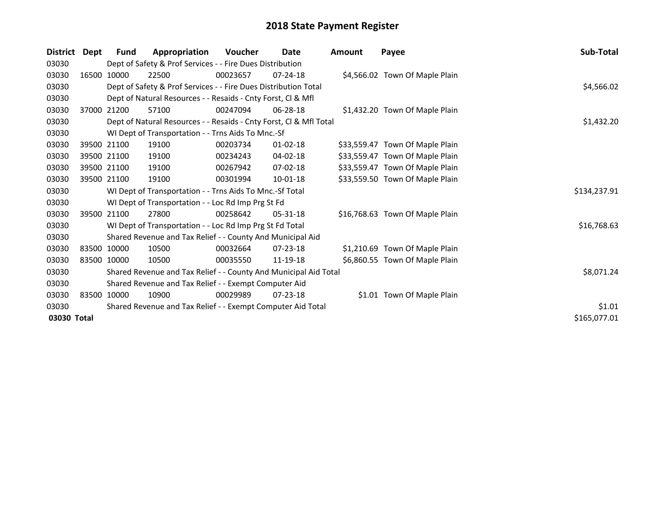| <b>District</b> | Dept        | Fund                                                                  | Appropriation                                                                 | Voucher  | Date           | Amount | Payee                           | Sub-Total    |  |  |  |  |
|-----------------|-------------|-----------------------------------------------------------------------|-------------------------------------------------------------------------------|----------|----------------|--------|---------------------------------|--------------|--|--|--|--|
| 03030           |             |                                                                       | Dept of Safety & Prof Services - - Fire Dues Distribution                     |          |                |        |                                 |              |  |  |  |  |
| 03030           |             | 16500 10000                                                           | 22500                                                                         | 00023657 | $07 - 24 - 18$ |        | \$4,566.02 Town Of Maple Plain  |              |  |  |  |  |
| 03030           |             |                                                                       | \$4,566.02<br>Dept of Safety & Prof Services - - Fire Dues Distribution Total |          |                |        |                                 |              |  |  |  |  |
| 03030           |             |                                                                       | Dept of Natural Resources - - Resaids - Cnty Forst, CI & Mfl                  |          |                |        |                                 |              |  |  |  |  |
| 03030           |             | 37000 21200                                                           | 57100                                                                         | 00247094 | $06 - 28 - 18$ |        | \$1,432.20 Town Of Maple Plain  |              |  |  |  |  |
| 03030           |             |                                                                       | Dept of Natural Resources - - Resaids - Cnty Forst, CI & Mfl Total            |          |                |        |                                 | \$1,432.20   |  |  |  |  |
| 03030           |             |                                                                       | WI Dept of Transportation - - Trns Aids To Mnc.-Sf                            |          |                |        |                                 |              |  |  |  |  |
| 03030           |             | 39500 21100                                                           | 19100                                                                         | 00203734 | $01 - 02 - 18$ |        | \$33,559.47 Town Of Maple Plain |              |  |  |  |  |
| 03030           |             | 39500 21100                                                           | 19100                                                                         | 00234243 | $04 - 02 - 18$ |        | \$33,559.47 Town Of Maple Plain |              |  |  |  |  |
| 03030           | 39500 21100 |                                                                       | 19100                                                                         | 00267942 | 07-02-18       |        | \$33,559.47 Town Of Maple Plain |              |  |  |  |  |
| 03030           |             | 39500 21100                                                           | 19100                                                                         | 00301994 | 10-01-18       |        | \$33,559.50 Town Of Maple Plain |              |  |  |  |  |
| 03030           |             |                                                                       | WI Dept of Transportation - - Trns Aids To Mnc.-Sf Total                      |          |                |        |                                 | \$134,237.91 |  |  |  |  |
| 03030           |             |                                                                       | WI Dept of Transportation - - Loc Rd Imp Prg St Fd                            |          |                |        |                                 |              |  |  |  |  |
| 03030           |             | 39500 21100                                                           | 27800                                                                         | 00258642 | 05-31-18       |        | \$16,768.63 Town Of Maple Plain |              |  |  |  |  |
| 03030           |             |                                                                       | WI Dept of Transportation - - Loc Rd Imp Prg St Fd Total                      |          |                |        |                                 | \$16,768.63  |  |  |  |  |
| 03030           |             |                                                                       | Shared Revenue and Tax Relief - - County And Municipal Aid                    |          |                |        |                                 |              |  |  |  |  |
| 03030           |             | 83500 10000                                                           | 10500                                                                         | 00032664 | $07 - 23 - 18$ |        | \$1,210.69 Town Of Maple Plain  |              |  |  |  |  |
| 03030           | 83500 10000 |                                                                       | 10500                                                                         | 00035550 | 11-19-18       |        | \$6,860.55 Town Of Maple Plain  |              |  |  |  |  |
| 03030           |             |                                                                       | Shared Revenue and Tax Relief - - County And Municipal Aid Total              |          |                |        |                                 | \$8,071.24   |  |  |  |  |
| 03030           |             |                                                                       | Shared Revenue and Tax Relief - - Exempt Computer Aid                         |          |                |        |                                 |              |  |  |  |  |
| 03030           |             | 83500 10000                                                           | 10900                                                                         | 00029989 | $07 - 23 - 18$ |        | \$1.01 Town Of Maple Plain      |              |  |  |  |  |
| 03030           |             | \$1.01<br>Shared Revenue and Tax Relief - - Exempt Computer Aid Total |                                                                               |          |                |        |                                 |              |  |  |  |  |
| 03030 Total     |             |                                                                       |                                                                               |          |                |        |                                 | \$165,077.01 |  |  |  |  |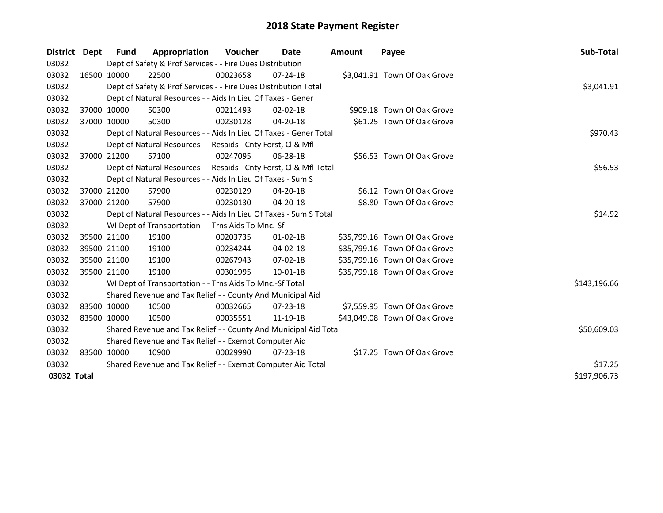| District Dept | Fund                                                        | Appropriation                                                      | Voucher  | Date           | Amount | Payee                         | Sub-Total    |  |  |  |
|---------------|-------------------------------------------------------------|--------------------------------------------------------------------|----------|----------------|--------|-------------------------------|--------------|--|--|--|
| 03032         |                                                             | Dept of Safety & Prof Services - - Fire Dues Distribution          |          |                |        |                               |              |  |  |  |
| 03032         | 16500 10000                                                 | 22500                                                              | 00023658 | $07 - 24 - 18$ |        | \$3,041.91 Town Of Oak Grove  |              |  |  |  |
| 03032         |                                                             | Dept of Safety & Prof Services - - Fire Dues Distribution Total    |          |                |        |                               | \$3,041.91   |  |  |  |
| 03032         |                                                             | Dept of Natural Resources - - Aids In Lieu Of Taxes - Gener        |          |                |        |                               |              |  |  |  |
| 03032         | 37000 10000                                                 | 50300                                                              | 00211493 | $02 - 02 - 18$ |        | \$909.18 Town Of Oak Grove    |              |  |  |  |
| 03032         | 37000 10000                                                 | 50300                                                              | 00230128 | $04 - 20 - 18$ |        | \$61.25 Town Of Oak Grove     |              |  |  |  |
| 03032         |                                                             | Dept of Natural Resources - - Aids In Lieu Of Taxes - Gener Total  |          |                |        |                               | \$970.43     |  |  |  |
| 03032         |                                                             | Dept of Natural Resources - - Resaids - Cnty Forst, Cl & Mfl       |          |                |        |                               |              |  |  |  |
| 03032         | 37000 21200                                                 | 57100                                                              | 00247095 | 06-28-18       |        | \$56.53 Town Of Oak Grove     |              |  |  |  |
| 03032         |                                                             | Dept of Natural Resources - - Resaids - Cnty Forst, CI & Mfl Total |          |                |        |                               | \$56.53      |  |  |  |
| 03032         |                                                             | Dept of Natural Resources - - Aids In Lieu Of Taxes - Sum S        |          |                |        |                               |              |  |  |  |
| 03032         | 37000 21200                                                 | 57900                                                              | 00230129 | 04-20-18       |        | \$6.12 Town Of Oak Grove      |              |  |  |  |
| 03032         | 37000 21200                                                 | 57900                                                              | 00230130 | 04-20-18       |        | \$8.80 Town Of Oak Grove      |              |  |  |  |
| 03032         |                                                             | Dept of Natural Resources - - Aids In Lieu Of Taxes - Sum S Total  |          |                |        |                               |              |  |  |  |
| 03032         |                                                             | WI Dept of Transportation - - Trns Aids To Mnc.-Sf                 |          |                |        |                               |              |  |  |  |
| 03032         | 39500 21100                                                 | 19100                                                              | 00203735 | $01 - 02 - 18$ |        | \$35,799.16 Town Of Oak Grove |              |  |  |  |
| 03032         | 39500 21100                                                 | 19100                                                              | 00234244 | 04-02-18       |        | \$35,799.16 Town Of Oak Grove |              |  |  |  |
| 03032         | 39500 21100                                                 | 19100                                                              | 00267943 | 07-02-18       |        | \$35,799.16 Town Of Oak Grove |              |  |  |  |
| 03032         | 39500 21100                                                 | 19100                                                              | 00301995 | 10-01-18       |        | \$35,799.18 Town Of Oak Grove |              |  |  |  |
| 03032         |                                                             | WI Dept of Transportation - - Trns Aids To Mnc.-Sf Total           |          |                |        |                               | \$143,196.66 |  |  |  |
| 03032         |                                                             | Shared Revenue and Tax Relief - - County And Municipal Aid         |          |                |        |                               |              |  |  |  |
| 03032         | 83500 10000                                                 | 10500                                                              | 00032665 | 07-23-18       |        | \$7,559.95 Town Of Oak Grove  |              |  |  |  |
| 03032         | 83500 10000                                                 | 10500                                                              | 00035551 | 11-19-18       |        | \$43,049.08 Town Of Oak Grove |              |  |  |  |
| 03032         |                                                             | Shared Revenue and Tax Relief - - County And Municipal Aid Total   |          |                |        |                               | \$50,609.03  |  |  |  |
| 03032         |                                                             | Shared Revenue and Tax Relief - - Exempt Computer Aid              |          |                |        |                               |              |  |  |  |
| 03032         | 83500 10000                                                 | 10900                                                              | 00029990 | $07 - 23 - 18$ |        | \$17.25 Town Of Oak Grove     |              |  |  |  |
| 03032         | Shared Revenue and Tax Relief - - Exempt Computer Aid Total | \$17.25                                                            |          |                |        |                               |              |  |  |  |
| 03032 Total   |                                                             |                                                                    |          |                |        |                               | \$197,906.73 |  |  |  |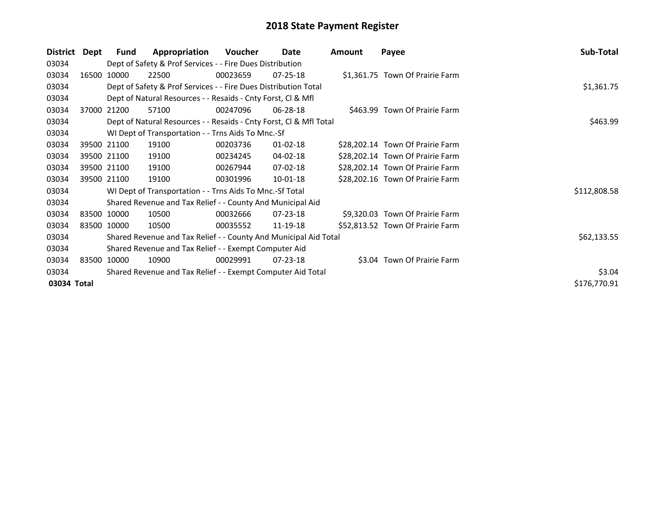| Dept        | <b>Fund</b>                                                           | Appropriation                                                                                                                       | Voucher  | Date           | <b>Amount</b>                                                                                                                                                                                                                                                                                                                                                                                                                         | Payee                                                                                                                                  | Sub-Total                                                                                                                                                                                                                                                                                                              |  |  |
|-------------|-----------------------------------------------------------------------|-------------------------------------------------------------------------------------------------------------------------------------|----------|----------------|---------------------------------------------------------------------------------------------------------------------------------------------------------------------------------------------------------------------------------------------------------------------------------------------------------------------------------------------------------------------------------------------------------------------------------------|----------------------------------------------------------------------------------------------------------------------------------------|------------------------------------------------------------------------------------------------------------------------------------------------------------------------------------------------------------------------------------------------------------------------------------------------------------------------|--|--|
|             |                                                                       |                                                                                                                                     |          |                |                                                                                                                                                                                                                                                                                                                                                                                                                                       |                                                                                                                                        |                                                                                                                                                                                                                                                                                                                        |  |  |
|             |                                                                       | 22500                                                                                                                               | 00023659 | $07 - 25 - 18$ |                                                                                                                                                                                                                                                                                                                                                                                                                                       |                                                                                                                                        |                                                                                                                                                                                                                                                                                                                        |  |  |
|             |                                                                       |                                                                                                                                     |          |                |                                                                                                                                                                                                                                                                                                                                                                                                                                       |                                                                                                                                        | \$1,361.75                                                                                                                                                                                                                                                                                                             |  |  |
|             |                                                                       |                                                                                                                                     |          |                |                                                                                                                                                                                                                                                                                                                                                                                                                                       |                                                                                                                                        |                                                                                                                                                                                                                                                                                                                        |  |  |
|             |                                                                       | 57100                                                                                                                               | 00247096 | $06 - 28 - 18$ |                                                                                                                                                                                                                                                                                                                                                                                                                                       |                                                                                                                                        |                                                                                                                                                                                                                                                                                                                        |  |  |
|             |                                                                       |                                                                                                                                     |          |                |                                                                                                                                                                                                                                                                                                                                                                                                                                       |                                                                                                                                        | \$463.99                                                                                                                                                                                                                                                                                                               |  |  |
|             |                                                                       |                                                                                                                                     |          |                |                                                                                                                                                                                                                                                                                                                                                                                                                                       |                                                                                                                                        |                                                                                                                                                                                                                                                                                                                        |  |  |
|             |                                                                       | 19100                                                                                                                               | 00203736 | $01 - 02 - 18$ |                                                                                                                                                                                                                                                                                                                                                                                                                                       |                                                                                                                                        |                                                                                                                                                                                                                                                                                                                        |  |  |
|             |                                                                       | 19100                                                                                                                               | 00234245 | 04-02-18       |                                                                                                                                                                                                                                                                                                                                                                                                                                       |                                                                                                                                        |                                                                                                                                                                                                                                                                                                                        |  |  |
|             |                                                                       | 19100                                                                                                                               | 00267944 | 07-02-18       |                                                                                                                                                                                                                                                                                                                                                                                                                                       |                                                                                                                                        |                                                                                                                                                                                                                                                                                                                        |  |  |
|             |                                                                       | 19100                                                                                                                               | 00301996 | 10-01-18       |                                                                                                                                                                                                                                                                                                                                                                                                                                       |                                                                                                                                        |                                                                                                                                                                                                                                                                                                                        |  |  |
|             |                                                                       |                                                                                                                                     |          |                |                                                                                                                                                                                                                                                                                                                                                                                                                                       |                                                                                                                                        | \$112,808.58                                                                                                                                                                                                                                                                                                           |  |  |
|             |                                                                       |                                                                                                                                     |          |                |                                                                                                                                                                                                                                                                                                                                                                                                                                       |                                                                                                                                        |                                                                                                                                                                                                                                                                                                                        |  |  |
|             |                                                                       | 10500                                                                                                                               | 00032666 | 07-23-18       |                                                                                                                                                                                                                                                                                                                                                                                                                                       |                                                                                                                                        |                                                                                                                                                                                                                                                                                                                        |  |  |
|             |                                                                       | 10500                                                                                                                               | 00035552 | 11-19-18       |                                                                                                                                                                                                                                                                                                                                                                                                                                       |                                                                                                                                        |                                                                                                                                                                                                                                                                                                                        |  |  |
|             |                                                                       |                                                                                                                                     |          |                |                                                                                                                                                                                                                                                                                                                                                                                                                                       |                                                                                                                                        | \$62,133.55                                                                                                                                                                                                                                                                                                            |  |  |
|             |                                                                       |                                                                                                                                     |          |                |                                                                                                                                                                                                                                                                                                                                                                                                                                       |                                                                                                                                        |                                                                                                                                                                                                                                                                                                                        |  |  |
|             |                                                                       | 10900                                                                                                                               | 00029991 | $07 - 23 - 18$ |                                                                                                                                                                                                                                                                                                                                                                                                                                       |                                                                                                                                        |                                                                                                                                                                                                                                                                                                                        |  |  |
|             | \$3.04<br>Shared Revenue and Tax Relief - - Exempt Computer Aid Total |                                                                                                                                     |          |                |                                                                                                                                                                                                                                                                                                                                                                                                                                       |                                                                                                                                        |                                                                                                                                                                                                                                                                                                                        |  |  |
| 03034 Total |                                                                       |                                                                                                                                     |          |                |                                                                                                                                                                                                                                                                                                                                                                                                                                       |                                                                                                                                        | \$176,770.91                                                                                                                                                                                                                                                                                                           |  |  |
|             |                                                                       | 16500 10000<br>37000 21200<br>39500 21100<br>39500 21100<br>39500 21100<br>39500 21100<br>83500 10000<br>83500 10000<br>83500 10000 |          |                | Dept of Safety & Prof Services - - Fire Dues Distribution<br>Dept of Safety & Prof Services - - Fire Dues Distribution Total<br>Dept of Natural Resources - - Resaids - Cnty Forst, CI & Mfl<br>WI Dept of Transportation - - Trns Aids To Mnc.-Sf<br>WI Dept of Transportation - - Trns Aids To Mnc.-Sf Total<br>Shared Revenue and Tax Relief - - County And Municipal Aid<br>Shared Revenue and Tax Relief - - Exempt Computer Aid | Dept of Natural Resources - - Resaids - Cnty Forst, CI & Mfl Total<br>Shared Revenue and Tax Relief - - County And Municipal Aid Total | \$1,361.75 Town Of Prairie Farm<br>\$463.99 Town Of Prairie Farm<br>\$28,202.14 Town Of Prairie Farm<br>\$28,202.14 Town Of Prairie Farm<br>\$28,202.14 Town Of Prairie Farm<br>\$28,202.16 Town Of Prairie Farm<br>\$9,320.03 Town Of Prairie Farm<br>\$52,813.52 Town Of Prairie Farm<br>\$3.04 Town Of Prairie Farm |  |  |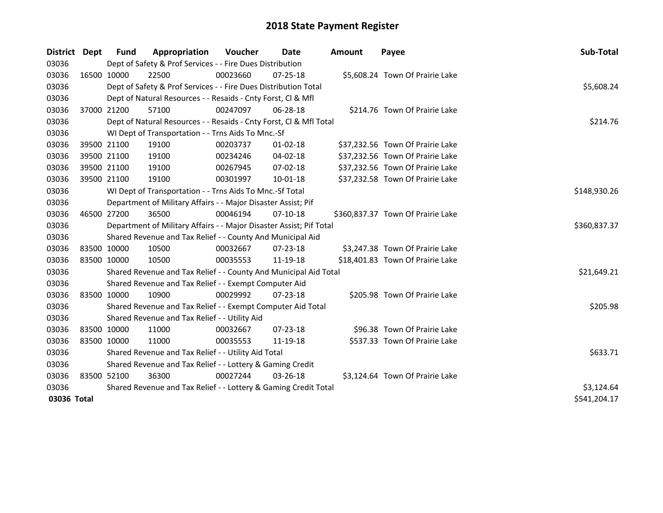| District    | <b>Dept</b> | Fund                                                            | Appropriation                                                       | <b>Voucher</b> | Date           | <b>Amount</b> | Payee                             | Sub-Total    |  |
|-------------|-------------|-----------------------------------------------------------------|---------------------------------------------------------------------|----------------|----------------|---------------|-----------------------------------|--------------|--|
| 03036       |             |                                                                 | Dept of Safety & Prof Services - - Fire Dues Distribution           |                |                |               |                                   |              |  |
| 03036       |             | 16500 10000                                                     | 22500                                                               | 00023660       | 07-25-18       |               | \$5,608.24 Town Of Prairie Lake   |              |  |
| 03036       |             |                                                                 | Dept of Safety & Prof Services - - Fire Dues Distribution Total     |                |                |               |                                   | \$5,608.24   |  |
| 03036       |             |                                                                 | Dept of Natural Resources - - Resaids - Cnty Forst, Cl & Mfl        |                |                |               |                                   |              |  |
| 03036       | 37000 21200 |                                                                 | 57100                                                               | 00247097       | 06-28-18       |               | \$214.76 Town Of Prairie Lake     |              |  |
| 03036       |             |                                                                 | Dept of Natural Resources - - Resaids - Cnty Forst, Cl & Mfl Total  |                |                |               |                                   | \$214.76     |  |
| 03036       |             |                                                                 | WI Dept of Transportation - - Trns Aids To Mnc.-Sf                  |                |                |               |                                   |              |  |
| 03036       |             | 39500 21100                                                     | 19100                                                               | 00203737       | $01 - 02 - 18$ |               | \$37,232.56 Town Of Prairie Lake  |              |  |
| 03036       |             | 39500 21100                                                     | 19100                                                               | 00234246       | 04-02-18       |               | \$37,232.56 Town Of Prairie Lake  |              |  |
| 03036       |             | 39500 21100                                                     | 19100                                                               | 00267945       | $07 - 02 - 18$ |               | \$37,232.56 Town Of Prairie Lake  |              |  |
| 03036       |             | 39500 21100                                                     | 19100                                                               | 00301997       | 10-01-18       |               | \$37,232.58 Town Of Prairie Lake  |              |  |
| 03036       |             |                                                                 | WI Dept of Transportation - - Trns Aids To Mnc.-Sf Total            |                |                |               |                                   | \$148,930.26 |  |
| 03036       |             |                                                                 | Department of Military Affairs - - Major Disaster Assist; Pif       |                |                |               |                                   |              |  |
| 03036       | 46500 27200 |                                                                 | 36500                                                               | 00046194       | $07-10-18$     |               | \$360,837.37 Town Of Prairie Lake |              |  |
| 03036       |             |                                                                 | Department of Military Affairs - - Major Disaster Assist; Pif Total |                |                |               |                                   | \$360,837.37 |  |
| 03036       |             |                                                                 | Shared Revenue and Tax Relief - - County And Municipal Aid          |                |                |               |                                   |              |  |
| 03036       |             | 83500 10000                                                     | 10500                                                               | 00032667       | 07-23-18       |               | \$3,247.38 Town Of Prairie Lake   |              |  |
| 03036       | 83500 10000 |                                                                 | 10500                                                               | 00035553       | 11-19-18       |               | \$18,401.83 Town Of Prairie Lake  |              |  |
| 03036       |             |                                                                 | Shared Revenue and Tax Relief - - County And Municipal Aid Total    |                |                |               |                                   | \$21,649.21  |  |
| 03036       |             |                                                                 | Shared Revenue and Tax Relief - - Exempt Computer Aid               |                |                |               |                                   |              |  |
| 03036       |             | 83500 10000                                                     | 10900                                                               | 00029992       | 07-23-18       |               | \$205.98 Town Of Prairie Lake     |              |  |
| 03036       |             |                                                                 | Shared Revenue and Tax Relief - - Exempt Computer Aid Total         |                |                |               |                                   | \$205.98     |  |
| 03036       |             |                                                                 | Shared Revenue and Tax Relief - - Utility Aid                       |                |                |               |                                   |              |  |
| 03036       |             | 83500 10000                                                     | 11000                                                               | 00032667       | $07 - 23 - 18$ |               | \$96.38 Town Of Prairie Lake      |              |  |
| 03036       | 83500 10000 |                                                                 | 11000                                                               | 00035553       | 11-19-18       |               | \$537.33 Town Of Prairie Lake     |              |  |
| 03036       |             |                                                                 | Shared Revenue and Tax Relief - - Utility Aid Total                 |                |                |               |                                   | \$633.71     |  |
| 03036       |             |                                                                 | Shared Revenue and Tax Relief - - Lottery & Gaming Credit           |                |                |               |                                   |              |  |
| 03036       |             | 83500 52100                                                     | 36300                                                               | 00027244       | 03-26-18       |               | \$3,124.64 Town Of Prairie Lake   |              |  |
| 03036       |             | Shared Revenue and Tax Relief - - Lottery & Gaming Credit Total |                                                                     |                |                |               |                                   |              |  |
| 03036 Total |             |                                                                 |                                                                     |                |                |               |                                   | \$541,204.17 |  |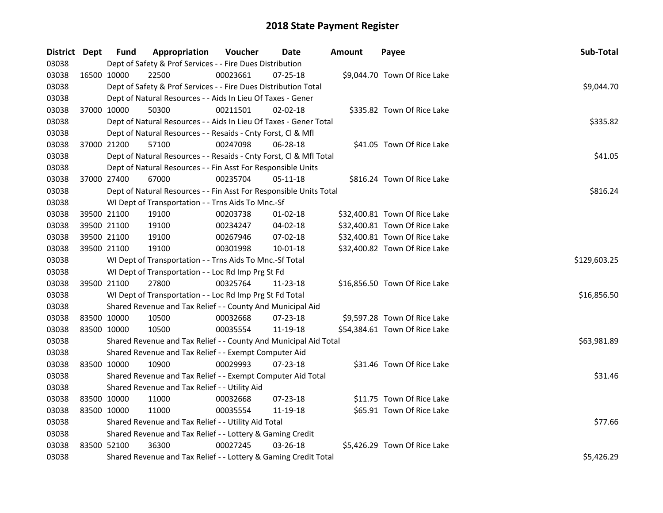| District Dept |             | <b>Fund</b>                                               | Appropriation                                                      | Voucher  | Date     | <b>Amount</b> | Payee                         | Sub-Total    |  |  |  |  |
|---------------|-------------|-----------------------------------------------------------|--------------------------------------------------------------------|----------|----------|---------------|-------------------------------|--------------|--|--|--|--|
| 03038         |             |                                                           | Dept of Safety & Prof Services - - Fire Dues Distribution          |          |          |               |                               |              |  |  |  |  |
| 03038         |             | 16500 10000                                               | 22500                                                              | 00023661 | 07-25-18 |               | \$9,044.70 Town Of Rice Lake  |              |  |  |  |  |
| 03038         |             |                                                           | Dept of Safety & Prof Services - - Fire Dues Distribution Total    |          |          |               |                               | \$9,044.70   |  |  |  |  |
| 03038         |             |                                                           | Dept of Natural Resources - - Aids In Lieu Of Taxes - Gener        |          |          |               |                               |              |  |  |  |  |
| 03038         | 37000 10000 |                                                           | 50300                                                              | 00211501 | 02-02-18 |               | \$335.82 Town Of Rice Lake    |              |  |  |  |  |
| 03038         |             |                                                           | Dept of Natural Resources - - Aids In Lieu Of Taxes - Gener Total  |          |          |               |                               | \$335.82     |  |  |  |  |
| 03038         |             |                                                           | Dept of Natural Resources - - Resaids - Cnty Forst, Cl & Mfl       |          |          |               |                               |              |  |  |  |  |
| 03038         | 37000 21200 |                                                           | 57100                                                              | 00247098 | 06-28-18 |               | \$41.05 Town Of Rice Lake     |              |  |  |  |  |
| 03038         |             |                                                           | Dept of Natural Resources - - Resaids - Cnty Forst, Cl & Mfl Total |          |          |               |                               | \$41.05      |  |  |  |  |
| 03038         |             |                                                           | Dept of Natural Resources - - Fin Asst For Responsible Units       |          |          |               |                               |              |  |  |  |  |
| 03038         | 37000 27400 |                                                           | 67000                                                              | 00235704 | 05-11-18 |               | \$816.24 Town Of Rice Lake    |              |  |  |  |  |
| 03038         |             |                                                           | Dept of Natural Resources - - Fin Asst For Responsible Units Total |          |          |               |                               | \$816.24     |  |  |  |  |
| 03038         |             |                                                           | WI Dept of Transportation - - Trns Aids To Mnc.-Sf                 |          |          |               |                               |              |  |  |  |  |
| 03038         | 39500 21100 |                                                           | 19100                                                              | 00203738 | 01-02-18 |               | \$32,400.81 Town Of Rice Lake |              |  |  |  |  |
| 03038         | 39500 21100 |                                                           | 19100                                                              | 00234247 | 04-02-18 |               | \$32,400.81 Town Of Rice Lake |              |  |  |  |  |
| 03038         | 39500 21100 |                                                           | 19100                                                              | 00267946 | 07-02-18 |               | \$32,400.81 Town Of Rice Lake |              |  |  |  |  |
| 03038         |             | 39500 21100                                               | 19100                                                              | 00301998 | 10-01-18 |               | \$32,400.82 Town Of Rice Lake |              |  |  |  |  |
| 03038         |             |                                                           | WI Dept of Transportation - - Trns Aids To Mnc.-Sf Total           |          |          |               |                               | \$129,603.25 |  |  |  |  |
| 03038         |             |                                                           | WI Dept of Transportation - - Loc Rd Imp Prg St Fd                 |          |          |               |                               |              |  |  |  |  |
| 03038         | 39500 21100 |                                                           | 27800                                                              | 00325764 | 11-23-18 |               | \$16,856.50 Town Of Rice Lake |              |  |  |  |  |
| 03038         |             |                                                           | WI Dept of Transportation - - Loc Rd Imp Prg St Fd Total           |          |          |               |                               | \$16,856.50  |  |  |  |  |
| 03038         |             |                                                           | Shared Revenue and Tax Relief - - County And Municipal Aid         |          |          |               |                               |              |  |  |  |  |
| 03038         | 83500 10000 |                                                           | 10500                                                              | 00032668 | 07-23-18 |               | \$9,597.28 Town Of Rice Lake  |              |  |  |  |  |
| 03038         | 83500 10000 |                                                           | 10500                                                              | 00035554 | 11-19-18 |               | \$54,384.61 Town Of Rice Lake |              |  |  |  |  |
| 03038         |             |                                                           | Shared Revenue and Tax Relief - - County And Municipal Aid Total   |          |          |               |                               | \$63,981.89  |  |  |  |  |
| 03038         |             |                                                           | Shared Revenue and Tax Relief - - Exempt Computer Aid              |          |          |               |                               |              |  |  |  |  |
| 03038         | 83500 10000 |                                                           | 10900                                                              | 00029993 | 07-23-18 |               | \$31.46 Town Of Rice Lake     |              |  |  |  |  |
| 03038         |             |                                                           | Shared Revenue and Tax Relief - - Exempt Computer Aid Total        |          |          |               |                               | \$31.46      |  |  |  |  |
| 03038         |             |                                                           | Shared Revenue and Tax Relief - - Utility Aid                      |          |          |               |                               |              |  |  |  |  |
| 03038         | 83500 10000 |                                                           | 11000                                                              | 00032668 | 07-23-18 |               | \$11.75 Town Of Rice Lake     |              |  |  |  |  |
| 03038         | 83500 10000 |                                                           | 11000                                                              | 00035554 | 11-19-18 |               | \$65.91 Town Of Rice Lake     |              |  |  |  |  |
| 03038         |             |                                                           | Shared Revenue and Tax Relief - - Utility Aid Total                |          |          |               |                               | \$77.66      |  |  |  |  |
| 03038         |             | Shared Revenue and Tax Relief - - Lottery & Gaming Credit |                                                                    |          |          |               |                               |              |  |  |  |  |
| 03038         | 83500 52100 |                                                           | 36300                                                              | 00027245 | 03-26-18 |               | \$5,426.29 Town Of Rice Lake  |              |  |  |  |  |
| 03038         |             |                                                           | Shared Revenue and Tax Relief - - Lottery & Gaming Credit Total    |          |          |               |                               | \$5,426.29   |  |  |  |  |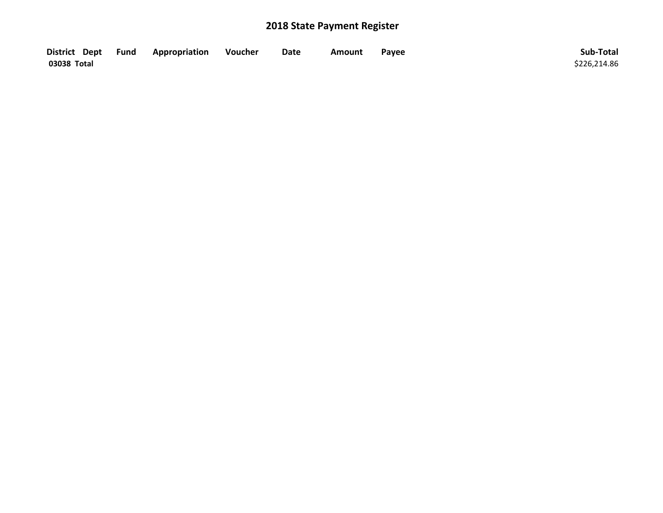| District Dept Fund | Appropriation | Voucher | Date | Amount | Payee | Sub-Total    |
|--------------------|---------------|---------|------|--------|-------|--------------|
| 03038 Total        |               |         |      |        |       | \$226.214.86 |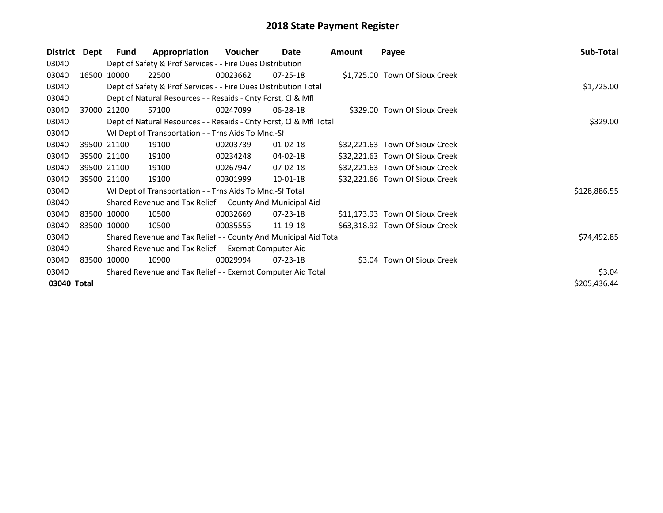| District    | Dept | Fund        | Appropriation                                                         | Voucher  | Date           | <b>Amount</b> | Payee                           | Sub-Total    |  |  |  |
|-------------|------|-------------|-----------------------------------------------------------------------|----------|----------------|---------------|---------------------------------|--------------|--|--|--|
| 03040       |      |             | Dept of Safety & Prof Services - - Fire Dues Distribution             |          |                |               |                                 |              |  |  |  |
| 03040       |      | 16500 10000 | 22500                                                                 | 00023662 | $07 - 25 - 18$ |               | \$1,725.00 Town Of Sioux Creek  |              |  |  |  |
| 03040       |      |             | Dept of Safety & Prof Services - - Fire Dues Distribution Total       |          |                |               |                                 | \$1,725.00   |  |  |  |
| 03040       |      |             | Dept of Natural Resources - - Resaids - Cnty Forst, CI & Mfl          |          |                |               |                                 |              |  |  |  |
| 03040       |      | 37000 21200 | 57100                                                                 | 00247099 | 06-28-18       |               | \$329.00 Town Of Sioux Creek    |              |  |  |  |
| 03040       |      |             | Dept of Natural Resources - - Resaids - Cnty Forst, Cl & Mfl Total    |          |                |               |                                 | \$329.00     |  |  |  |
| 03040       |      |             | WI Dept of Transportation - - Trns Aids To Mnc.-Sf                    |          |                |               |                                 |              |  |  |  |
| 03040       |      | 39500 21100 | 19100                                                                 | 00203739 | $01 - 02 - 18$ |               | \$32,221.63 Town Of Sioux Creek |              |  |  |  |
| 03040       |      | 39500 21100 | 19100                                                                 | 00234248 | 04-02-18       |               | \$32,221.63 Town Of Sioux Creek |              |  |  |  |
| 03040       |      | 39500 21100 | 19100                                                                 | 00267947 | 07-02-18       |               | \$32,221.63 Town Of Sioux Creek |              |  |  |  |
| 03040       |      | 39500 21100 | 19100                                                                 | 00301999 | $10-01-18$     |               | \$32,221.66 Town Of Sioux Creek |              |  |  |  |
| 03040       |      |             | WI Dept of Transportation - - Trns Aids To Mnc.-Sf Total              |          |                |               |                                 | \$128,886.55 |  |  |  |
| 03040       |      |             | Shared Revenue and Tax Relief - - County And Municipal Aid            |          |                |               |                                 |              |  |  |  |
| 03040       |      | 83500 10000 | 10500                                                                 | 00032669 | $07 - 23 - 18$ |               | \$11,173.93 Town Of Sioux Creek |              |  |  |  |
| 03040       |      | 83500 10000 | 10500                                                                 | 00035555 | 11-19-18       |               | \$63,318.92 Town Of Sioux Creek |              |  |  |  |
| 03040       |      |             | Shared Revenue and Tax Relief - - County And Municipal Aid Total      |          |                |               |                                 | \$74,492.85  |  |  |  |
| 03040       |      |             | Shared Revenue and Tax Relief - - Exempt Computer Aid                 |          |                |               |                                 |              |  |  |  |
| 03040       |      | 83500 10000 | 10900                                                                 | 00029994 | $07 - 23 - 18$ |               | \$3.04 Town Of Sioux Creek      |              |  |  |  |
| 03040       |      |             | \$3.04<br>Shared Revenue and Tax Relief - - Exempt Computer Aid Total |          |                |               |                                 |              |  |  |  |
| 03040 Total |      |             |                                                                       |          |                |               |                                 | \$205,436.44 |  |  |  |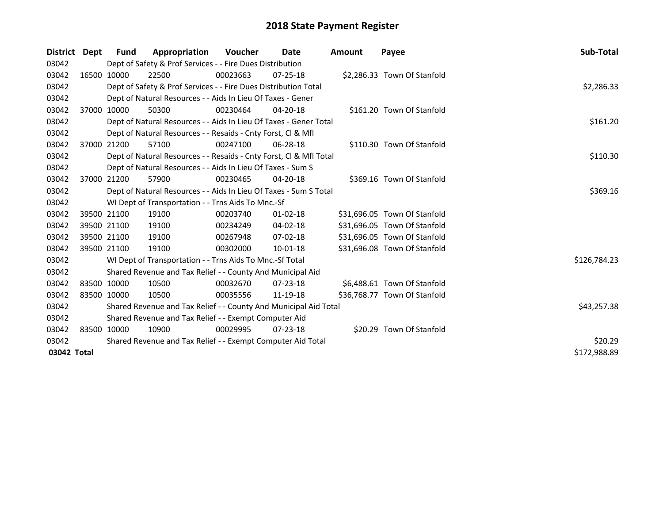| District Dept |             | Fund        | Appropriation                                                      | Voucher     | Date           | Amount | Payee                        | Sub-Total    |
|---------------|-------------|-------------|--------------------------------------------------------------------|-------------|----------------|--------|------------------------------|--------------|
| 03042         |             |             | Dept of Safety & Prof Services - - Fire Dues Distribution          |             |                |        |                              |              |
| 03042         |             | 16500 10000 | 22500                                                              | 00023663    | $07 - 25 - 18$ |        | \$2,286.33 Town Of Stanfold  |              |
| 03042         |             |             | Dept of Safety & Prof Services - - Fire Dues Distribution Total    |             |                |        |                              | \$2,286.33   |
| 03042         |             |             | Dept of Natural Resources - - Aids In Lieu Of Taxes - Gener        |             |                |        |                              |              |
| 03042         |             | 37000 10000 | 50300                                                              | 00230464    | 04-20-18       |        | \$161.20 Town Of Stanfold    |              |
| 03042         |             |             | Dept of Natural Resources - - Aids In Lieu Of Taxes - Gener Total  |             |                |        |                              | \$161.20     |
| 03042         |             |             | Dept of Natural Resources - - Resaids - Cnty Forst, CI & Mfl       |             |                |        |                              |              |
| 03042         |             | 37000 21200 | 57100                                                              | 00247100    | 06-28-18       |        | \$110.30 Town Of Stanfold    |              |
| 03042         |             |             | Dept of Natural Resources - - Resaids - Cnty Forst, Cl & Mfl Total |             |                |        |                              | \$110.30     |
| 03042         |             |             | Dept of Natural Resources - - Aids In Lieu Of Taxes - Sum S        |             |                |        |                              |              |
| 03042         |             | 37000 21200 | 57900                                                              | 00230465    | $04 - 20 - 18$ |        | \$369.16 Town Of Stanfold    |              |
| 03042         |             |             | Dept of Natural Resources - - Aids In Lieu Of Taxes - Sum S Total  |             |                |        |                              | \$369.16     |
| 03042         |             |             | WI Dept of Transportation - - Trns Aids To Mnc.-Sf                 |             |                |        |                              |              |
| 03042         |             | 39500 21100 | 19100                                                              | 00203740    | $01 - 02 - 18$ |        | \$31,696.05 Town Of Stanfold |              |
| 03042         |             | 39500 21100 | 19100                                                              | 00234249    | $04 - 02 - 18$ |        | \$31,696.05 Town Of Stanfold |              |
| 03042         |             | 39500 21100 | 19100                                                              | 00267948    | 07-02-18       |        | \$31,696.05 Town Of Stanfold |              |
| 03042         |             | 39500 21100 | 19100                                                              | 00302000    | $10-01-18$     |        | \$31,696.08 Town Of Stanfold |              |
| 03042         |             |             | WI Dept of Transportation - - Trns Aids To Mnc.-Sf Total           |             |                |        |                              | \$126,784.23 |
| 03042         |             |             | Shared Revenue and Tax Relief - - County And Municipal Aid         |             |                |        |                              |              |
| 03042         | 83500 10000 |             | 10500                                                              | 00032670    | $07 - 23 - 18$ |        | \$6,488.61 Town Of Stanfold  |              |
| 03042         |             | 83500 10000 | 10500                                                              | 00035556    | 11-19-18       |        | \$36,768.77 Town Of Stanfold |              |
| 03042         |             |             | Shared Revenue and Tax Relief - - County And Municipal Aid Total   | \$43,257.38 |                |        |                              |              |
| 03042         |             |             | Shared Revenue and Tax Relief - - Exempt Computer Aid              |             |                |        |                              |              |
| 03042         |             | 83500 10000 | 10900                                                              | 00029995    | 07-23-18       |        | \$20.29 Town Of Stanfold     |              |
| 03042         |             |             | Shared Revenue and Tax Relief - - Exempt Computer Aid Total        |             |                |        |                              | \$20.29      |
| 03042 Total   |             |             |                                                                    |             |                |        |                              | \$172,988.89 |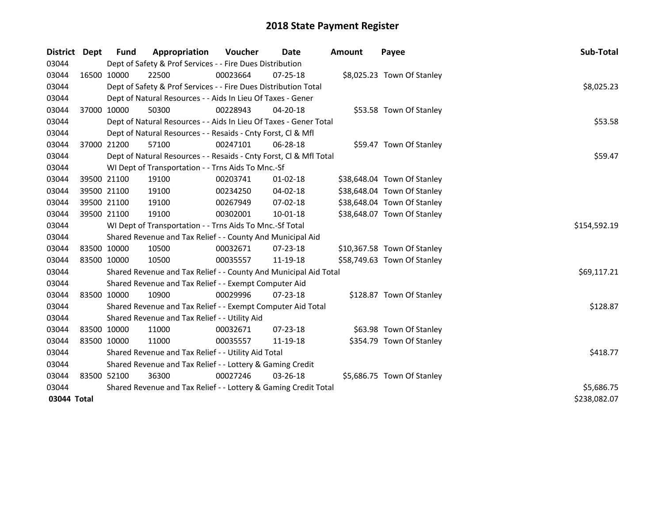| District    | <b>Dept</b> | Fund        | Appropriation                                                      | Voucher  | Date           | <b>Amount</b> | Payee                       | Sub-Total    |  |  |  |  |
|-------------|-------------|-------------|--------------------------------------------------------------------|----------|----------------|---------------|-----------------------------|--------------|--|--|--|--|
| 03044       |             |             | Dept of Safety & Prof Services - - Fire Dues Distribution          |          |                |               |                             |              |  |  |  |  |
| 03044       |             | 16500 10000 | 22500                                                              | 00023664 | 07-25-18       |               | \$8,025.23 Town Of Stanley  |              |  |  |  |  |
| 03044       |             |             | Dept of Safety & Prof Services - - Fire Dues Distribution Total    |          |                |               |                             | \$8,025.23   |  |  |  |  |
| 03044       |             |             | Dept of Natural Resources - - Aids In Lieu Of Taxes - Gener        |          |                |               |                             |              |  |  |  |  |
| 03044       | 37000 10000 |             | 50300                                                              | 00228943 | $04 - 20 - 18$ |               | \$53.58 Town Of Stanley     |              |  |  |  |  |
| 03044       |             |             | Dept of Natural Resources - - Aids In Lieu Of Taxes - Gener Total  |          |                |               |                             | \$53.58      |  |  |  |  |
| 03044       |             |             | Dept of Natural Resources - - Resaids - Cnty Forst, Cl & Mfl       |          |                |               |                             |              |  |  |  |  |
| 03044       |             | 37000 21200 | 57100                                                              | 00247101 | 06-28-18       |               | \$59.47 Town Of Stanley     |              |  |  |  |  |
| 03044       |             |             | Dept of Natural Resources - - Resaids - Cnty Forst, Cl & Mfl Total |          |                |               |                             | \$59.47      |  |  |  |  |
| 03044       |             |             | WI Dept of Transportation - - Trns Aids To Mnc.-Sf                 |          |                |               |                             |              |  |  |  |  |
| 03044       |             | 39500 21100 | 19100                                                              | 00203741 | $01 - 02 - 18$ |               | \$38,648.04 Town Of Stanley |              |  |  |  |  |
| 03044       |             | 39500 21100 | 19100                                                              | 00234250 | 04-02-18       |               | \$38,648.04 Town Of Stanley |              |  |  |  |  |
| 03044       |             | 39500 21100 | 19100                                                              | 00267949 | 07-02-18       |               | \$38,648.04 Town Of Stanley |              |  |  |  |  |
| 03044       | 39500 21100 |             | 19100                                                              | 00302001 | $10 - 01 - 18$ |               | \$38,648.07 Town Of Stanley |              |  |  |  |  |
| 03044       |             |             | WI Dept of Transportation - - Trns Aids To Mnc.-Sf Total           |          |                |               |                             | \$154,592.19 |  |  |  |  |
| 03044       |             |             | Shared Revenue and Tax Relief - - County And Municipal Aid         |          |                |               |                             |              |  |  |  |  |
| 03044       |             | 83500 10000 | 10500                                                              | 00032671 | 07-23-18       |               | \$10,367.58 Town Of Stanley |              |  |  |  |  |
| 03044       | 83500 10000 |             | 10500                                                              | 00035557 | 11-19-18       |               | \$58,749.63 Town Of Stanley |              |  |  |  |  |
| 03044       |             |             | Shared Revenue and Tax Relief - - County And Municipal Aid Total   |          |                |               |                             | \$69,117.21  |  |  |  |  |
| 03044       |             |             | Shared Revenue and Tax Relief - - Exempt Computer Aid              |          |                |               |                             |              |  |  |  |  |
| 03044       |             | 83500 10000 | 10900                                                              | 00029996 | 07-23-18       |               | \$128.87 Town Of Stanley    |              |  |  |  |  |
| 03044       |             |             | Shared Revenue and Tax Relief - - Exempt Computer Aid Total        |          |                |               |                             | \$128.87     |  |  |  |  |
| 03044       |             |             | Shared Revenue and Tax Relief - - Utility Aid                      |          |                |               |                             |              |  |  |  |  |
| 03044       |             | 83500 10000 | 11000                                                              | 00032671 | $07 - 23 - 18$ |               | \$63.98 Town Of Stanley     |              |  |  |  |  |
| 03044       | 83500 10000 |             | 11000                                                              | 00035557 | 11-19-18       |               | \$354.79 Town Of Stanley    |              |  |  |  |  |
| 03044       |             |             | Shared Revenue and Tax Relief - - Utility Aid Total                |          |                |               |                             | \$418.77     |  |  |  |  |
| 03044       |             |             | Shared Revenue and Tax Relief - - Lottery & Gaming Credit          |          |                |               |                             |              |  |  |  |  |
| 03044       |             | 83500 52100 | 36300                                                              | 00027246 | 03-26-18       |               | \$5,686.75 Town Of Stanley  |              |  |  |  |  |
| 03044       |             |             | Shared Revenue and Tax Relief - - Lottery & Gaming Credit Total    |          |                |               |                             | \$5,686.75   |  |  |  |  |
| 03044 Total |             |             |                                                                    |          |                |               |                             | \$238,082.07 |  |  |  |  |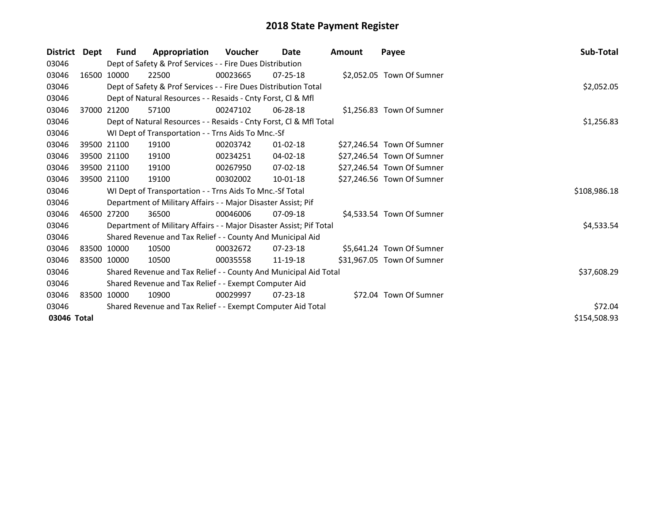| <b>District</b> | Dept | Fund        | Appropriation                                                       | <b>Voucher</b> | <b>Date</b>    | Amount | Payee                      | Sub-Total    |  |  |  |  |
|-----------------|------|-------------|---------------------------------------------------------------------|----------------|----------------|--------|----------------------------|--------------|--|--|--|--|
| 03046           |      |             | Dept of Safety & Prof Services - - Fire Dues Distribution           |                |                |        |                            |              |  |  |  |  |
| 03046           |      | 16500 10000 | 22500                                                               | 00023665       | $07 - 25 - 18$ |        | \$2,052.05 Town Of Sumner  |              |  |  |  |  |
| 03046           |      |             | Dept of Safety & Prof Services - - Fire Dues Distribution Total     |                |                |        |                            | \$2,052.05   |  |  |  |  |
| 03046           |      |             | Dept of Natural Resources - - Resaids - Cnty Forst, CI & Mfl        |                |                |        |                            |              |  |  |  |  |
| 03046           |      | 37000 21200 | 57100                                                               | 00247102       | 06-28-18       |        | \$1,256.83 Town Of Sumner  |              |  |  |  |  |
| 03046           |      |             | Dept of Natural Resources - - Resaids - Cnty Forst, Cl & Mfl Total  |                |                |        |                            | \$1,256.83   |  |  |  |  |
| 03046           |      |             | WI Dept of Transportation - - Trns Aids To Mnc.-Sf                  |                |                |        |                            |              |  |  |  |  |
| 03046           |      | 39500 21100 | 19100                                                               | 00203742       | 01-02-18       |        | \$27,246.54 Town Of Sumner |              |  |  |  |  |
| 03046           |      | 39500 21100 | 19100                                                               | 00234251       | 04-02-18       |        | \$27,246.54 Town Of Sumner |              |  |  |  |  |
| 03046           |      | 39500 21100 | 19100                                                               | 00267950       | 07-02-18       |        | \$27,246.54 Town Of Sumner |              |  |  |  |  |
| 03046           |      | 39500 21100 | 19100                                                               | 00302002       | 10-01-18       |        | \$27,246.56 Town Of Sumner |              |  |  |  |  |
| 03046           |      |             | WI Dept of Transportation - - Trns Aids To Mnc.-Sf Total            |                |                |        |                            | \$108,986.18 |  |  |  |  |
| 03046           |      |             | Department of Military Affairs - - Major Disaster Assist; Pif       |                |                |        |                            |              |  |  |  |  |
| 03046           |      | 46500 27200 | 36500                                                               | 00046006       | $07-09-18$     |        | \$4,533.54 Town Of Sumner  |              |  |  |  |  |
| 03046           |      |             | Department of Military Affairs - - Major Disaster Assist; Pif Total |                |                |        |                            | \$4,533.54   |  |  |  |  |
| 03046           |      |             | Shared Revenue and Tax Relief - - County And Municipal Aid          |                |                |        |                            |              |  |  |  |  |
| 03046           |      | 83500 10000 | 10500                                                               | 00032672       | $07 - 23 - 18$ |        | \$5,641.24 Town Of Sumner  |              |  |  |  |  |
| 03046           |      | 83500 10000 | 10500                                                               | 00035558       | 11-19-18       |        | \$31,967.05 Town Of Sumner |              |  |  |  |  |
| 03046           |      |             | Shared Revenue and Tax Relief - - County And Municipal Aid Total    |                |                |        |                            | \$37,608.29  |  |  |  |  |
| 03046           |      |             | Shared Revenue and Tax Relief - - Exempt Computer Aid               |                |                |        |                            |              |  |  |  |  |
| 03046           |      | 83500 10000 | 10900                                                               | 00029997       | $07 - 23 - 18$ |        | \$72.04 Town Of Sumner     |              |  |  |  |  |
| 03046           |      |             | Shared Revenue and Tax Relief - - Exempt Computer Aid Total         |                |                |        |                            | \$72.04      |  |  |  |  |
| 03046 Total     |      |             |                                                                     |                |                |        |                            | \$154,508.93 |  |  |  |  |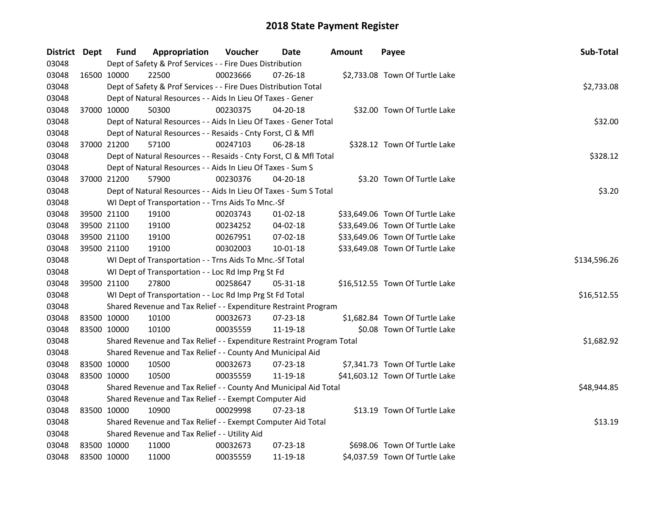| District Dept | <b>Fund</b> | Appropriation                                                         | Voucher  | Date           | Amount | Payee                           | Sub-Total    |  |  |  |
|---------------|-------------|-----------------------------------------------------------------------|----------|----------------|--------|---------------------------------|--------------|--|--|--|
| 03048         |             | Dept of Safety & Prof Services - - Fire Dues Distribution             |          |                |        |                                 |              |  |  |  |
| 03048         | 16500 10000 | 22500                                                                 | 00023666 | $07 - 26 - 18$ |        | \$2,733.08 Town Of Turtle Lake  |              |  |  |  |
| 03048         |             | Dept of Safety & Prof Services - - Fire Dues Distribution Total       |          |                |        |                                 | \$2,733.08   |  |  |  |
| 03048         |             | Dept of Natural Resources - - Aids In Lieu Of Taxes - Gener           |          |                |        |                                 |              |  |  |  |
| 03048         | 37000 10000 | 50300                                                                 | 00230375 | 04-20-18       |        | \$32.00 Town Of Turtle Lake     |              |  |  |  |
| 03048         |             | Dept of Natural Resources - - Aids In Lieu Of Taxes - Gener Total     |          |                |        |                                 | \$32.00      |  |  |  |
| 03048         |             | Dept of Natural Resources - - Resaids - Cnty Forst, Cl & Mfl          |          |                |        |                                 |              |  |  |  |
| 03048         | 37000 21200 | 57100                                                                 | 00247103 | 06-28-18       |        | \$328.12 Town Of Turtle Lake    |              |  |  |  |
| 03048         |             | Dept of Natural Resources - - Resaids - Cnty Forst, Cl & Mfl Total    |          |                |        |                                 | \$328.12     |  |  |  |
| 03048         |             | Dept of Natural Resources - - Aids In Lieu Of Taxes - Sum S           |          |                |        |                                 |              |  |  |  |
| 03048         | 37000 21200 | 57900                                                                 | 00230376 | 04-20-18       |        | \$3.20 Town Of Turtle Lake      |              |  |  |  |
| 03048         |             | Dept of Natural Resources - - Aids In Lieu Of Taxes - Sum S Total     |          |                |        |                                 | \$3.20       |  |  |  |
| 03048         |             | WI Dept of Transportation - - Trns Aids To Mnc.-Sf                    |          |                |        |                                 |              |  |  |  |
| 03048         | 39500 21100 | 19100                                                                 | 00203743 | $01-02-18$     |        | \$33,649.06 Town Of Turtle Lake |              |  |  |  |
| 03048         | 39500 21100 | 19100                                                                 | 00234252 | 04-02-18       |        | \$33,649.06 Town Of Turtle Lake |              |  |  |  |
| 03048         | 39500 21100 | 19100                                                                 | 00267951 | 07-02-18       |        | \$33,649.06 Town Of Turtle Lake |              |  |  |  |
| 03048         | 39500 21100 | 19100                                                                 | 00302003 | 10-01-18       |        | \$33,649.08 Town Of Turtle Lake |              |  |  |  |
| 03048         |             | WI Dept of Transportation - - Trns Aids To Mnc.-Sf Total              |          |                |        |                                 | \$134,596.26 |  |  |  |
| 03048         |             | WI Dept of Transportation - - Loc Rd Imp Prg St Fd                    |          |                |        |                                 |              |  |  |  |
| 03048         | 39500 21100 | 27800                                                                 | 00258647 | 05-31-18       |        | \$16,512.55 Town Of Turtle Lake |              |  |  |  |
| 03048         |             | WI Dept of Transportation - - Loc Rd Imp Prg St Fd Total              |          |                |        |                                 | \$16,512.55  |  |  |  |
| 03048         |             | Shared Revenue and Tax Relief - - Expenditure Restraint Program       |          |                |        |                                 |              |  |  |  |
| 03048         | 83500 10000 | 10100                                                                 | 00032673 | 07-23-18       |        | \$1,682.84 Town Of Turtle Lake  |              |  |  |  |
| 03048         | 83500 10000 | 10100                                                                 | 00035559 | 11-19-18       |        | \$0.08 Town Of Turtle Lake      |              |  |  |  |
| 03048         |             | Shared Revenue and Tax Relief - - Expenditure Restraint Program Total |          |                |        |                                 | \$1,682.92   |  |  |  |
| 03048         |             | Shared Revenue and Tax Relief - - County And Municipal Aid            |          |                |        |                                 |              |  |  |  |
| 03048         | 83500 10000 | 10500                                                                 | 00032673 | $07 - 23 - 18$ |        | \$7,341.73 Town Of Turtle Lake  |              |  |  |  |
| 03048         | 83500 10000 | 10500                                                                 | 00035559 | 11-19-18       |        | \$41,603.12 Town Of Turtle Lake |              |  |  |  |
| 03048         |             | Shared Revenue and Tax Relief - - County And Municipal Aid Total      |          |                |        |                                 | \$48,944.85  |  |  |  |
| 03048         |             | Shared Revenue and Tax Relief - - Exempt Computer Aid                 |          |                |        |                                 |              |  |  |  |
| 03048         | 83500 10000 | 10900                                                                 | 00029998 | $07 - 23 - 18$ |        | \$13.19 Town Of Turtle Lake     |              |  |  |  |
| 03048         |             | Shared Revenue and Tax Relief - - Exempt Computer Aid Total           |          |                |        |                                 | \$13.19      |  |  |  |
| 03048         |             | Shared Revenue and Tax Relief - - Utility Aid                         |          |                |        |                                 |              |  |  |  |
| 03048         | 83500 10000 | 11000                                                                 | 00032673 | $07 - 23 - 18$ |        | \$698.06 Town Of Turtle Lake    |              |  |  |  |
| 03048         | 83500 10000 | 11000                                                                 | 00035559 | 11-19-18       |        | \$4,037.59 Town Of Turtle Lake  |              |  |  |  |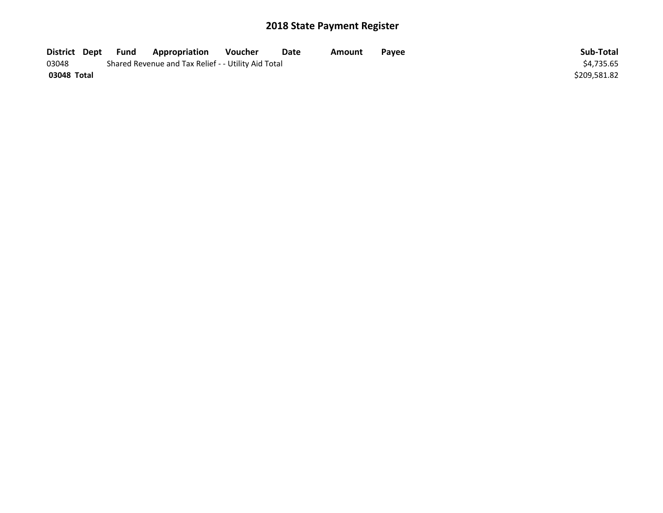| District Dept | Fund | <b>Appropriation</b>                                | Voucher | Date | Amount | Payee | Sub-Total    |
|---------------|------|-----------------------------------------------------|---------|------|--------|-------|--------------|
| 03048         |      | Shared Revenue and Tax Relief - - Utility Aid Total |         |      |        |       | \$4.735.65   |
| 03048 Total   |      |                                                     |         |      |        |       | \$209.581.82 |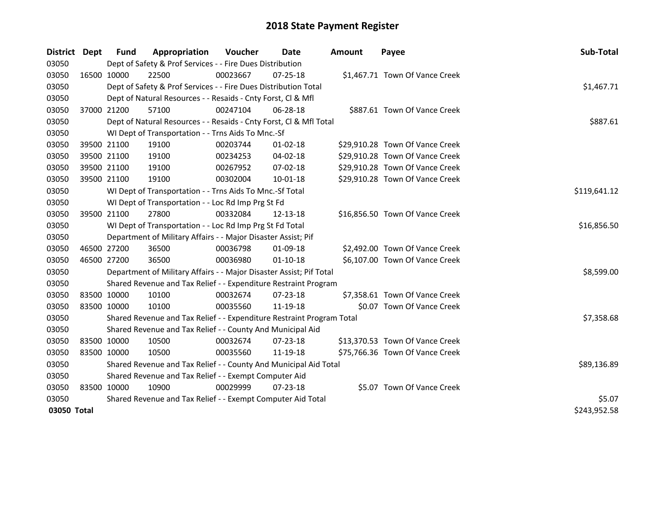| District    | <b>Dept</b> | <b>Fund</b> | Appropriation                                                         | Voucher  | <b>Date</b>    | Amount | Payee                           | Sub-Total    |
|-------------|-------------|-------------|-----------------------------------------------------------------------|----------|----------------|--------|---------------------------------|--------------|
| 03050       |             |             | Dept of Safety & Prof Services - - Fire Dues Distribution             |          |                |        |                                 |              |
| 03050       |             | 16500 10000 | 22500                                                                 | 00023667 | $07 - 25 - 18$ |        | \$1,467.71 Town Of Vance Creek  |              |
| 03050       |             |             | Dept of Safety & Prof Services - - Fire Dues Distribution Total       |          |                |        |                                 | \$1,467.71   |
| 03050       |             |             | Dept of Natural Resources - - Resaids - Cnty Forst, Cl & Mfl          |          |                |        |                                 |              |
| 03050       |             | 37000 21200 | 57100                                                                 | 00247104 | 06-28-18       |        | \$887.61 Town Of Vance Creek    |              |
| 03050       |             |             | Dept of Natural Resources - - Resaids - Cnty Forst, Cl & Mfl Total    |          |                |        |                                 | \$887.61     |
| 03050       |             |             | WI Dept of Transportation - - Trns Aids To Mnc.-Sf                    |          |                |        |                                 |              |
| 03050       |             | 39500 21100 | 19100                                                                 | 00203744 | 01-02-18       |        | \$29,910.28 Town Of Vance Creek |              |
| 03050       |             | 39500 21100 | 19100                                                                 | 00234253 | $04 - 02 - 18$ |        | \$29,910.28 Town Of Vance Creek |              |
| 03050       |             | 39500 21100 | 19100                                                                 | 00267952 | 07-02-18       |        | \$29,910.28 Town Of Vance Creek |              |
| 03050       |             | 39500 21100 | 19100                                                                 | 00302004 | 10-01-18       |        | \$29,910.28 Town Of Vance Creek |              |
| 03050       |             |             | WI Dept of Transportation - - Trns Aids To Mnc.-Sf Total              |          |                |        |                                 | \$119,641.12 |
| 03050       |             |             | WI Dept of Transportation - - Loc Rd Imp Prg St Fd                    |          |                |        |                                 |              |
| 03050       |             | 39500 21100 | 27800                                                                 | 00332084 | 12-13-18       |        | \$16,856.50 Town Of Vance Creek |              |
| 03050       |             |             | WI Dept of Transportation - - Loc Rd Imp Prg St Fd Total              |          |                |        |                                 | \$16,856.50  |
| 03050       |             |             | Department of Military Affairs - - Major Disaster Assist; Pif         |          |                |        |                                 |              |
| 03050       |             | 46500 27200 | 36500                                                                 | 00036798 | 01-09-18       |        | \$2,492.00 Town Of Vance Creek  |              |
| 03050       |             | 46500 27200 | 36500                                                                 | 00036980 | $01 - 10 - 18$ |        | \$6,107.00 Town Of Vance Creek  |              |
| 03050       |             |             | Department of Military Affairs - - Major Disaster Assist; Pif Total   |          |                |        |                                 | \$8,599.00   |
| 03050       |             |             | Shared Revenue and Tax Relief - - Expenditure Restraint Program       |          |                |        |                                 |              |
| 03050       |             | 83500 10000 | 10100                                                                 | 00032674 | 07-23-18       |        | \$7,358.61 Town Of Vance Creek  |              |
| 03050       |             | 83500 10000 | 10100                                                                 | 00035560 | 11-19-18       |        | \$0.07 Town Of Vance Creek      |              |
| 03050       |             |             | Shared Revenue and Tax Relief - - Expenditure Restraint Program Total |          |                |        |                                 | \$7,358.68   |
| 03050       |             |             | Shared Revenue and Tax Relief - - County And Municipal Aid            |          |                |        |                                 |              |
| 03050       |             | 83500 10000 | 10500                                                                 | 00032674 | $07 - 23 - 18$ |        | \$13,370.53 Town Of Vance Creek |              |
| 03050       | 83500 10000 |             | 10500                                                                 | 00035560 | 11-19-18       |        | \$75,766.36 Town Of Vance Creek |              |
| 03050       |             |             | Shared Revenue and Tax Relief - - County And Municipal Aid Total      |          |                |        |                                 | \$89,136.89  |
| 03050       |             |             | Shared Revenue and Tax Relief - - Exempt Computer Aid                 |          |                |        |                                 |              |
| 03050       |             | 83500 10000 | 10900                                                                 | 00029999 | $07 - 23 - 18$ |        | \$5.07 Town Of Vance Creek      |              |
| 03050       |             |             | Shared Revenue and Tax Relief - - Exempt Computer Aid Total           | \$5.07   |                |        |                                 |              |
| 03050 Total |             |             |                                                                       |          |                |        |                                 | \$243,952.58 |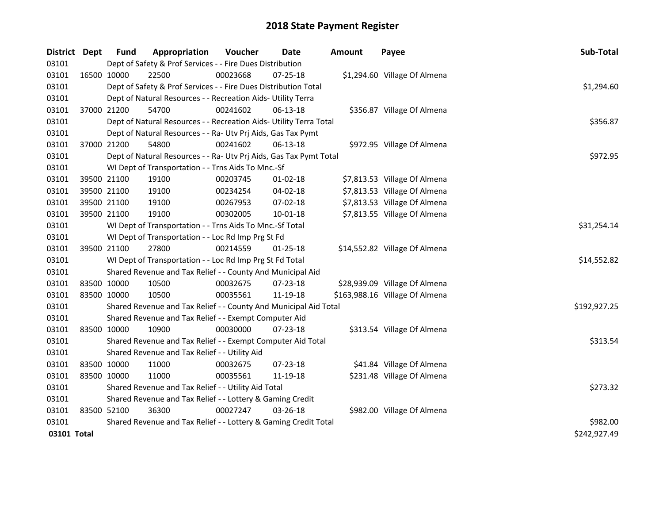| District Dept |             | <b>Fund</b> | Appropriation                                                      | Voucher  | Date           | Amount | Payee                          | Sub-Total    |
|---------------|-------------|-------------|--------------------------------------------------------------------|----------|----------------|--------|--------------------------------|--------------|
| 03101         |             |             | Dept of Safety & Prof Services - - Fire Dues Distribution          |          |                |        |                                |              |
| 03101         | 16500 10000 |             | 22500                                                              | 00023668 | 07-25-18       |        | \$1,294.60 Village Of Almena   |              |
| 03101         |             |             | Dept of Safety & Prof Services - - Fire Dues Distribution Total    |          |                |        |                                | \$1,294.60   |
| 03101         |             |             | Dept of Natural Resources - - Recreation Aids- Utility Terra       |          |                |        |                                |              |
| 03101         |             | 37000 21200 | 54700                                                              | 00241602 | 06-13-18       |        | \$356.87 Village Of Almena     |              |
| 03101         |             |             | Dept of Natural Resources - - Recreation Aids- Utility Terra Total |          |                |        |                                | \$356.87     |
| 03101         |             |             | Dept of Natural Resources - - Ra- Utv Prj Aids, Gas Tax Pymt       |          |                |        |                                |              |
| 03101         | 37000 21200 |             | 54800                                                              | 00241602 | 06-13-18       |        | \$972.95 Village Of Almena     |              |
| 03101         |             |             | Dept of Natural Resources - - Ra- Utv Prj Aids, Gas Tax Pymt Total |          |                |        |                                | \$972.95     |
| 03101         |             |             | WI Dept of Transportation - - Trns Aids To Mnc.-Sf                 |          |                |        |                                |              |
| 03101         |             | 39500 21100 | 19100                                                              | 00203745 | $01 - 02 - 18$ |        | \$7,813.53 Village Of Almena   |              |
| 03101         |             | 39500 21100 | 19100                                                              | 00234254 | 04-02-18       |        | \$7,813.53 Village Of Almena   |              |
| 03101         |             | 39500 21100 | 19100                                                              | 00267953 | 07-02-18       |        | \$7,813.53 Village Of Almena   |              |
| 03101         | 39500 21100 |             | 19100                                                              | 00302005 | 10-01-18       |        | \$7,813.55 Village Of Almena   |              |
| 03101         |             |             | WI Dept of Transportation - - Trns Aids To Mnc.-Sf Total           |          |                |        |                                | \$31,254.14  |
| 03101         |             |             | WI Dept of Transportation - - Loc Rd Imp Prg St Fd                 |          |                |        |                                |              |
| 03101         |             | 39500 21100 | 27800                                                              | 00214559 | $01 - 25 - 18$ |        | \$14,552.82 Village Of Almena  |              |
| 03101         |             |             | WI Dept of Transportation - - Loc Rd Imp Prg St Fd Total           |          |                |        |                                | \$14,552.82  |
| 03101         |             |             | Shared Revenue and Tax Relief - - County And Municipal Aid         |          |                |        |                                |              |
| 03101         |             | 83500 10000 | 10500                                                              | 00032675 | 07-23-18       |        | \$28,939.09 Village Of Almena  |              |
| 03101         | 83500 10000 |             | 10500                                                              | 00035561 | 11-19-18       |        | \$163,988.16 Village Of Almena |              |
| 03101         |             |             | Shared Revenue and Tax Relief - - County And Municipal Aid Total   |          |                |        |                                | \$192,927.25 |
| 03101         |             |             | Shared Revenue and Tax Relief - - Exempt Computer Aid              |          |                |        |                                |              |
| 03101         | 83500 10000 |             | 10900                                                              | 00030000 | 07-23-18       |        | \$313.54 Village Of Almena     |              |
| 03101         |             |             | Shared Revenue and Tax Relief - - Exempt Computer Aid Total        |          |                |        |                                | \$313.54     |
| 03101         |             |             | Shared Revenue and Tax Relief - - Utility Aid                      |          |                |        |                                |              |
| 03101         | 83500 10000 |             | 11000                                                              | 00032675 | 07-23-18       |        | \$41.84 Village Of Almena      |              |
| 03101         | 83500 10000 |             | 11000                                                              | 00035561 | 11-19-18       |        | \$231.48 Village Of Almena     |              |
| 03101         |             |             | Shared Revenue and Tax Relief - - Utility Aid Total                |          |                |        |                                | \$273.32     |
| 03101         |             |             | Shared Revenue and Tax Relief - - Lottery & Gaming Credit          |          |                |        |                                |              |
| 03101         | 83500 52100 |             | 36300                                                              | 00027247 | $03 - 26 - 18$ |        | \$982.00 Village Of Almena     |              |
| 03101         |             |             | Shared Revenue and Tax Relief - - Lottery & Gaming Credit Total    |          |                |        |                                | \$982.00     |
| 03101 Total   |             |             |                                                                    |          |                |        |                                | \$242,927.49 |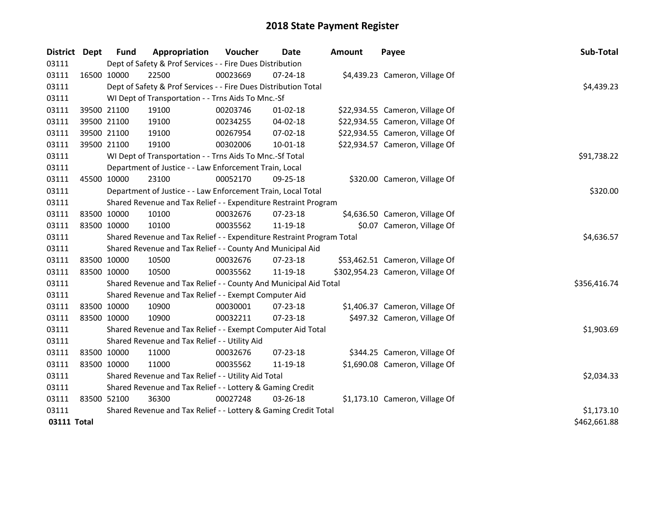| District Dept |             | Fund        | Appropriation                                                         | Voucher  | <b>Date</b>    | Amount | Payee                            | Sub-Total    |
|---------------|-------------|-------------|-----------------------------------------------------------------------|----------|----------------|--------|----------------------------------|--------------|
| 03111         |             |             | Dept of Safety & Prof Services - - Fire Dues Distribution             |          |                |        |                                  |              |
| 03111         |             | 16500 10000 | 22500                                                                 | 00023669 | $07 - 24 - 18$ |        | \$4,439.23 Cameron, Village Of   |              |
| 03111         |             |             | Dept of Safety & Prof Services - - Fire Dues Distribution Total       |          |                |        |                                  | \$4,439.23   |
| 03111         |             |             | WI Dept of Transportation - - Trns Aids To Mnc.-Sf                    |          |                |        |                                  |              |
| 03111         |             | 39500 21100 | 19100                                                                 | 00203746 | $01-02-18$     |        | \$22,934.55 Cameron, Village Of  |              |
| 03111         |             | 39500 21100 | 19100                                                                 | 00234255 | $04 - 02 - 18$ |        | \$22,934.55 Cameron, Village Of  |              |
| 03111         |             | 39500 21100 | 19100                                                                 | 00267954 | 07-02-18       |        | \$22,934.55 Cameron, Village Of  |              |
| 03111         |             | 39500 21100 | 19100                                                                 | 00302006 | 10-01-18       |        | \$22,934.57 Cameron, Village Of  |              |
| 03111         |             |             | WI Dept of Transportation - - Trns Aids To Mnc.-Sf Total              |          |                |        |                                  | \$91,738.22  |
| 03111         |             |             | Department of Justice - - Law Enforcement Train, Local                |          |                |        |                                  |              |
| 03111         |             | 45500 10000 | 23100                                                                 | 00052170 | 09-25-18       |        | \$320.00 Cameron, Village Of     |              |
| 03111         |             |             | Department of Justice - - Law Enforcement Train, Local Total          |          |                |        |                                  | \$320.00     |
| 03111         |             |             | Shared Revenue and Tax Relief - - Expenditure Restraint Program       |          |                |        |                                  |              |
| 03111         |             | 83500 10000 | 10100                                                                 | 00032676 | 07-23-18       |        | \$4,636.50 Cameron, Village Of   |              |
| 03111         | 83500 10000 |             | 10100                                                                 | 00035562 | 11-19-18       |        | \$0.07 Cameron, Village Of       |              |
| 03111         |             |             | Shared Revenue and Tax Relief - - Expenditure Restraint Program Total |          |                |        |                                  | \$4,636.57   |
| 03111         |             |             | Shared Revenue and Tax Relief - - County And Municipal Aid            |          |                |        |                                  |              |
| 03111         |             | 83500 10000 | 10500                                                                 | 00032676 | 07-23-18       |        | \$53,462.51 Cameron, Village Of  |              |
| 03111         |             | 83500 10000 | 10500                                                                 | 00035562 | 11-19-18       |        | \$302,954.23 Cameron, Village Of |              |
| 03111         |             |             | Shared Revenue and Tax Relief - - County And Municipal Aid Total      |          |                |        |                                  | \$356,416.74 |
| 03111         |             |             | Shared Revenue and Tax Relief - - Exempt Computer Aid                 |          |                |        |                                  |              |
| 03111         |             | 83500 10000 | 10900                                                                 | 00030001 | 07-23-18       |        | \$1,406.37 Cameron, Village Of   |              |
| 03111         | 83500 10000 |             | 10900                                                                 | 00032211 | $07 - 23 - 18$ |        | \$497.32 Cameron, Village Of     |              |
| 03111         |             |             | Shared Revenue and Tax Relief - - Exempt Computer Aid Total           |          |                |        |                                  | \$1,903.69   |
| 03111         |             |             | Shared Revenue and Tax Relief - - Utility Aid                         |          |                |        |                                  |              |
| 03111         |             | 83500 10000 | 11000                                                                 | 00032676 | 07-23-18       |        | \$344.25 Cameron, Village Of     |              |
| 03111         |             | 83500 10000 | 11000                                                                 | 00035562 | 11-19-18       |        | \$1,690.08 Cameron, Village Of   |              |
| 03111         |             |             | Shared Revenue and Tax Relief - - Utility Aid Total                   |          |                |        |                                  | \$2,034.33   |
| 03111         |             |             | Shared Revenue and Tax Relief - - Lottery & Gaming Credit             |          |                |        |                                  |              |
| 03111         | 83500 52100 |             | 36300                                                                 | 00027248 | 03-26-18       |        | \$1,173.10 Cameron, Village Of   |              |
| 03111         |             |             | Shared Revenue and Tax Relief - - Lottery & Gaming Credit Total       |          |                |        |                                  | \$1,173.10   |
| 03111 Total   |             |             |                                                                       |          |                |        |                                  | \$462,661.88 |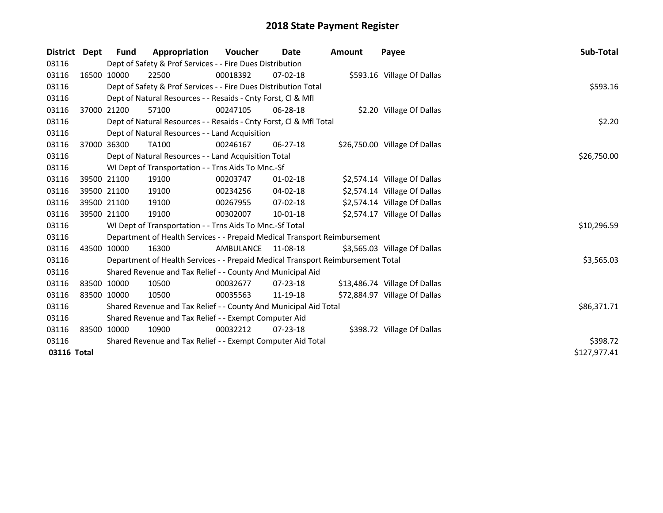| District Dept |             | Fund        | Appropriation                                                                   | <b>Voucher</b> | Date           | Amount | Payee                         | Sub-Total    |
|---------------|-------------|-------------|---------------------------------------------------------------------------------|----------------|----------------|--------|-------------------------------|--------------|
| 03116         |             |             | Dept of Safety & Prof Services - - Fire Dues Distribution                       |                |                |        |                               |              |
| 03116         |             | 16500 10000 | 22500                                                                           | 00018392       | $07 - 02 - 18$ |        | \$593.16 Village Of Dallas    |              |
| 03116         |             |             | Dept of Safety & Prof Services - - Fire Dues Distribution Total                 |                |                |        |                               | \$593.16     |
| 03116         |             |             | Dept of Natural Resources - - Resaids - Cnty Forst, Cl & Mfl                    |                |                |        |                               |              |
| 03116         |             | 37000 21200 | 57100                                                                           | 00247105       | $06 - 28 - 18$ |        | \$2.20 Village Of Dallas      |              |
| 03116         |             |             | Dept of Natural Resources - - Resaids - Cnty Forst, CI & Mfl Total              |                |                |        |                               | \$2.20       |
| 03116         |             |             | Dept of Natural Resources - - Land Acquisition                                  |                |                |        |                               |              |
| 03116         |             | 37000 36300 | <b>TA100</b>                                                                    | 00246167       | $06 - 27 - 18$ |        | \$26,750.00 Village Of Dallas |              |
| 03116         |             |             | Dept of Natural Resources - - Land Acquisition Total                            |                |                |        |                               | \$26,750.00  |
| 03116         |             |             | WI Dept of Transportation - - Trns Aids To Mnc.-Sf                              |                |                |        |                               |              |
| 03116         |             | 39500 21100 | 19100                                                                           | 00203747       | $01 - 02 - 18$ |        | \$2,574.14 Village Of Dallas  |              |
| 03116         |             | 39500 21100 | 19100                                                                           | 00234256       | $04 - 02 - 18$ |        | \$2,574.14 Village Of Dallas  |              |
| 03116         |             | 39500 21100 | 19100                                                                           | 00267955       | $07 - 02 - 18$ |        | \$2,574.14 Village Of Dallas  |              |
| 03116         |             | 39500 21100 | 19100                                                                           | 00302007       | 10-01-18       |        | \$2,574.17 Village Of Dallas  |              |
| 03116         |             |             | WI Dept of Transportation - - Trns Aids To Mnc.-Sf Total                        |                |                |        |                               | \$10,296.59  |
| 03116         |             |             | Department of Health Services - - Prepaid Medical Transport Reimbursement       |                |                |        |                               |              |
| 03116         |             | 43500 10000 | 16300                                                                           | AMBULANCE      | 11-08-18       |        | \$3,565.03 Village Of Dallas  |              |
| 03116         |             |             | Department of Health Services - - Prepaid Medical Transport Reimbursement Total |                |                |        |                               | \$3,565.03   |
| 03116         |             |             | Shared Revenue and Tax Relief - - County And Municipal Aid                      |                |                |        |                               |              |
| 03116         |             | 83500 10000 | 10500                                                                           | 00032677       | $07 - 23 - 18$ |        | \$13,486.74 Village Of Dallas |              |
| 03116         | 83500 10000 |             | 10500                                                                           | 00035563       | 11-19-18       |        | \$72,884.97 Village Of Dallas |              |
| 03116         |             |             | Shared Revenue and Tax Relief - - County And Municipal Aid Total                |                |                |        |                               | \$86,371.71  |
| 03116         |             |             | Shared Revenue and Tax Relief - - Exempt Computer Aid                           |                |                |        |                               |              |
| 03116         |             | 83500 10000 | 10900                                                                           | 00032212       | $07 - 23 - 18$ |        | \$398.72 Village Of Dallas    |              |
| 03116         |             |             | Shared Revenue and Tax Relief - - Exempt Computer Aid Total                     |                |                |        |                               | \$398.72     |
| 03116 Total   |             |             |                                                                                 |                |                |        |                               | \$127,977.41 |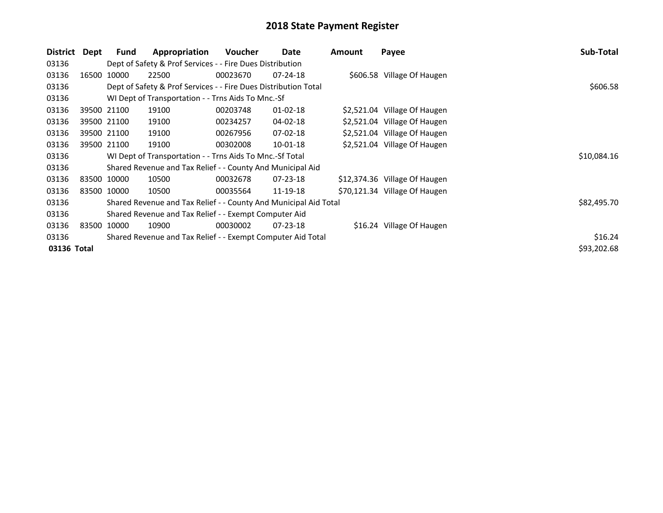| <b>District</b> | Dept | <b>Fund</b> | Appropriation                                                    | <b>Voucher</b> | Date           | Amount | Payee                         | Sub-Total   |
|-----------------|------|-------------|------------------------------------------------------------------|----------------|----------------|--------|-------------------------------|-------------|
| 03136           |      |             | Dept of Safety & Prof Services - - Fire Dues Distribution        |                |                |        |                               |             |
| 03136           |      | 16500 10000 | 22500                                                            | 00023670       | $07-24-18$     |        | \$606.58 Village Of Haugen    |             |
| 03136           |      |             | Dept of Safety & Prof Services - - Fire Dues Distribution Total  |                |                |        |                               | \$606.58    |
| 03136           |      |             | WI Dept of Transportation - - Trns Aids To Mnc.-Sf               |                |                |        |                               |             |
| 03136           |      | 39500 21100 | 19100                                                            | 00203748       | $01 - 02 - 18$ |        | \$2,521.04 Village Of Haugen  |             |
| 03136           |      | 39500 21100 | 19100                                                            | 00234257       | 04-02-18       |        | \$2,521.04 Village Of Haugen  |             |
| 03136           |      | 39500 21100 | 19100                                                            | 00267956       | $07 - 02 - 18$ |        | \$2,521.04 Village Of Haugen  |             |
| 03136           |      | 39500 21100 | 19100                                                            | 00302008       | $10-01-18$     |        | \$2,521.04 Village Of Haugen  |             |
| 03136           |      |             | WI Dept of Transportation - - Trns Aids To Mnc.-Sf Total         |                |                |        |                               | \$10,084.16 |
| 03136           |      |             | Shared Revenue and Tax Relief - - County And Municipal Aid       |                |                |        |                               |             |
| 03136           |      | 83500 10000 | 10500                                                            | 00032678       | $07 - 23 - 18$ |        | \$12,374.36 Village Of Haugen |             |
| 03136           |      | 83500 10000 | 10500                                                            | 00035564       | 11-19-18       |        | \$70,121.34 Village Of Haugen |             |
| 03136           |      |             | Shared Revenue and Tax Relief - - County And Municipal Aid Total |                |                |        |                               | \$82,495.70 |
| 03136           |      |             | Shared Revenue and Tax Relief - - Exempt Computer Aid            |                |                |        |                               |             |
| 03136           |      | 83500 10000 | 10900                                                            | 00030002       | $07 - 23 - 18$ |        | \$16.24 Village Of Haugen     |             |
| 03136           |      |             | Shared Revenue and Tax Relief - - Exempt Computer Aid Total      |                |                |        |                               | \$16.24     |
| 03136 Total     |      |             |                                                                  |                |                |        |                               | \$93,202.68 |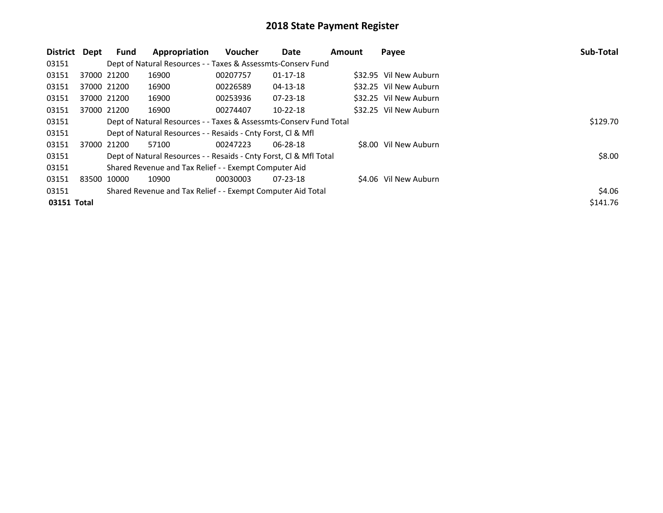| District Dept |             | Fund        | Appropriation                                                      | Voucher  | <b>Date</b>    | Amount | Payee                  | Sub-Total |
|---------------|-------------|-------------|--------------------------------------------------------------------|----------|----------------|--------|------------------------|-----------|
| 03151         |             |             | Dept of Natural Resources - - Taxes & Assessmts-Conserv Fund       |          |                |        |                        |           |
| 03151         |             | 37000 21200 | 16900                                                              | 00207757 | $01 - 17 - 18$ |        | \$32.95 Vil New Auburn |           |
| 03151         |             | 37000 21200 | 16900                                                              | 00226589 | $04 - 13 - 18$ |        | \$32.25 Vil New Auburn |           |
| 03151         |             | 37000 21200 | 16900                                                              | 00253936 | $07 - 23 - 18$ |        | \$32.25 Vil New Auburn |           |
| 03151         |             | 37000 21200 | 16900                                                              | 00274407 | $10-22-18$     |        | \$32.25 Vil New Auburn |           |
| 03151         |             |             | Dept of Natural Resources - - Taxes & Assessmts-Conserv Fund Total |          |                |        |                        | \$129.70  |
| 03151         |             |             | Dept of Natural Resources - - Resaids - Cnty Forst, Cl & Mfl       |          |                |        |                        |           |
| 03151         |             | 37000 21200 | 57100                                                              | 00247223 | $06 - 28 - 18$ |        | \$8.00 Vil New Auburn  |           |
| 03151         |             |             | Dept of Natural Resources - - Resaids - Cnty Forst, CI & Mfl Total |          |                |        |                        | \$8.00    |
| 03151         |             |             | Shared Revenue and Tax Relief - - Exempt Computer Aid              |          |                |        |                        |           |
| 03151         | 83500 10000 |             | 10900                                                              | 00030003 | $07 - 23 - 18$ |        | \$4.06 Vil New Auburn  |           |
| 03151         |             |             | Shared Revenue and Tax Relief - - Exempt Computer Aid Total        |          |                |        |                        | \$4.06    |
| 03151 Total   |             |             |                                                                    |          |                |        |                        | \$141.76  |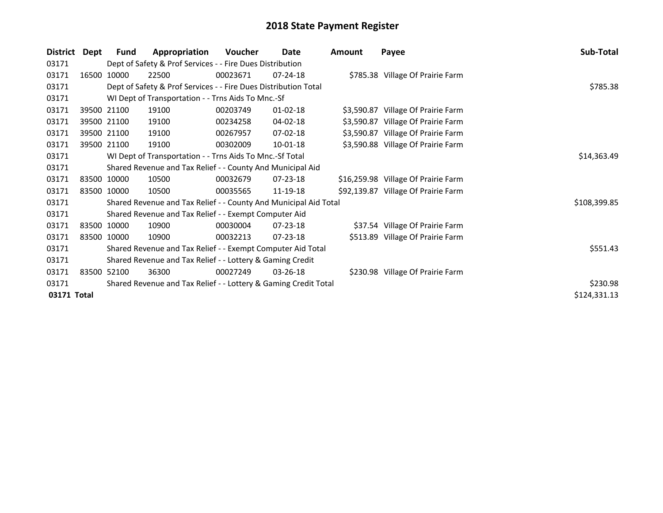| \$785.38     |
|--------------|
|              |
|              |
|              |
|              |
|              |
|              |
|              |
|              |
| \$14,363.49  |
|              |
|              |
|              |
| \$108,399.85 |
|              |
|              |
|              |
| \$551.43     |
|              |
|              |
| \$230.98     |
| \$124,331.13 |
|              |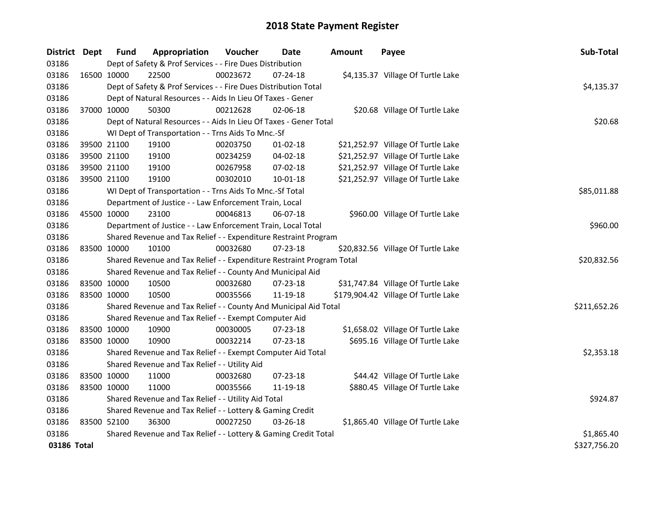| District Dept |             | Fund | Appropriation                                                         | Voucher  | Date           | <b>Amount</b> | Payee                               | Sub-Total    |
|---------------|-------------|------|-----------------------------------------------------------------------|----------|----------------|---------------|-------------------------------------|--------------|
| 03186         |             |      | Dept of Safety & Prof Services - - Fire Dues Distribution             |          |                |               |                                     |              |
| 03186         | 16500 10000 |      | 22500                                                                 | 00023672 | 07-24-18       |               | \$4,135.37 Village Of Turtle Lake   |              |
| 03186         |             |      | Dept of Safety & Prof Services - - Fire Dues Distribution Total       |          |                |               |                                     | \$4,135.37   |
| 03186         |             |      | Dept of Natural Resources - - Aids In Lieu Of Taxes - Gener           |          |                |               |                                     |              |
| 03186         | 37000 10000 |      | 50300                                                                 | 00212628 | 02-06-18       |               | \$20.68 Village Of Turtle Lake      |              |
| 03186         |             |      | Dept of Natural Resources - - Aids In Lieu Of Taxes - Gener Total     |          |                |               |                                     | \$20.68      |
| 03186         |             |      | WI Dept of Transportation - - Trns Aids To Mnc.-Sf                    |          |                |               |                                     |              |
| 03186         | 39500 21100 |      | 19100                                                                 | 00203750 | $01 - 02 - 18$ |               | \$21,252.97 Village Of Turtle Lake  |              |
| 03186         | 39500 21100 |      | 19100                                                                 | 00234259 | 04-02-18       |               | \$21,252.97 Village Of Turtle Lake  |              |
| 03186         | 39500 21100 |      | 19100                                                                 | 00267958 | $07 - 02 - 18$ |               | \$21,252.97 Village Of Turtle Lake  |              |
| 03186         | 39500 21100 |      | 19100                                                                 | 00302010 | 10-01-18       |               | \$21,252.97 Village Of Turtle Lake  |              |
| 03186         |             |      | WI Dept of Transportation - - Trns Aids To Mnc.-Sf Total              |          |                |               |                                     | \$85,011.88  |
| 03186         |             |      | Department of Justice - - Law Enforcement Train, Local                |          |                |               |                                     |              |
| 03186         | 45500 10000 |      | 23100                                                                 | 00046813 | 06-07-18       |               | \$960.00 Village Of Turtle Lake     |              |
| 03186         |             |      | Department of Justice - - Law Enforcement Train, Local Total          |          |                |               |                                     | \$960.00     |
| 03186         |             |      | Shared Revenue and Tax Relief - - Expenditure Restraint Program       |          |                |               |                                     |              |
| 03186         | 83500 10000 |      | 10100                                                                 | 00032680 | $07 - 23 - 18$ |               | \$20,832.56 Village Of Turtle Lake  |              |
| 03186         |             |      | Shared Revenue and Tax Relief - - Expenditure Restraint Program Total |          |                |               |                                     | \$20,832.56  |
| 03186         |             |      | Shared Revenue and Tax Relief - - County And Municipal Aid            |          |                |               |                                     |              |
| 03186         | 83500 10000 |      | 10500                                                                 | 00032680 | 07-23-18       |               | \$31,747.84 Village Of Turtle Lake  |              |
| 03186         | 83500 10000 |      | 10500                                                                 | 00035566 | 11-19-18       |               | \$179,904.42 Village Of Turtle Lake |              |
| 03186         |             |      | Shared Revenue and Tax Relief - - County And Municipal Aid Total      |          |                |               |                                     | \$211,652.26 |
| 03186         |             |      | Shared Revenue and Tax Relief - - Exempt Computer Aid                 |          |                |               |                                     |              |
| 03186         | 83500 10000 |      | 10900                                                                 | 00030005 | 07-23-18       |               | \$1,658.02 Village Of Turtle Lake   |              |
| 03186         | 83500 10000 |      | 10900                                                                 | 00032214 | 07-23-18       |               | \$695.16 Village Of Turtle Lake     |              |
| 03186         |             |      | Shared Revenue and Tax Relief - - Exempt Computer Aid Total           |          |                |               |                                     | \$2,353.18   |
| 03186         |             |      | Shared Revenue and Tax Relief - - Utility Aid                         |          |                |               |                                     |              |
| 03186         | 83500 10000 |      | 11000                                                                 | 00032680 | 07-23-18       |               | \$44.42 Village Of Turtle Lake      |              |
| 03186         | 83500 10000 |      | 11000                                                                 | 00035566 | 11-19-18       |               | \$880.45 Village Of Turtle Lake     |              |
| 03186         |             |      | Shared Revenue and Tax Relief - - Utility Aid Total                   |          |                |               |                                     | \$924.87     |
| 03186         |             |      | Shared Revenue and Tax Relief - - Lottery & Gaming Credit             |          |                |               |                                     |              |
| 03186         | 83500 52100 |      | 36300                                                                 | 00027250 | $03 - 26 - 18$ |               | \$1,865.40 Village Of Turtle Lake   |              |
| 03186         |             |      | Shared Revenue and Tax Relief - - Lottery & Gaming Credit Total       |          |                |               |                                     | \$1,865.40   |
| 03186 Total   |             |      |                                                                       |          |                |               |                                     | \$327,756.20 |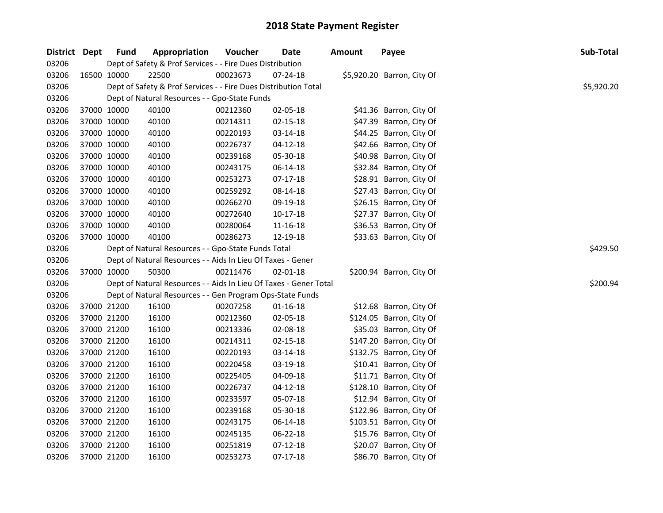| District Dept |             | <b>Fund</b> | Appropriation                                                     | Voucher  | Date           | <b>Amount</b> | Payee                      | Sub-Total  |
|---------------|-------------|-------------|-------------------------------------------------------------------|----------|----------------|---------------|----------------------------|------------|
| 03206         |             |             | Dept of Safety & Prof Services - - Fire Dues Distribution         |          |                |               |                            |            |
| 03206         | 16500 10000 |             | 22500                                                             | 00023673 | 07-24-18       |               | \$5,920.20 Barron, City Of |            |
| 03206         |             |             | Dept of Safety & Prof Services - - Fire Dues Distribution Total   |          |                |               |                            | \$5,920.20 |
| 03206         |             |             | Dept of Natural Resources - - Gpo-State Funds                     |          |                |               |                            |            |
| 03206         |             | 37000 10000 | 40100                                                             | 00212360 | 02-05-18       |               | \$41.36 Barron, City Of    |            |
| 03206         |             | 37000 10000 | 40100                                                             | 00214311 | $02 - 15 - 18$ |               | \$47.39 Barron, City Of    |            |
| 03206         |             | 37000 10000 | 40100                                                             | 00220193 | 03-14-18       |               | \$44.25 Barron, City Of    |            |
| 03206         |             | 37000 10000 | 40100                                                             | 00226737 | $04 - 12 - 18$ |               | \$42.66 Barron, City Of    |            |
| 03206         |             | 37000 10000 | 40100                                                             | 00239168 | 05-30-18       |               | \$40.98 Barron, City Of    |            |
| 03206         |             | 37000 10000 | 40100                                                             | 00243175 | 06-14-18       |               | \$32.84 Barron, City Of    |            |
| 03206         |             | 37000 10000 | 40100                                                             | 00253273 | $07-17-18$     |               | \$28.91 Barron, City Of    |            |
| 03206         |             | 37000 10000 | 40100                                                             | 00259292 | 08-14-18       |               | \$27.43 Barron, City Of    |            |
| 03206         |             | 37000 10000 | 40100                                                             | 00266270 | 09-19-18       |               | \$26.15 Barron, City Of    |            |
| 03206         |             | 37000 10000 | 40100                                                             | 00272640 | 10-17-18       |               | \$27.37 Barron, City Of    |            |
| 03206         |             | 37000 10000 | 40100                                                             | 00280064 | 11-16-18       |               | \$36.53 Barron, City Of    |            |
| 03206         | 37000 10000 |             | 40100                                                             | 00286273 | 12-19-18       |               | \$33.63 Barron, City Of    |            |
| 03206         |             |             | Dept of Natural Resources - - Gpo-State Funds Total               |          |                |               |                            | \$429.50   |
| 03206         |             |             | Dept of Natural Resources - - Aids In Lieu Of Taxes - Gener       |          |                |               |                            |            |
| 03206         |             | 37000 10000 | 50300                                                             | 00211476 | 02-01-18       |               | \$200.94 Barron, City Of   |            |
| 03206         |             |             | Dept of Natural Resources - - Aids In Lieu Of Taxes - Gener Total |          |                |               |                            | \$200.94   |
| 03206         |             |             | Dept of Natural Resources - - Gen Program Ops-State Funds         |          |                |               |                            |            |
| 03206         |             | 37000 21200 | 16100                                                             | 00207258 | $01 - 16 - 18$ |               | \$12.68 Barron, City Of    |            |
| 03206         |             | 37000 21200 | 16100                                                             | 00212360 | 02-05-18       |               | \$124.05 Barron, City Of   |            |
| 03206         |             | 37000 21200 | 16100                                                             | 00213336 | 02-08-18       |               | \$35.03 Barron, City Of    |            |
| 03206         |             | 37000 21200 | 16100                                                             | 00214311 | $02 - 15 - 18$ |               | \$147.20 Barron, City Of   |            |
| 03206         |             | 37000 21200 | 16100                                                             | 00220193 | 03-14-18       |               | \$132.75 Barron, City Of   |            |
| 03206         |             | 37000 21200 | 16100                                                             | 00220458 | 03-19-18       |               | \$10.41 Barron, City Of    |            |
| 03206         |             | 37000 21200 | 16100                                                             | 00225405 | 04-09-18       |               | \$11.71 Barron, City Of    |            |
| 03206         |             | 37000 21200 | 16100                                                             | 00226737 | $04 - 12 - 18$ |               | \$128.10 Barron, City Of   |            |
| 03206         |             | 37000 21200 | 16100                                                             | 00233597 | 05-07-18       |               | \$12.94 Barron, City Of    |            |
| 03206         |             | 37000 21200 | 16100                                                             | 00239168 | 05-30-18       |               | \$122.96 Barron, City Of   |            |
| 03206         |             | 37000 21200 | 16100                                                             | 00243175 | 06-14-18       |               | \$103.51 Barron, City Of   |            |
| 03206         |             | 37000 21200 | 16100                                                             | 00245135 | 06-22-18       |               | \$15.76 Barron, City Of    |            |
| 03206         |             | 37000 21200 | 16100                                                             | 00251819 | $07-12-18$     |               | \$20.07 Barron, City Of    |            |
| 03206         |             | 37000 21200 | 16100                                                             | 00253273 | $07-17-18$     |               | \$86.70 Barron, City Of    |            |
|               |             |             |                                                                   |          |                |               |                            |            |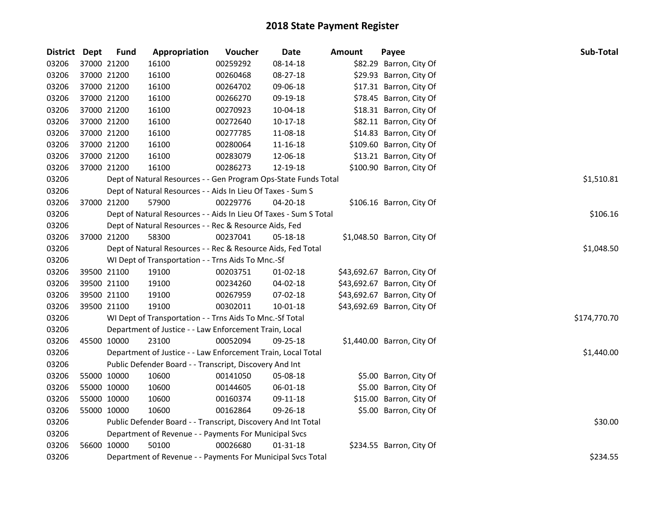| <b>District</b> | Dept        | <b>Fund</b> | Appropriation                                                     | Voucher  | <b>Date</b>    | <b>Amount</b> | Payee                       | Sub-Total    |
|-----------------|-------------|-------------|-------------------------------------------------------------------|----------|----------------|---------------|-----------------------------|--------------|
| 03206           |             | 37000 21200 | 16100                                                             | 00259292 | 08-14-18       |               | \$82.29 Barron, City Of     |              |
| 03206           |             | 37000 21200 | 16100                                                             | 00260468 | 08-27-18       |               | \$29.93 Barron, City Of     |              |
| 03206           | 37000 21200 |             | 16100                                                             | 00264702 | 09-06-18       |               | \$17.31 Barron, City Of     |              |
| 03206           | 37000 21200 |             | 16100                                                             | 00266270 | 09-19-18       |               | \$78.45 Barron, City Of     |              |
| 03206           | 37000 21200 |             | 16100                                                             | 00270923 | 10-04-18       |               | \$18.31 Barron, City Of     |              |
| 03206           | 37000 21200 |             | 16100                                                             | 00272640 | $10-17-18$     |               | \$82.11 Barron, City Of     |              |
| 03206           |             | 37000 21200 | 16100                                                             | 00277785 | 11-08-18       |               | \$14.83 Barron, City Of     |              |
| 03206           | 37000 21200 |             | 16100                                                             | 00280064 | 11-16-18       |               | \$109.60 Barron, City Of    |              |
| 03206           | 37000 21200 |             | 16100                                                             | 00283079 | 12-06-18       |               | \$13.21 Barron, City Of     |              |
| 03206           |             | 37000 21200 | 16100                                                             | 00286273 | 12-19-18       |               | \$100.90 Barron, City Of    |              |
| 03206           |             |             | Dept of Natural Resources - - Gen Program Ops-State Funds Total   |          |                |               |                             | \$1,510.81   |
| 03206           |             |             | Dept of Natural Resources - - Aids In Lieu Of Taxes - Sum S       |          |                |               |                             |              |
| 03206           |             | 37000 21200 | 57900                                                             | 00229776 | 04-20-18       |               | \$106.16 Barron, City Of    |              |
| 03206           |             |             | Dept of Natural Resources - - Aids In Lieu Of Taxes - Sum S Total |          |                |               |                             | \$106.16     |
| 03206           |             |             | Dept of Natural Resources - - Rec & Resource Aids, Fed            |          |                |               |                             |              |
| 03206           |             | 37000 21200 | 58300                                                             | 00237041 | 05-18-18       |               | \$1,048.50 Barron, City Of  |              |
| 03206           |             |             | Dept of Natural Resources - - Rec & Resource Aids, Fed Total      |          |                |               |                             | \$1,048.50   |
| 03206           |             |             | WI Dept of Transportation - - Trns Aids To Mnc.-Sf                |          |                |               |                             |              |
| 03206           |             | 39500 21100 | 19100                                                             | 00203751 | $01-02-18$     |               | \$43,692.67 Barron, City Of |              |
| 03206           |             | 39500 21100 | 19100                                                             | 00234260 | 04-02-18       |               | \$43,692.67 Barron, City Of |              |
| 03206           |             | 39500 21100 | 19100                                                             | 00267959 | $07-02-18$     |               | \$43,692.67 Barron, City Of |              |
| 03206           | 39500 21100 |             | 19100                                                             | 00302011 | 10-01-18       |               | \$43,692.69 Barron, City Of |              |
| 03206           |             |             | WI Dept of Transportation - - Trns Aids To Mnc.-Sf Total          |          |                |               |                             | \$174,770.70 |
| 03206           |             |             | Department of Justice - - Law Enforcement Train, Local            |          |                |               |                             |              |
| 03206           | 45500 10000 |             | 23100                                                             | 00052094 | 09-25-18       |               | \$1,440.00 Barron, City Of  |              |
| 03206           |             |             | Department of Justice - - Law Enforcement Train, Local Total      |          |                |               |                             | \$1,440.00   |
| 03206           |             |             | Public Defender Board - - Transcript, Discovery And Int           |          |                |               |                             |              |
| 03206           | 55000 10000 |             | 10600                                                             | 00141050 | 05-08-18       |               | \$5.00 Barron, City Of      |              |
| 03206           | 55000 10000 |             | 10600                                                             | 00144605 | 06-01-18       |               | \$5.00 Barron, City Of      |              |
| 03206           | 55000 10000 |             | 10600                                                             | 00160374 | 09-11-18       |               | \$15.00 Barron, City Of     |              |
| 03206           | 55000 10000 |             | 10600                                                             | 00162864 | 09-26-18       |               | \$5.00 Barron, City Of      |              |
| 03206           |             |             | Public Defender Board - - Transcript, Discovery And Int Total     |          |                |               |                             | \$30.00      |
| 03206           |             |             | Department of Revenue - - Payments For Municipal Svcs             |          |                |               |                             |              |
| 03206           |             | 56600 10000 | 50100                                                             | 00026680 | $01 - 31 - 18$ |               | \$234.55 Barron, City Of    |              |
| 03206           |             |             | Department of Revenue - - Payments For Municipal Svcs Total       |          |                |               |                             | \$234.55     |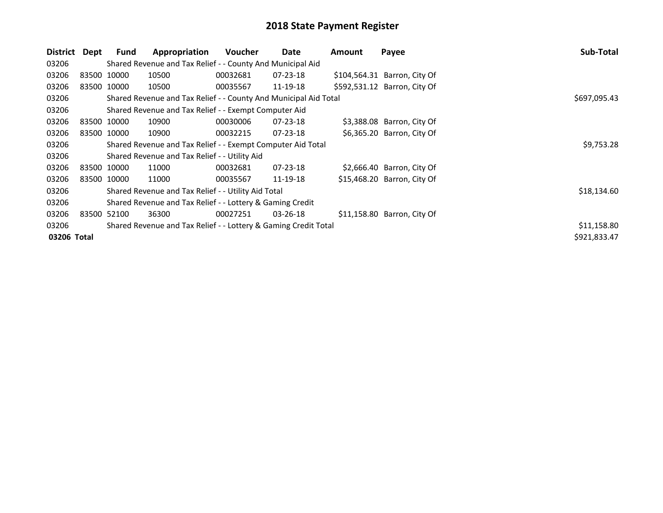| District    | Dept        | <b>Fund</b> | Appropriation                                                    | <b>Voucher</b> | Date           | Amount | Payee                        | Sub-Total    |
|-------------|-------------|-------------|------------------------------------------------------------------|----------------|----------------|--------|------------------------------|--------------|
| 03206       |             |             | Shared Revenue and Tax Relief - - County And Municipal Aid       |                |                |        |                              |              |
| 03206       | 83500 10000 |             | 10500                                                            | 00032681       | $07 - 23 - 18$ |        | \$104,564.31 Barron, City Of |              |
| 03206       | 83500 10000 |             | 10500                                                            | 00035567       | 11-19-18       |        | \$592,531.12 Barron, City Of |              |
| 03206       |             |             | Shared Revenue and Tax Relief - - County And Municipal Aid Total |                |                |        |                              | \$697,095.43 |
| 03206       |             |             | Shared Revenue and Tax Relief - - Exempt Computer Aid            |                |                |        |                              |              |
| 03206       | 83500 10000 |             | 10900                                                            | 00030006       | $07 - 23 - 18$ |        | \$3,388.08 Barron, City Of   |              |
| 03206       |             | 83500 10000 | 10900                                                            | 00032215       | $07 - 23 - 18$ |        | \$6,365.20 Barron, City Of   |              |
| 03206       |             |             | Shared Revenue and Tax Relief - - Exempt Computer Aid Total      |                |                |        |                              | \$9,753.28   |
| 03206       |             |             | Shared Revenue and Tax Relief - - Utility Aid                    |                |                |        |                              |              |
| 03206       | 83500 10000 |             | 11000                                                            | 00032681       | $07 - 23 - 18$ |        | $$2,666.40$ Barron, City Of  |              |
| 03206       | 83500 10000 |             | 11000                                                            | 00035567       | 11-19-18       |        | \$15,468.20 Barron, City Of  |              |
| 03206       |             |             | Shared Revenue and Tax Relief - - Utility Aid Total              |                |                |        |                              | \$18,134.60  |
| 03206       |             |             | Shared Revenue and Tax Relief - - Lottery & Gaming Credit        |                |                |        |                              |              |
| 03206       | 83500 52100 |             | 36300                                                            | 00027251       | $03 - 26 - 18$ |        | \$11,158.80 Barron, City Of  |              |
| 03206       |             |             | Shared Revenue and Tax Relief - - Lottery & Gaming Credit Total  |                |                |        |                              | \$11,158.80  |
| 03206 Total |             |             |                                                                  |                |                |        |                              | \$921,833.47 |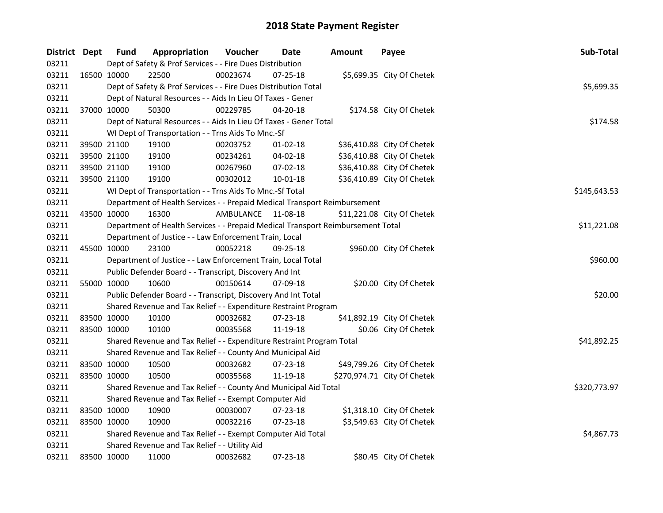| District Dept |             | <b>Fund</b> | Appropriation                                                                   | Voucher   | Date           | <b>Amount</b> | Payee                       | Sub-Total    |
|---------------|-------------|-------------|---------------------------------------------------------------------------------|-----------|----------------|---------------|-----------------------------|--------------|
| 03211         |             |             | Dept of Safety & Prof Services - - Fire Dues Distribution                       |           |                |               |                             |              |
| 03211         |             | 16500 10000 | 22500                                                                           | 00023674  | 07-25-18       |               | \$5,699.35 City Of Chetek   |              |
| 03211         |             |             | Dept of Safety & Prof Services - - Fire Dues Distribution Total                 |           |                |               |                             | \$5,699.35   |
| 03211         |             |             | Dept of Natural Resources - - Aids In Lieu Of Taxes - Gener                     |           |                |               |                             |              |
| 03211         |             | 37000 10000 | 50300                                                                           | 00229785  | $04 - 20 - 18$ |               | \$174.58 City Of Chetek     |              |
| 03211         |             |             | Dept of Natural Resources - - Aids In Lieu Of Taxes - Gener Total               |           |                |               |                             | \$174.58     |
| 03211         |             |             | WI Dept of Transportation - - Trns Aids To Mnc.-Sf                              |           |                |               |                             |              |
| 03211         |             | 39500 21100 | 19100                                                                           | 00203752  | $01 - 02 - 18$ |               | \$36,410.88 City Of Chetek  |              |
| 03211         | 39500 21100 |             | 19100                                                                           | 00234261  | 04-02-18       |               | \$36,410.88 City Of Chetek  |              |
| 03211         | 39500 21100 |             | 19100                                                                           | 00267960  | 07-02-18       |               | \$36,410.88 City Of Chetek  |              |
| 03211         |             | 39500 21100 | 19100                                                                           | 00302012  | 10-01-18       |               | \$36,410.89 City Of Chetek  |              |
| 03211         |             |             | WI Dept of Transportation - - Trns Aids To Mnc.-Sf Total                        |           |                |               |                             | \$145,643.53 |
| 03211         |             |             | Department of Health Services - - Prepaid Medical Transport Reimbursement       |           |                |               |                             |              |
| 03211         | 43500 10000 |             | 16300                                                                           | AMBULANCE | 11-08-18       |               | \$11,221.08 City Of Chetek  |              |
| 03211         |             |             | Department of Health Services - - Prepaid Medical Transport Reimbursement Total |           |                |               |                             | \$11,221.08  |
| 03211         |             |             | Department of Justice - - Law Enforcement Train, Local                          |           |                |               |                             |              |
| 03211         |             | 45500 10000 | 23100                                                                           | 00052218  | 09-25-18       |               | \$960.00 City Of Chetek     |              |
| 03211         |             |             | Department of Justice - - Law Enforcement Train, Local Total                    |           |                |               |                             | \$960.00     |
| 03211         |             |             | Public Defender Board - - Transcript, Discovery And Int                         |           |                |               |                             |              |
| 03211         | 55000 10000 |             | 10600                                                                           | 00150614  | 07-09-18       |               | \$20.00 City Of Chetek      |              |
| 03211         |             |             | Public Defender Board - - Transcript, Discovery And Int Total                   |           |                |               |                             | \$20.00      |
| 03211         |             |             | Shared Revenue and Tax Relief - - Expenditure Restraint Program                 |           |                |               |                             |              |
| 03211         |             | 83500 10000 | 10100                                                                           | 00032682  | 07-23-18       |               | \$41,892.19 City Of Chetek  |              |
| 03211         | 83500 10000 |             | 10100                                                                           | 00035568  | 11-19-18       |               | \$0.06 City Of Chetek       |              |
| 03211         |             |             | Shared Revenue and Tax Relief - - Expenditure Restraint Program Total           |           |                |               |                             | \$41,892.25  |
| 03211         |             |             | Shared Revenue and Tax Relief - - County And Municipal Aid                      |           |                |               |                             |              |
| 03211         |             | 83500 10000 | 10500                                                                           | 00032682  | $07 - 23 - 18$ |               | \$49,799.26 City Of Chetek  |              |
| 03211         | 83500 10000 |             | 10500                                                                           | 00035568  | 11-19-18       |               | \$270,974.71 City Of Chetek |              |
| 03211         |             |             | Shared Revenue and Tax Relief - - County And Municipal Aid Total                |           |                |               |                             | \$320,773.97 |
| 03211         |             |             | Shared Revenue and Tax Relief - - Exempt Computer Aid                           |           |                |               |                             |              |
| 03211         | 83500 10000 |             | 10900                                                                           | 00030007  | $07 - 23 - 18$ |               | \$1,318.10 City Of Chetek   |              |
| 03211         | 83500 10000 |             | 10900                                                                           | 00032216  | 07-23-18       |               | \$3,549.63 City Of Chetek   |              |
| 03211         |             |             | Shared Revenue and Tax Relief - - Exempt Computer Aid Total                     |           |                |               |                             | \$4,867.73   |
| 03211         |             |             | Shared Revenue and Tax Relief - - Utility Aid                                   |           |                |               |                             |              |
| 03211         | 83500 10000 |             | 11000                                                                           | 00032682  | 07-23-18       |               | \$80.45 City Of Chetek      |              |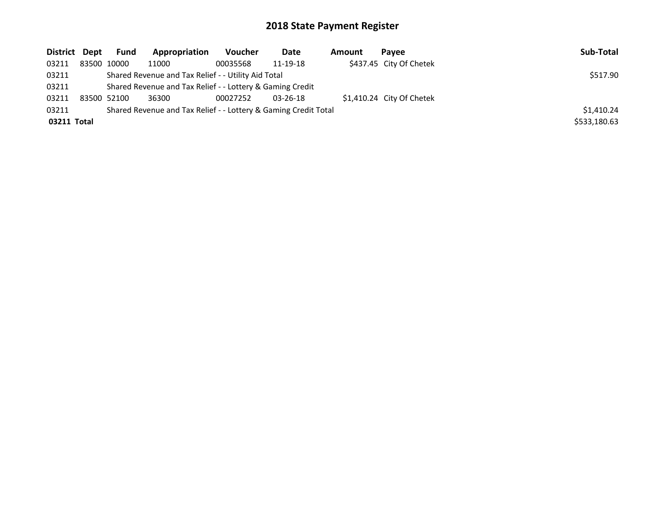| District Dept                                                            |  | Fund                                                      | Appropriation | Voucher  | Date           | <b>Amount</b> | Pavee                     | Sub-Total    |
|--------------------------------------------------------------------------|--|-----------------------------------------------------------|---------------|----------|----------------|---------------|---------------------------|--------------|
| 03211                                                                    |  | 83500 10000                                               | 11000         | 00035568 | 11-19-18       |               | \$437.45 City Of Chetek   |              |
| 03211                                                                    |  | \$517.90                                                  |               |          |                |               |                           |              |
| 03211                                                                    |  | Shared Revenue and Tax Relief - - Lottery & Gaming Credit |               |          |                |               |                           |              |
| 03211                                                                    |  | 83500 52100                                               | 36300         | 00027252 | $03 - 26 - 18$ |               | \$1,410.24 City Of Chetek |              |
| Shared Revenue and Tax Relief - - Lottery & Gaming Credit Total<br>03211 |  |                                                           |               |          |                |               |                           | \$1,410.24   |
| 03211 Total                                                              |  |                                                           |               |          |                |               |                           | \$533,180.63 |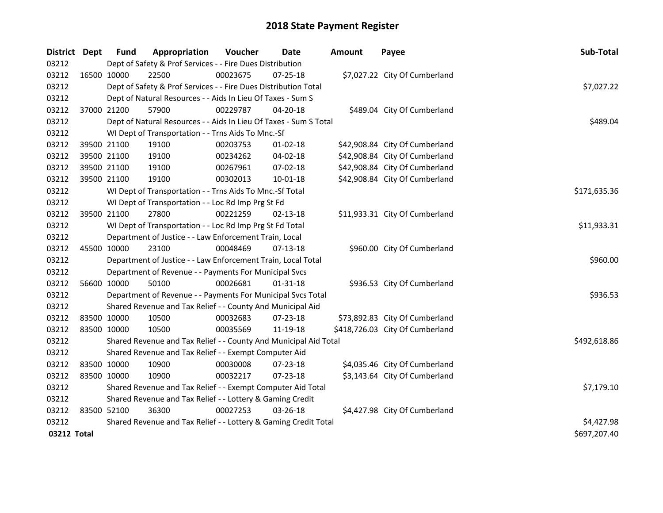| District Dept |             | Fund                                                      | Appropriation                                                     | Voucher  | <b>Date</b>    | <b>Amount</b> | Payee                           | Sub-Total    |
|---------------|-------------|-----------------------------------------------------------|-------------------------------------------------------------------|----------|----------------|---------------|---------------------------------|--------------|
| 03212         |             | Dept of Safety & Prof Services - - Fire Dues Distribution |                                                                   |          |                |               |                                 |              |
| 03212         | 16500 10000 |                                                           | 22500                                                             | 00023675 | 07-25-18       |               | \$7,027.22 City Of Cumberland   |              |
| 03212         |             |                                                           | Dept of Safety & Prof Services - - Fire Dues Distribution Total   |          |                |               |                                 | \$7,027.22   |
| 03212         |             |                                                           | Dept of Natural Resources - - Aids In Lieu Of Taxes - Sum S       |          |                |               |                                 |              |
| 03212         | 37000 21200 |                                                           | 57900                                                             | 00229787 | 04-20-18       |               | \$489.04 City Of Cumberland     |              |
| 03212         |             |                                                           | Dept of Natural Resources - - Aids In Lieu Of Taxes - Sum S Total |          |                |               |                                 | \$489.04     |
| 03212         |             |                                                           | WI Dept of Transportation - - Trns Aids To Mnc.-Sf                |          |                |               |                                 |              |
| 03212         | 39500 21100 |                                                           | 19100                                                             | 00203753 | $01 - 02 - 18$ |               | \$42,908.84 City Of Cumberland  |              |
| 03212         | 39500 21100 |                                                           | 19100                                                             | 00234262 | 04-02-18       |               | \$42,908.84 City Of Cumberland  |              |
| 03212         | 39500 21100 |                                                           | 19100                                                             | 00267961 | 07-02-18       |               | \$42,908.84 City Of Cumberland  |              |
| 03212         |             | 39500 21100                                               | 19100                                                             | 00302013 | 10-01-18       |               | \$42,908.84 City Of Cumberland  |              |
| 03212         |             |                                                           | WI Dept of Transportation - - Trns Aids To Mnc.-Sf Total          |          |                |               |                                 | \$171,635.36 |
| 03212         |             |                                                           | WI Dept of Transportation - - Loc Rd Imp Prg St Fd                |          |                |               |                                 |              |
| 03212         |             | 39500 21100                                               | 27800                                                             | 00221259 | 02-13-18       |               | \$11,933.31 City Of Cumberland  |              |
| 03212         |             |                                                           | WI Dept of Transportation - - Loc Rd Imp Prg St Fd Total          |          |                |               |                                 | \$11,933.31  |
| 03212         |             |                                                           | Department of Justice - - Law Enforcement Train, Local            |          |                |               |                                 |              |
| 03212         | 45500 10000 |                                                           | 23100                                                             | 00048469 | $07-13-18$     |               | \$960.00 City Of Cumberland     |              |
| 03212         |             |                                                           | Department of Justice - - Law Enforcement Train, Local Total      |          |                |               |                                 | \$960.00     |
| 03212         |             |                                                           | Department of Revenue - - Payments For Municipal Svcs             |          |                |               |                                 |              |
| 03212         |             | 56600 10000                                               | 50100                                                             | 00026681 | $01 - 31 - 18$ |               | \$936.53 City Of Cumberland     |              |
| 03212         |             |                                                           | Department of Revenue - - Payments For Municipal Svcs Total       |          |                |               |                                 | \$936.53     |
| 03212         |             |                                                           | Shared Revenue and Tax Relief - - County And Municipal Aid        |          |                |               |                                 |              |
| 03212         | 83500 10000 |                                                           | 10500                                                             | 00032683 | $07 - 23 - 18$ |               | \$73,892.83 City Of Cumberland  |              |
| 03212         | 83500 10000 |                                                           | 10500                                                             | 00035569 | 11-19-18       |               | \$418,726.03 City Of Cumberland |              |
| 03212         |             |                                                           | Shared Revenue and Tax Relief - - County And Municipal Aid Total  |          |                |               |                                 | \$492,618.86 |
| 03212         |             |                                                           | Shared Revenue and Tax Relief - - Exempt Computer Aid             |          |                |               |                                 |              |
| 03212         | 83500 10000 |                                                           | 10900                                                             | 00030008 | 07-23-18       |               | \$4,035.46 City Of Cumberland   |              |
| 03212         | 83500 10000 |                                                           | 10900                                                             | 00032217 | 07-23-18       |               | \$3,143.64 City Of Cumberland   |              |
| 03212         |             |                                                           | Shared Revenue and Tax Relief - - Exempt Computer Aid Total       |          |                |               |                                 | \$7,179.10   |
| 03212         |             |                                                           | Shared Revenue and Tax Relief - - Lottery & Gaming Credit         |          |                |               |                                 |              |
| 03212         | 83500 52100 |                                                           | 36300                                                             | 00027253 | $03 - 26 - 18$ |               | \$4,427.98 City Of Cumberland   |              |
| 03212         |             |                                                           | Shared Revenue and Tax Relief - - Lottery & Gaming Credit Total   |          |                |               |                                 | \$4,427.98   |
| 03212 Total   |             |                                                           |                                                                   |          |                |               |                                 | \$697,207.40 |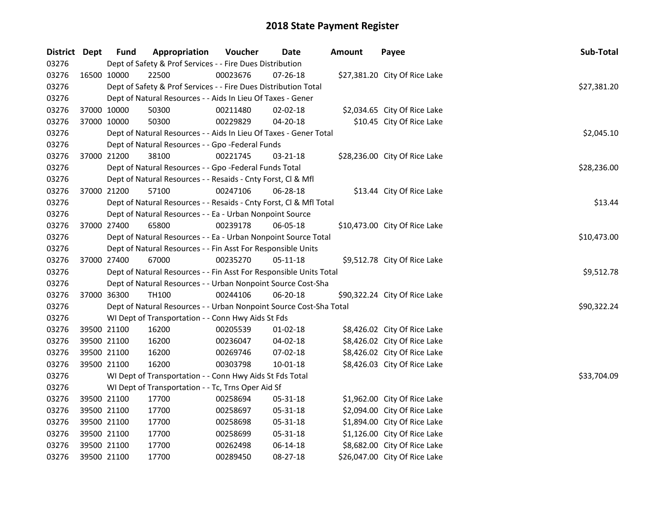| District Dept | <b>Fund</b>                                                                    | Appropriation                                                      | Voucher  | <b>Date</b>    | <b>Amount</b> | Payee                         | Sub-Total   |  |  |
|---------------|--------------------------------------------------------------------------------|--------------------------------------------------------------------|----------|----------------|---------------|-------------------------------|-------------|--|--|
| 03276         |                                                                                | Dept of Safety & Prof Services - - Fire Dues Distribution          |          |                |               |                               |             |  |  |
| 03276         | 16500 10000                                                                    | 22500                                                              | 00023676 | 07-26-18       |               | \$27,381.20 City Of Rice Lake |             |  |  |
| 03276         | Dept of Safety & Prof Services - - Fire Dues Distribution Total<br>\$27,381.20 |                                                                    |          |                |               |                               |             |  |  |
| 03276         | Dept of Natural Resources - - Aids In Lieu Of Taxes - Gener                    |                                                                    |          |                |               |                               |             |  |  |
| 03276         | 37000 10000                                                                    | 50300                                                              | 00211480 | 02-02-18       |               | \$2,034.65 City Of Rice Lake  |             |  |  |
| 03276         | 37000 10000                                                                    | 50300                                                              | 00229829 | $04 - 20 - 18$ |               | \$10.45 City Of Rice Lake     |             |  |  |
| 03276         |                                                                                | Dept of Natural Resources - - Aids In Lieu Of Taxes - Gener Total  |          |                |               |                               | \$2,045.10  |  |  |
| 03276         |                                                                                | Dept of Natural Resources - - Gpo -Federal Funds                   |          |                |               |                               |             |  |  |
| 03276         | 37000 21200                                                                    | 38100                                                              | 00221745 | 03-21-18       |               | \$28,236.00 City Of Rice Lake |             |  |  |
| 03276         |                                                                                | Dept of Natural Resources - - Gpo -Federal Funds Total             |          |                |               |                               | \$28,236.00 |  |  |
| 03276         |                                                                                | Dept of Natural Resources - - Resaids - Cnty Forst, Cl & Mfl       |          |                |               |                               |             |  |  |
| 03276         | 37000 21200                                                                    | 57100                                                              | 00247106 | 06-28-18       |               | \$13.44 City Of Rice Lake     |             |  |  |
| 03276         |                                                                                | Dept of Natural Resources - - Resaids - Cnty Forst, Cl & Mfl Total |          |                |               |                               | \$13.44     |  |  |
| 03276         |                                                                                | Dept of Natural Resources - - Ea - Urban Nonpoint Source           |          |                |               |                               |             |  |  |
| 03276         | 37000 27400                                                                    | 65800                                                              | 00239178 | 06-05-18       |               | \$10,473.00 City Of Rice Lake |             |  |  |
| 03276         |                                                                                | Dept of Natural Resources - - Ea - Urban Nonpoint Source Total     |          |                |               |                               | \$10,473.00 |  |  |
| 03276         |                                                                                | Dept of Natural Resources - - Fin Asst For Responsible Units       |          |                |               |                               |             |  |  |
| 03276         | 37000 27400                                                                    | 67000                                                              | 00235270 | $05 - 11 - 18$ |               | \$9,512.78 City Of Rice Lake  |             |  |  |
| 03276         |                                                                                | Dept of Natural Resources - - Fin Asst For Responsible Units Total |          |                |               |                               | \$9,512.78  |  |  |
| 03276         |                                                                                | Dept of Natural Resources - - Urban Nonpoint Source Cost-Sha       |          |                |               |                               |             |  |  |
| 03276         | 37000 36300                                                                    | TH100                                                              | 00244106 | 06-20-18       |               | \$90,322.24 City Of Rice Lake |             |  |  |
| 03276         |                                                                                | Dept of Natural Resources - - Urban Nonpoint Source Cost-Sha Total |          |                |               |                               | \$90,322.24 |  |  |
| 03276         |                                                                                | WI Dept of Transportation - - Conn Hwy Aids St Fds                 |          |                |               |                               |             |  |  |
| 03276         | 39500 21100                                                                    | 16200                                                              | 00205539 | $01-02-18$     |               | \$8,426.02 City Of Rice Lake  |             |  |  |
| 03276         | 39500 21100                                                                    | 16200                                                              | 00236047 | 04-02-18       |               | \$8,426.02 City Of Rice Lake  |             |  |  |
| 03276         | 39500 21100                                                                    | 16200                                                              | 00269746 | 07-02-18       |               | \$8,426.02 City Of Rice Lake  |             |  |  |
| 03276         | 39500 21100                                                                    | 16200                                                              | 00303798 | $10 - 01 - 18$ |               | \$8,426.03 City Of Rice Lake  |             |  |  |
| 03276         |                                                                                | WI Dept of Transportation - - Conn Hwy Aids St Fds Total           |          |                |               |                               | \$33,704.09 |  |  |
| 03276         |                                                                                | WI Dept of Transportation - - Tc, Trns Oper Aid Sf                 |          |                |               |                               |             |  |  |
| 03276         | 39500 21100                                                                    | 17700                                                              | 00258694 | 05-31-18       |               | \$1,962.00 City Of Rice Lake  |             |  |  |
| 03276         | 39500 21100                                                                    | 17700                                                              | 00258697 | 05-31-18       |               | \$2,094.00 City Of Rice Lake  |             |  |  |
| 03276         | 39500 21100                                                                    | 17700                                                              | 00258698 | 05-31-18       |               | \$1,894.00 City Of Rice Lake  |             |  |  |
| 03276         | 39500 21100                                                                    | 17700                                                              | 00258699 | 05-31-18       |               | \$1,126.00 City Of Rice Lake  |             |  |  |
| 03276         | 39500 21100                                                                    | 17700                                                              | 00262498 | 06-14-18       |               | \$8,682.00 City Of Rice Lake  |             |  |  |
| 03276         | 39500 21100                                                                    | 17700                                                              | 00289450 | 08-27-18       |               | \$26,047.00 City Of Rice Lake |             |  |  |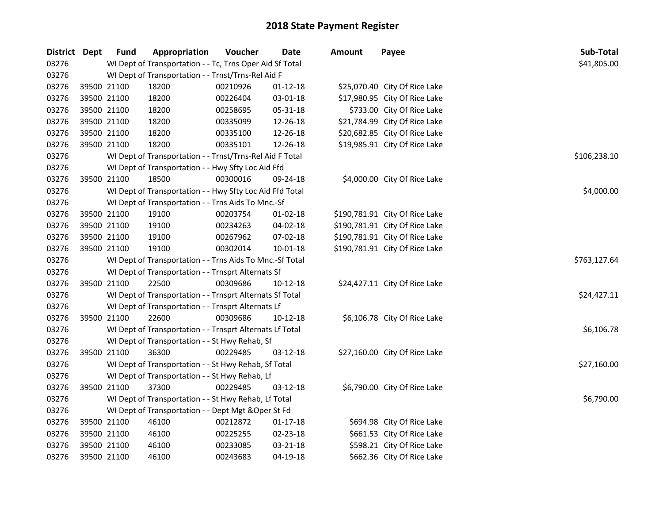| District Dept |             | <b>Fund</b>                                              | Appropriation                                            | Voucher  | <b>Date</b>    | <b>Amount</b> | Payee                          | Sub-Total    |
|---------------|-------------|----------------------------------------------------------|----------------------------------------------------------|----------|----------------|---------------|--------------------------------|--------------|
| 03276         |             | WI Dept of Transportation - - Tc, Trns Oper Aid Sf Total | \$41,805.00                                              |          |                |               |                                |              |
| 03276         |             |                                                          | WI Dept of Transportation - - Trnst/Trns-Rel Aid F       |          |                |               |                                |              |
| 03276         | 39500 21100 |                                                          | 18200                                                    | 00210926 | $01 - 12 - 18$ |               | \$25,070.40 City Of Rice Lake  |              |
| 03276         | 39500 21100 |                                                          | 18200                                                    | 00226404 | 03-01-18       |               | \$17,980.95 City Of Rice Lake  |              |
| 03276         | 39500 21100 |                                                          | 18200                                                    | 00258695 | 05-31-18       |               | \$733.00 City Of Rice Lake     |              |
| 03276         | 39500 21100 |                                                          | 18200                                                    | 00335099 | 12-26-18       |               | \$21,784.99 City Of Rice Lake  |              |
| 03276         | 39500 21100 |                                                          | 18200                                                    | 00335100 | 12-26-18       |               | \$20,682.85 City Of Rice Lake  |              |
| 03276         | 39500 21100 |                                                          | 18200                                                    | 00335101 | 12-26-18       |               | \$19,985.91 City Of Rice Lake  |              |
| 03276         |             |                                                          | WI Dept of Transportation - - Trnst/Trns-Rel Aid F Total |          |                |               |                                | \$106,238.10 |
| 03276         |             |                                                          | WI Dept of Transportation - - Hwy Sfty Loc Aid Ffd       |          |                |               |                                |              |
| 03276         | 39500 21100 |                                                          | 18500                                                    | 00300016 | 09-24-18       |               | \$4,000.00 City Of Rice Lake   |              |
| 03276         |             |                                                          | WI Dept of Transportation - - Hwy Sfty Loc Aid Ffd Total |          |                |               |                                | \$4,000.00   |
| 03276         |             |                                                          | WI Dept of Transportation - - Trns Aids To Mnc.-Sf       |          |                |               |                                |              |
| 03276         | 39500 21100 |                                                          | 19100                                                    | 00203754 | $01-02-18$     |               | \$190,781.91 City Of Rice Lake |              |
| 03276         |             | 39500 21100                                              | 19100                                                    | 00234263 | 04-02-18       |               | \$190,781.91 City Of Rice Lake |              |
| 03276         | 39500 21100 |                                                          | 19100                                                    | 00267962 | 07-02-18       |               | \$190,781.91 City Of Rice Lake |              |
| 03276         | 39500 21100 |                                                          | 19100                                                    | 00302014 | 10-01-18       |               | \$190,781.91 City Of Rice Lake |              |
| 03276         |             |                                                          | WI Dept of Transportation - - Trns Aids To Mnc.-Sf Total |          |                |               |                                | \$763,127.64 |
| 03276         |             |                                                          | WI Dept of Transportation - - Trnsprt Alternats Sf       |          |                |               |                                |              |
| 03276         | 39500 21100 |                                                          | 22500                                                    | 00309686 | $10-12-18$     |               | \$24,427.11 City Of Rice Lake  |              |
| 03276         |             |                                                          | WI Dept of Transportation - - Trnsprt Alternats Sf Total |          |                |               |                                | \$24,427.11  |
| 03276         |             |                                                          | WI Dept of Transportation - - Trnsprt Alternats Lf       |          |                |               |                                |              |
| 03276         | 39500 21100 |                                                          | 22600                                                    | 00309686 | $10-12-18$     |               | \$6,106.78 City Of Rice Lake   |              |
| 03276         |             |                                                          | WI Dept of Transportation - - Trnsprt Alternats Lf Total |          |                |               |                                | \$6,106.78   |
| 03276         |             |                                                          | WI Dept of Transportation - - St Hwy Rehab, Sf           |          |                |               |                                |              |
| 03276         | 39500 21100 |                                                          | 36300                                                    | 00229485 | $03 - 12 - 18$ |               | \$27,160.00 City Of Rice Lake  |              |
| 03276         |             |                                                          | WI Dept of Transportation - - St Hwy Rehab, Sf Total     |          |                |               |                                | \$27,160.00  |
| 03276         |             |                                                          | WI Dept of Transportation - - St Hwy Rehab, Lf           |          |                |               |                                |              |
| 03276         | 39500 21100 |                                                          | 37300                                                    | 00229485 | $03-12-18$     |               | \$6,790.00 City Of Rice Lake   |              |
| 03276         |             |                                                          | WI Dept of Transportation - - St Hwy Rehab, Lf Total     |          |                |               |                                | \$6,790.00   |
| 03276         |             |                                                          | WI Dept of Transportation - - Dept Mgt & Oper St Fd      |          |                |               |                                |              |
| 03276         | 39500 21100 |                                                          | 46100                                                    | 00212872 | $01-17-18$     |               | \$694.98 City Of Rice Lake     |              |
| 03276         | 39500 21100 |                                                          | 46100                                                    | 00225255 | 02-23-18       |               | \$661.53 City Of Rice Lake     |              |
| 03276         | 39500 21100 |                                                          | 46100                                                    | 00233085 | 03-21-18       |               | \$598.21 City Of Rice Lake     |              |
| 03276         | 39500 21100 |                                                          | 46100                                                    | 00243683 | 04-19-18       |               | \$662.36 City Of Rice Lake     |              |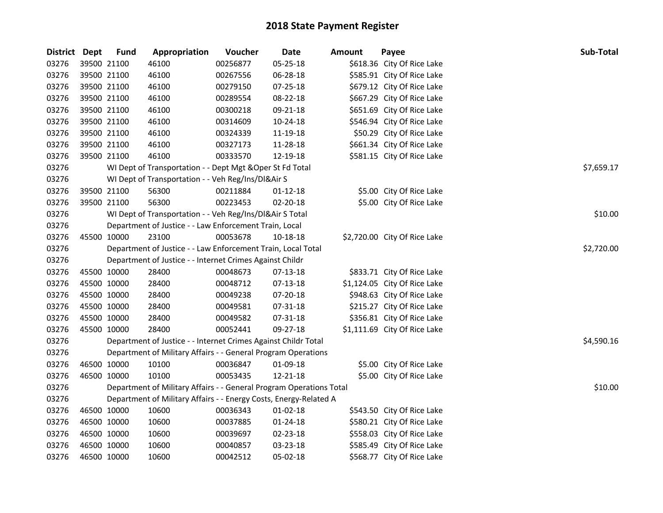| District Dept |             | <b>Fund</b> | Appropriation                                                       | Voucher  | <b>Date</b>    | <b>Amount</b> | Payee                        | Sub-Total  |
|---------------|-------------|-------------|---------------------------------------------------------------------|----------|----------------|---------------|------------------------------|------------|
| 03276         | 39500 21100 |             | 46100                                                               | 00256877 | 05-25-18       |               | \$618.36 City Of Rice Lake   |            |
| 03276         | 39500 21100 |             | 46100                                                               | 00267556 | 06-28-18       |               | \$585.91 City Of Rice Lake   |            |
| 03276         | 39500 21100 |             | 46100                                                               | 00279150 | 07-25-18       |               | \$679.12 City Of Rice Lake   |            |
| 03276         | 39500 21100 |             | 46100                                                               | 00289554 | 08-22-18       |               | \$667.29 City Of Rice Lake   |            |
| 03276         | 39500 21100 |             | 46100                                                               | 00300218 | 09-21-18       |               | \$651.69 City Of Rice Lake   |            |
| 03276         | 39500 21100 |             | 46100                                                               | 00314609 | 10-24-18       |               | \$546.94 City Of Rice Lake   |            |
| 03276         | 39500 21100 |             | 46100                                                               | 00324339 | 11-19-18       |               | \$50.29 City Of Rice Lake    |            |
| 03276         | 39500 21100 |             | 46100                                                               | 00327173 | 11-28-18       |               | \$661.34 City Of Rice Lake   |            |
| 03276         | 39500 21100 |             | 46100                                                               | 00333570 | 12-19-18       |               | \$581.15 City Of Rice Lake   |            |
| 03276         |             |             | WI Dept of Transportation - - Dept Mgt & Oper St Fd Total           |          |                |               |                              | \$7,659.17 |
| 03276         |             |             | WI Dept of Transportation - - Veh Reg/Ins/DI&Air S                  |          |                |               |                              |            |
| 03276         | 39500 21100 |             | 56300                                                               | 00211884 | 01-12-18       |               | \$5.00 City Of Rice Lake     |            |
| 03276         | 39500 21100 |             | 56300                                                               | 00223453 | 02-20-18       |               | \$5.00 City Of Rice Lake     |            |
| 03276         |             |             | WI Dept of Transportation - - Veh Reg/Ins/DI&Air S Total            |          |                |               |                              | \$10.00    |
| 03276         |             |             | Department of Justice - - Law Enforcement Train, Local              |          |                |               |                              |            |
| 03276         | 45500 10000 |             | 23100                                                               | 00053678 | 10-18-18       |               | \$2,720.00 City Of Rice Lake |            |
| 03276         |             |             | Department of Justice - - Law Enforcement Train, Local Total        |          |                |               |                              | \$2,720.00 |
| 03276         |             |             | Department of Justice - - Internet Crimes Against Childr            |          |                |               |                              |            |
| 03276         | 45500 10000 |             | 28400                                                               | 00048673 | 07-13-18       |               | \$833.71 City Of Rice Lake   |            |
| 03276         | 45500 10000 |             | 28400                                                               | 00048712 | 07-13-18       |               | \$1,124.05 City Of Rice Lake |            |
| 03276         | 45500 10000 |             | 28400                                                               | 00049238 | 07-20-18       |               | \$948.63 City Of Rice Lake   |            |
| 03276         | 45500 10000 |             | 28400                                                               | 00049581 | 07-31-18       |               | \$215.27 City Of Rice Lake   |            |
| 03276         | 45500 10000 |             | 28400                                                               | 00049582 | 07-31-18       |               | \$356.81 City Of Rice Lake   |            |
| 03276         | 45500 10000 |             | 28400                                                               | 00052441 | 09-27-18       |               | \$1,111.69 City Of Rice Lake |            |
| 03276         |             |             | Department of Justice - - Internet Crimes Against Childr Total      |          |                |               |                              | \$4,590.16 |
| 03276         |             |             | Department of Military Affairs - - General Program Operations       |          |                |               |                              |            |
| 03276         | 46500 10000 |             | 10100                                                               | 00036847 | 01-09-18       |               | \$5.00 City Of Rice Lake     |            |
| 03276         | 46500 10000 |             | 10100                                                               | 00053435 | 12-21-18       |               | \$5.00 City Of Rice Lake     |            |
| 03276         |             |             | Department of Military Affairs - - General Program Operations Total |          |                |               |                              | \$10.00    |
| 03276         |             |             | Department of Military Affairs - - Energy Costs, Energy-Related A   |          |                |               |                              |            |
| 03276         | 46500 10000 |             | 10600                                                               | 00036343 | $01 - 02 - 18$ |               | \$543.50 City Of Rice Lake   |            |
| 03276         | 46500 10000 |             | 10600                                                               | 00037885 | 01-24-18       |               | \$580.21 City Of Rice Lake   |            |
| 03276         | 46500 10000 |             | 10600                                                               | 00039697 | 02-23-18       |               | \$558.03 City Of Rice Lake   |            |
| 03276         | 46500 10000 |             | 10600                                                               | 00040857 | 03-23-18       |               | \$585.49 City Of Rice Lake   |            |
| 03276         | 46500 10000 |             | 10600                                                               | 00042512 | 05-02-18       |               | \$568.77 City Of Rice Lake   |            |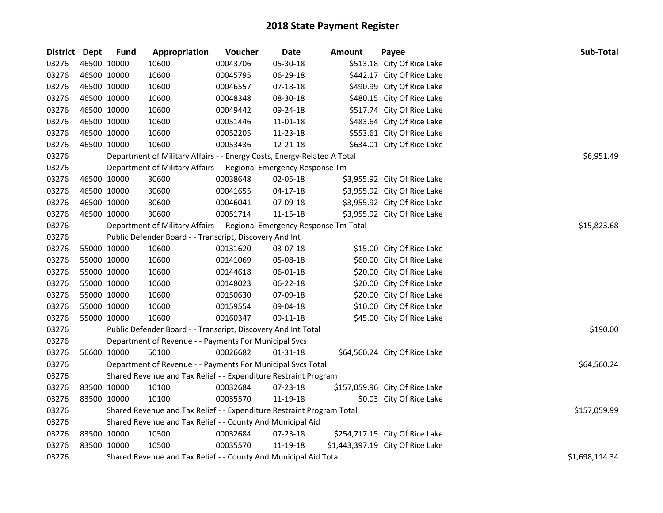| District Dept |             | <b>Fund</b> | Appropriation                                                           | Voucher     | <b>Date</b> | <b>Amount</b> | Payee                            | Sub-Total      |
|---------------|-------------|-------------|-------------------------------------------------------------------------|-------------|-------------|---------------|----------------------------------|----------------|
| 03276         |             | 46500 10000 | 10600                                                                   | 00043706    | 05-30-18    |               | \$513.18 City Of Rice Lake       |                |
| 03276         |             | 46500 10000 | 10600                                                                   | 00045795    | 06-29-18    |               | \$442.17 City Of Rice Lake       |                |
| 03276         | 46500 10000 |             | 10600                                                                   | 00046557    | 07-18-18    |               | \$490.99 City Of Rice Lake       |                |
| 03276         | 46500 10000 |             | 10600                                                                   | 00048348    | 08-30-18    |               | \$480.15 City Of Rice Lake       |                |
| 03276         |             | 46500 10000 | 10600                                                                   | 00049442    | 09-24-18    |               | \$517.74 City Of Rice Lake       |                |
| 03276         |             | 46500 10000 | 10600                                                                   | 00051446    | 11-01-18    |               | \$483.64 City Of Rice Lake       |                |
| 03276         | 46500 10000 |             | 10600                                                                   | 00052205    | 11-23-18    |               | \$553.61 City Of Rice Lake       |                |
| 03276         |             | 46500 10000 | 10600                                                                   | 00053436    | 12-21-18    |               | \$634.01 City Of Rice Lake       |                |
| 03276         |             |             | Department of Military Affairs - - Energy Costs, Energy-Related A Total |             |             |               |                                  | \$6,951.49     |
| 03276         |             |             | Department of Military Affairs - - Regional Emergency Response Tm       |             |             |               |                                  |                |
| 03276         |             | 46500 10000 | 30600                                                                   | 00038648    | 02-05-18    |               | \$3,955.92 City Of Rice Lake     |                |
| 03276         | 46500 10000 |             | 30600                                                                   | 00041655    | 04-17-18    |               | \$3,955.92 City Of Rice Lake     |                |
| 03276         |             | 46500 10000 | 30600                                                                   | 00046041    | 07-09-18    |               | \$3,955.92 City Of Rice Lake     |                |
| 03276         |             | 46500 10000 | 30600                                                                   | 00051714    | 11-15-18    |               | \$3,955.92 City Of Rice Lake     |                |
| 03276         |             |             | Department of Military Affairs - - Regional Emergency Response Tm Total | \$15,823.68 |             |               |                                  |                |
| 03276         |             |             | Public Defender Board - - Transcript, Discovery And Int                 |             |             |               |                                  |                |
| 03276         |             | 55000 10000 | 10600                                                                   | 00131620    | 03-07-18    |               | \$15.00 City Of Rice Lake        |                |
| 03276         |             | 55000 10000 | 10600                                                                   | 00141069    | 05-08-18    |               | \$60.00 City Of Rice Lake        |                |
| 03276         | 55000 10000 |             | 10600                                                                   | 00144618    | 06-01-18    |               | \$20.00 City Of Rice Lake        |                |
| 03276         |             | 55000 10000 | 10600                                                                   | 00148023    | 06-22-18    |               | \$20.00 City Of Rice Lake        |                |
| 03276         |             | 55000 10000 | 10600                                                                   | 00150630    | 07-09-18    |               | \$20.00 City Of Rice Lake        |                |
| 03276         |             | 55000 10000 | 10600                                                                   | 00159554    | 09-04-18    |               | \$10.00 City Of Rice Lake        |                |
| 03276         |             | 55000 10000 | 10600                                                                   | 00160347    | 09-11-18    |               | \$45.00 City Of Rice Lake        |                |
| 03276         |             |             | Public Defender Board - - Transcript, Discovery And Int Total           |             |             |               |                                  | \$190.00       |
| 03276         |             |             | Department of Revenue - - Payments For Municipal Svcs                   |             |             |               |                                  |                |
| 03276         |             | 56600 10000 | 50100                                                                   | 00026682    | 01-31-18    |               | \$64,560.24 City Of Rice Lake    |                |
| 03276         |             |             | Department of Revenue - - Payments For Municipal Svcs Total             |             |             |               |                                  | \$64,560.24    |
| 03276         |             |             | Shared Revenue and Tax Relief - - Expenditure Restraint Program         |             |             |               |                                  |                |
| 03276         | 83500 10000 |             | 10100                                                                   | 00032684    | 07-23-18    |               | \$157,059.96 City Of Rice Lake   |                |
| 03276         | 83500 10000 |             | 10100                                                                   | 00035570    | 11-19-18    |               | \$0.03 City Of Rice Lake         |                |
| 03276         |             |             | Shared Revenue and Tax Relief - - Expenditure Restraint Program Total   |             |             |               |                                  | \$157,059.99   |
| 03276         |             |             | Shared Revenue and Tax Relief - - County And Municipal Aid              |             |             |               |                                  |                |
| 03276         | 83500 10000 |             | 10500                                                                   | 00032684    | 07-23-18    |               | \$254,717.15 City Of Rice Lake   |                |
| 03276         | 83500 10000 |             | 10500                                                                   | 00035570    | 11-19-18    |               | \$1,443,397.19 City Of Rice Lake |                |
| 03276         |             |             | Shared Revenue and Tax Relief - - County And Municipal Aid Total        |             |             |               |                                  | \$1,698,114.34 |